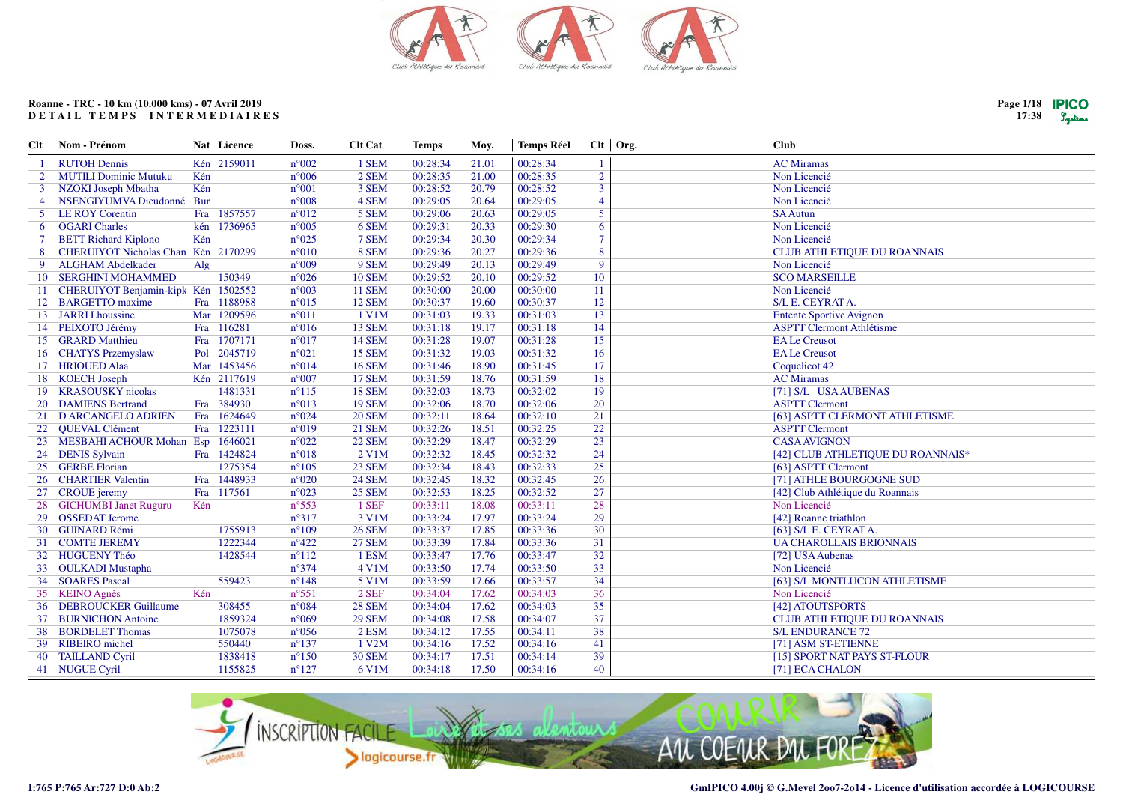

| Clt            | Nom - Prénom                           | Nat Licence          | Doss.          | <b>Clt Cat</b> | <b>Temps</b> | Moy.  | <b>Temps Réel</b> |                 | $Clt$ Org. | <b>Club</b>                       |
|----------------|----------------------------------------|----------------------|----------------|----------------|--------------|-------|-------------------|-----------------|------------|-----------------------------------|
|                | <b>RUTOH Dennis</b>                    | Kén 2159011          | $n^{\circ}002$ | 1 SEM          | 00:28:34     | 21.01 | 00:28:34          | $\overline{1}$  |            | <b>AC</b> Miramas                 |
| $\overline{2}$ | <b>MUTILI Dominic Mutuku</b>           | Kén                  | $n^{\circ}006$ | 2 SEM          | 00:28:35     | 21.00 | 00:28:35          | $\overline{2}$  |            | Non Licencié                      |
| $\mathbf{3}$   | <b>NZOKI Joseph Mbatha</b>             | Kén                  | $n^{\circ}001$ | 3 SEM          | 00:28:52     | 20.79 | 00:28:52          | $\overline{3}$  |            | Non Licencié                      |
| $\overline{4}$ | NSENGIYUMVA Dieudonné Bur              |                      | $n^{\circ}008$ | 4 SEM          | 00:29:05     | 20.64 | 00:29:05          | $\overline{4}$  |            | Non Licencié                      |
|                | 5 LE ROY Corentin                      | 1857557<br>Fra       | $n^{\circ}012$ | 5 SEM          | 00:29:06     | 20.63 | 00:29:05          | 5               |            | <b>SA Autun</b>                   |
| 6              | <b>OGARI Charles</b>                   | kén 1736965          | $n^{\circ}005$ | 6 SEM          | 00:29:31     | 20.33 | 00:29:30          | 6               |            | Non Licencié                      |
| 7              | <b>BETT Richard Kiplono</b>            | Kén                  | $n^{\circ}025$ | 7 SEM          | 00:29:34     | 20.30 | 00:29:34          | $7\phantom{.0}$ |            | Non Licencié                      |
| 8              | CHERUIYOT Nicholas Chan Kén 2170299    |                      | $n^{\circ}010$ | 8 SEM          | 00:29:36     | 20.27 | 00:29:36          | $\overline{8}$  |            | CLUB ATHLETIQUE DU ROANNAIS       |
| 9              | <b>ALGHAM Abdelkader</b>               | $\operatorname{Alg}$ | $n^{\circ}009$ | 9 SEM          | 00:29:49     | 20.13 | 00:29:49          | 9               |            | Non Licencié                      |
| 10             | <b>SERGHINI MOHAMMED</b>               | 150349               | $n^{\circ}026$ | <b>10 SEM</b>  | 00:29:52     | 20.10 | 00:29:52          | 10              |            | <b>SCO MARSEILLE</b>              |
|                | 11 CHERUIYOT Benjamin-kipk Kén 1502552 |                      | $n^{\circ}003$ | <b>11 SEM</b>  | 00:30:00     | 20.00 | 00:30:00          | 11              |            | Non Licencié                      |
|                | 12 BARGETTO maxime                     | Fra 1188988          | $n^{\circ}015$ | 12 SEM         | 00:30:37     | 19.60 | 00:30:37          | 12              |            | S/L E. CEYRAT A.                  |
|                | 13 JARRI Lhoussine                     | Mar 1209596          | $n^{\circ}011$ | 1 V1M          | 00:31:03     | 19.33 | 00:31:03          | 13              |            | <b>Entente Sportive Avignon</b>   |
|                | 14 PEIXOTO Jérémy                      | Fra 116281           | $n^{\circ}016$ | <b>13 SEM</b>  | 00:31:18     | 19.17 | 00:31:18          | 14              |            | <b>ASPTT Clermont Athlétisme</b>  |
|                | 15 GRARD Matthieu                      | 1707171<br>Fra       | $n^{\circ}017$ | <b>14 SEM</b>  | 00:31:28     | 19.07 | 00:31:28          | 15              |            | <b>EA Le Creusot</b>              |
|                | 16 CHATYS Przemyslaw                   | 2045719<br>Pol       | $n^{\circ}021$ | <b>15 SEM</b>  | 00:31:32     | 19.03 | 00:31:32          | 16              |            | <b>EA Le Creusot</b>              |
|                | 17 HRIOUED Alaa                        | Mar 1453456          | $n^{\circ}014$ | <b>16 SEM</b>  | 00:31:46     | 18.90 | 00:31:45          | 17              |            | Coquelicot 42                     |
|                | 18 KOECH Joseph                        | Kén 2117619          | $n^{\circ}007$ | <b>17 SEM</b>  | 00:31:59     | 18.76 | 00:31:59          | 18              |            | <b>AC</b> Miramas                 |
|                | 19 KRASOUSKY nicolas                   | 1481331              | $n^{\circ}115$ | <b>18 SEM</b>  | 00:32:03     | 18.73 | 00:32:02          | 19              |            | [71] S/L USA AUBENAS              |
| 20             | <b>DAMIENS Bertrand</b>                | Fra 384930           | $n^{\circ}013$ | <b>19 SEM</b>  | 00:32:06     | 18.70 | 00:32:06          | 20              |            | <b>ASPTT Clermont</b>             |
|                | 21 D ARCANGELO ADRIEN                  | Fra 1624649          | $n^{\circ}024$ | <b>20 SEM</b>  | 00:32:11     | 18.64 | 00:32:10          | 21              |            | [63] ASPTT CLERMONT ATHLETISME    |
| 22             | QUEVAL Clément                         | Fra 1223111          | $n^{\circ}019$ | <b>21 SEM</b>  | 00:32:26     | 18.51 | 00:32:25          | 22              |            | <b>ASPTT Clermont</b>             |
| 23             | MESBAHI ACHOUR Mohan Esp               | 1646021              | $n^{\circ}022$ | <b>22 SEM</b>  | 00:32:29     | 18.47 | 00:32:29          | 23              |            | <b>CASA AVIGNON</b>               |
|                | 24 DENIS Sylvain                       | Fra 1424824          | $n^{\circ}018$ | 2 V1M          | 00:32:32     | 18.45 | 00:32:32          | 24              |            | [42] CLUB ATHLETIQUE DU ROANNAIS* |
| 25             | <b>GERBE Florian</b>                   | 1275354              | $n^{\circ}105$ | 23 SEM         | 00:32:34     | 18.43 | 00:32:33          | 25              |            | [63] ASPTT Clermont               |
|                | 26 CHARTIER Valentin                   | Fra 1448933          | $n^{\circ}020$ | <b>24 SEM</b>  | 00:32:45     | 18.32 | 00:32:45          | 26              |            | [71] ATHLE BOURGOGNE SUD          |
|                | 27 CROUE jeremy                        | Fra 117561           | $n^{\circ}023$ | <b>25 SEM</b>  | 00:32:53     | 18.25 | 00:32:52          | 27              |            | [42] Club Athlétique du Roannais  |
| 28             | <b>GICHUMBI Janet Ruguru</b>           | Kén                  | $n^{\circ}553$ | 1 SEF          | 00:33:11     | 18.08 | 00:33:11          | 28              |            | Non Licencié                      |
|                | 29 OSSEDAT Jerome                      |                      | $n^{\circ}317$ | 3 V1M          | 00:33:24     | 17.97 | 00:33:24          | 29              |            | [42] Roanne triathlon             |
|                | 30 GUINARD Rémi                        | 1755913              | $n^{\circ}109$ | <b>26 SEM</b>  | 00:33:37     | 17.85 | 00:33:36          | 30              |            | [63] S/L E. CEYRAT A.             |
|                | 31 COMTE JEREMY                        | 1222344              | $n^{\circ}422$ | <b>27 SEM</b>  | 00:33:39     | 17.84 | 00:33:36          | 31              |            | <b>UA CHAROLLAIS BRIONNAIS</b>    |
|                | 32 HUGUENY Théo                        | 1428544              | $n^{\circ}112$ | 1 ESM          | 00:33:47     | 17.76 | 00:33:47          | 32              |            | [72] USA Aubenas                  |
|                | 33 OULKADI Mustapha                    |                      | $n^{\circ}374$ | 4 V1M          | 00:33:50     | 17.74 | 00:33:50          | 33              |            | Non Licencié                      |
|                | 34 SOARES Pascal                       | 559423               | $n^{\circ}148$ | 5 V1M          | 00:33:59     | 17.66 | 00:33:57          | 34              |            | [63] S/L MONTLUCON ATHLETISME     |
|                | 35 KEINO Agnès                         | Kén                  | $n^{\circ}551$ | $2$ SEF        | 00:34:04     | 17.62 | 00:34:03          | 36              |            | Non Licencié                      |
| 36             | <b>DEBROUCKER Guillaume</b>            | 308455               | $n^{\circ}084$ | <b>28 SEM</b>  | 00:34:04     | 17.62 | 00:34:03          | 35              |            | [42] ATOUTSPORTS                  |
|                | 37 BURNICHON Antoine                   | 1859324              | $n^{\circ}069$ | <b>29 SEM</b>  | 00:34:08     | 17.58 | 00:34:07          | 37              |            | CLUB ATHLETIQUE DU ROANNAIS       |
| 38             | <b>BORDELET Thomas</b>                 | 1075078              | $n^{\circ}056$ | 2 ESM          | 00:34:12     | 17.55 | 00:34:11          | 38              |            | <b>S/L ENDURANCE 72</b>           |
|                | 39 RIBEIRO michel                      | 550440               | $n^{\circ}137$ | 1 V2M          | 00:34:16     | 17.52 | 00:34:16          | 41              |            | [71] ASM ST-ETIENNE               |
| 40             | <b>TAILLAND Cyril</b>                  | 1838418              | $n^{\circ}150$ | <b>30 SEM</b>  | 00:34:17     | 17.51 | 00:34:14          | 39              |            | [15] SPORT NAT PAYS ST-FLOUR      |
|                | 41 NUGUE Cyril                         | 1155825              | $n^{\circ}127$ | 6 V1M          | 00:34:18     | 17.50 | 00:34:16          | 40              |            | [71] ECA CHALON                   |
|                |                                        |                      |                |                |              |       |                   |                 |            |                                   |



**I:765 P:765 Ar:727 D:0 Ab:2**

**Page 1/1817:38**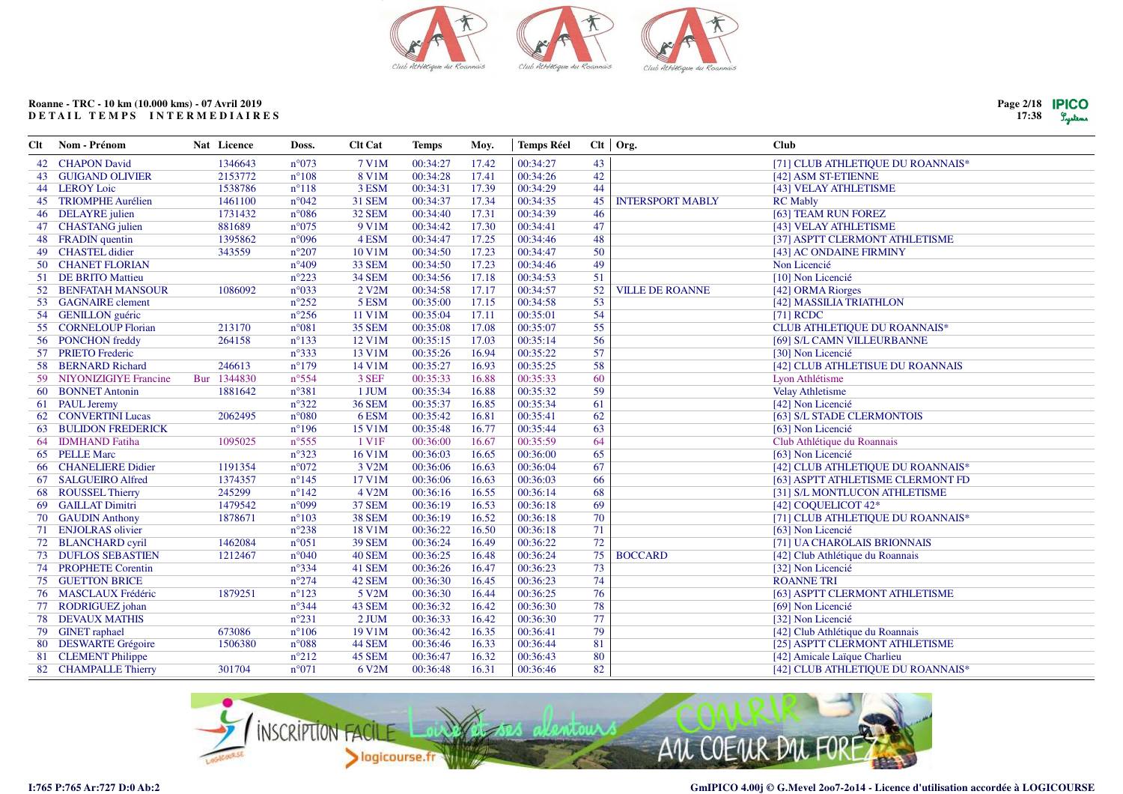

| Page 2/18 | <b>IPICO</b> |
|-----------|--------------|
| 17:38     | Lustens      |

| Clt | Nom - Prénom              | Nat Licence | Doss.          | <b>Clt Cat</b>     | <b>Temps</b> | Moy.  | <b>Temps Réel</b> |    | $Clt$ Org.              | <b>Club</b>                       |
|-----|---------------------------|-------------|----------------|--------------------|--------------|-------|-------------------|----|-------------------------|-----------------------------------|
|     | 42 CHAPON David           | 1346643     | $n^{\circ}073$ | 7 V1M              | 00:34:27     | 17.42 | 00:34:27          | 43 |                         | [71] CLUB ATHLETIQUE DU ROANNAIS* |
|     | <b>43 GUIGAND OLIVIER</b> | 2153772     | $n^{\circ}108$ | 8 V1M              | 00:34:28     | 17.41 | 00:34:26          | 42 |                         | [42] ASM ST-ETIENNE               |
|     | 44 LEROY Loic             | 1538786     | $n^{\circ}118$ | 3 ESM              | 00:34:31     | 17.39 | 00:34:29          | 44 |                         | [43] VELAY ATHLETISME             |
|     | 45 TRIOMPHE Aurélien      | 1461100     | $n^{\circ}042$ | <b>31 SEM</b>      | 00:34:37     | 17.34 | 00:34:35          | 45 | <b>INTERSPORT MABLY</b> | <b>RC</b> Mably                   |
|     | 46 DELAYRE julien         | 1731432     | $n^{\circ}086$ | 32 SEM             | 00:34:40     | 17.31 | 00:34:39          | 46 |                         | [63] TEAM RUN FOREZ               |
|     | 47 CHASTANG julien        | 881689      | $n^{\circ}075$ | 9 V1M              | 00:34:42     | 17.30 | 00:34:41          | 47 |                         | [43] VELAY ATHLETISME             |
|     | 48 FRADIN quentin         | 1395862     | n°096          | 4 ESM              | 00:34:47     | 17.25 | 00:34:46          | 48 |                         | [37] ASPTT CLERMONT ATHLETISME    |
|     | 49 CHASTEL didier         | 343559      | $n^{\circ}207$ | 10 V1M             | 00:34:50     | 17.23 | 00:34:47          | 50 |                         | [43] AC ONDAINE FIRMINY           |
|     | 50 CHANET FLORIAN         |             | $n^{\circ}409$ | <b>33 SEM</b>      | 00:34:50     | 17.23 | 00:34:46          | 49 |                         | Non Licencié                      |
|     | 51 DE BRITO Mattieu       |             | $n^{\circ}223$ | <b>34 SEM</b>      | 00:34:56     | 17.18 | 00:34:53          | 51 |                         | [10] Non Licencié                 |
| 52  | <b>BENFATAH MANSOUR</b>   | 1086092     | n°033          | 2 V2M              | 00:34:58     | 17.17 | 00:34:57          | 52 | <b>VILLE DE ROANNE</b>  | [42] ORMA Riorges                 |
|     | 53 GAGNAIRE clement       |             | $n^{\circ}252$ | 5 ESM              | 00:35:00     | 17.15 | 00:34:58          | 53 |                         | [42] MASSILIA TRIATHLON           |
|     | 54 GENILLON guéric        |             | $n^{\circ}256$ | 11 V1M             | 00:35:04     | 17.11 | 00:35:01          | 54 |                         | $[71]$ RCDC                       |
|     | 55 CORNELOUP Florian      | 213170      | n°081          | <b>35 SEM</b>      | 00:35:08     | 17.08 | 00:35:07          | 55 |                         | CLUB ATHLETIQUE DU ROANNAIS*      |
|     | 56 PONCHON freddy         | 264158      | $n^{\circ}133$ | 12 V1M             | 00:35:15     | 17.03 | 00:35:14          | 56 |                         | [69] S/L CAMN VILLEURBANNE        |
|     | 57 PRIETO Frederic        |             | $n^{\circ}333$ | 13 V1M             | 00:35:26     | 16.94 | 00:35:22          | 57 |                         | [30] Non Licencié                 |
|     | 58 BERNARD Richard        | 246613      | $n^{\circ}179$ | 14 V1M             | 00:35:27     | 16.93 | 00:35:25          | 58 |                         | [42] CLUB ATHLETISUE DU ROANNAIS  |
|     | 59 NIYONIZIGIYE Francine  | Bur 1344830 | $n^{\circ}554$ | 3 SEF              | 00:35:33     | 16.88 | 00:35:33          | 60 |                         | Lyon Athlétisme                   |
|     | 60 BONNET Antonin         | 1881642     | n°381          | 1 JUM              | 00:35:34     | 16.88 | 00:35:32          | 59 |                         | <b>Velay Athletisme</b>           |
|     | 61 PAUL Jeremy            |             | $n^{\circ}322$ | <b>36 SEM</b>      | 00:35:37     | 16.85 | 00:35:34          | 61 |                         | [42] Non Licencié                 |
|     | 62 CONVERTINI Lucas       | 2062495     | $n^{\circ}080$ | 6 ESM              | 00:35:42     | 16.81 | 00:35:41          | 62 |                         | [63] S/L STADE CLERMONTOIS        |
| 63  | <b>BULIDON FREDERICK</b>  |             | $n^{\circ}196$ | 15 V1M             | 00:35:48     | 16.77 | 00:35:44          | 63 |                         | [63] Non Licencié                 |
| 64  | <b>IDMHAND</b> Fatiha     | 1095025     | $n^{\circ}555$ | 1 V <sub>1</sub> F | 00:36:00     | 16.67 | 00:35:59          | 64 |                         | Club Athlétique du Roannais       |
|     | 65 PELLE Marc             |             | $n^{\circ}323$ | 16 V1M             | 00:36:03     | 16.65 | 00:36:00          | 65 |                         | [63] Non Licencié                 |
|     | 66 CHANELIERE Didier      | 1191354     | $n^{\circ}072$ | 3 V2M              | 00:36:06     | 16.63 | 00:36:04          | 67 |                         | [42] CLUB ATHLETIQUE DU ROANNAIS* |
|     | 67 SALGUEIRO Alfred       | 1374357     | $n^{\circ}145$ | 17 V1M             | 00:36:06     | 16.63 | 00:36:03          | 66 |                         | [63] ASPTT ATHLETISME CLERMONT FD |
|     | 68 ROUSSEL Thierry        | 245299      | $n^{\circ}142$ | 4 V2M              | 00:36:16     | 16.55 | 00:36:14          | 68 |                         | [31] S/L MONTLUCON ATHLETISME     |
| -69 | <b>GAILLAT Dimitri</b>    | 1479542     | n°099          | <b>37 SEM</b>      | 00:36:19     | 16.53 | 00:36:18          | 69 |                         | [42] COQUELICOT 42*               |
|     | 70 GAUDIN Anthony         | 1878671     | $n^{\circ}103$ | <b>38 SEM</b>      | 00:36:19     | 16.52 | 00:36:18          | 70 |                         | [71] CLUB ATHLETIQUE DU ROANNAIS* |
|     | 71 ENJOLRAS olivier       |             | $n^{\circ}238$ | 18 V1M             | 00:36:22     | 16.50 | 00:36:18          | 71 |                         | [63] Non Licencié                 |
|     | 72 BLANCHARD cyril        | 1462084     | $n^{\circ}051$ | <b>39 SEM</b>      | 00:36:24     | 16.49 | 00:36:22          | 72 |                         | [71] UA CHAROLAIS BRIONNAIS       |
|     | 73 DUFLOS SEBASTIEN       | 1212467     | $n^{\circ}040$ | <b>40 SEM</b>      | 00:36:25     | 16.48 | 00:36:24          | 75 | <b>BOCCARD</b>          | [42] Club Athlétique du Roannais  |
|     | 74 PROPHETE Corentin      |             | $n^{\circ}334$ | 41 SEM             | 00:36:26     | 16.47 | 00:36:23          | 73 |                         | [32] Non Licencié                 |
|     | <b>75 GUETTON BRICE</b>   |             | $n^{\circ}274$ | 42 SEM             | 00:36:30     | 16.45 | 00:36:23          | 74 |                         | <b>ROANNE TRI</b>                 |
|     | 76 MASCLAUX Frédéric      | 1879251     | $n^{\circ}123$ | 5 V2M              | 00:36:30     | 16.44 | 00:36:25          | 76 |                         | [63] ASPTT CLERMONT ATHLETISME    |
|     | 77 RODRIGUEZ johan        |             | $n^{\circ}344$ | 43 SEM             | 00:36:32     | 16.42 | 00:36:30          | 78 |                         | [69] Non Licencié                 |
|     | <b>78 DEVAUX MATHIS</b>   |             | $n^{\circ}231$ | 2 JUM              | 00:36:33     | 16.42 | 00:36:30          | 77 |                         | [32] Non Licencié                 |
|     | 79 GINET raphael          | 673086      | $n^{\circ}106$ | 19 V1M             | 00:36:42     | 16.35 | 00:36:41          | 79 |                         | [42] Club Athlétique du Roannais  |
|     | 80 DESWARTE Grégoire      | 1506380     | n°088          | 44 SEM             | 00:36:46     | 16.33 | 00:36:44          | 81 |                         | [25] ASPTT CLERMONT ATHLETISME    |
| 81  | <b>CLEMENT Philippe</b>   |             | $n^{\circ}212$ | 45 SEM             | 00:36:47     | 16.32 | 00:36:43          | 80 |                         | [42] Amicale Laïque Charlieu      |
|     | 82 CHAMPALLE Thierry      | 301704      | $n^{\circ}071$ | 6 V2M              | 00:36:48     | 16.31 | 00:36:46          | 82 |                         | [42] CLUB ATHLETIQUE DU ROANNAIS* |

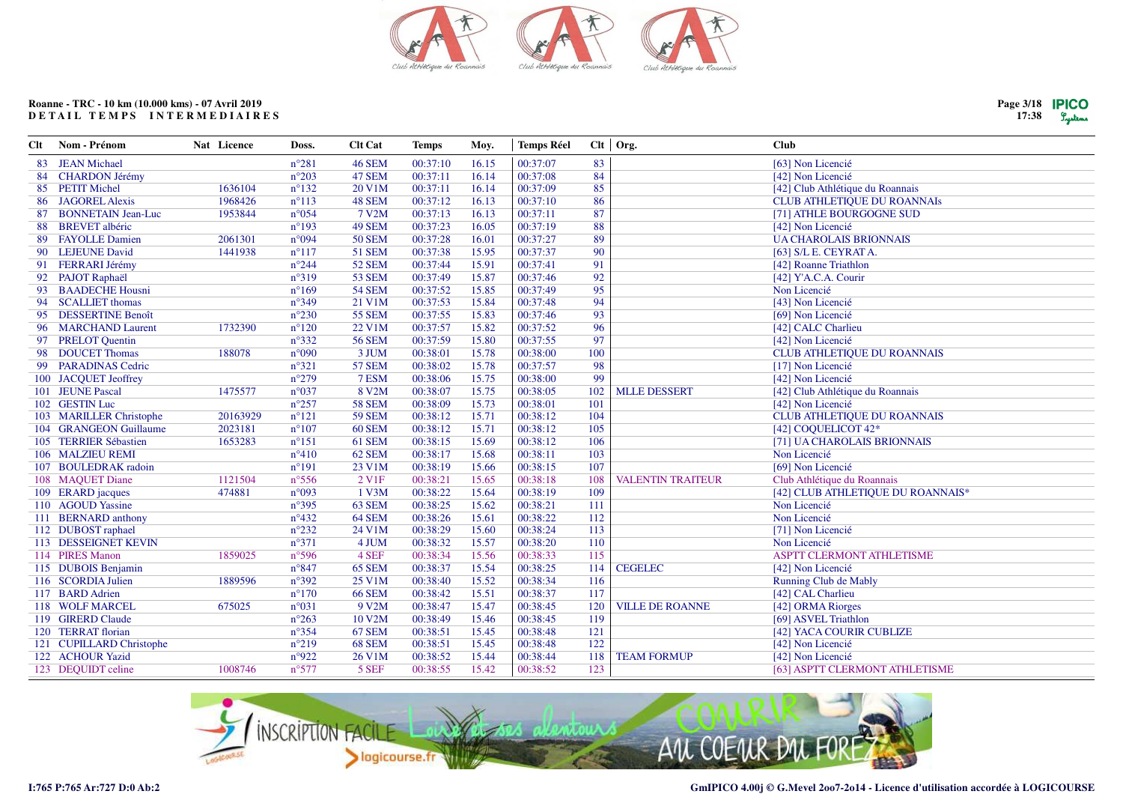

| Clt | Nom - Prénom              | Nat Licence | Doss.          | <b>Clt Cat</b>    | <b>Temps</b> | Moy.  | <b>Temps Réel</b> |     | $Clt$ Org.               | <b>Club</b>                        |
|-----|---------------------------|-------------|----------------|-------------------|--------------|-------|-------------------|-----|--------------------------|------------------------------------|
| 83  | <b>JEAN Michael</b>       |             | $n^{\circ}281$ | <b>46 SEM</b>     | 00:37:10     | 16.15 | 00:37:07          | 83  |                          | [63] Non Licencié                  |
| 84  | <b>CHARDON Jérémy</b>     |             | $n^{\circ}203$ | 47 SEM            | 00:37:11     | 16.14 | 00:37:08          | 84  |                          | [42] Non Licencié                  |
| 85  | <b>PETIT Michel</b>       | 1636104     | $n^{\circ}132$ | 20 V1M            | 00:37:11     | 16.14 | 00:37:09          | 85  |                          | [42] Club Athlétique du Roannais   |
|     | 86 JAGOREL Alexis         | 1968426     | $n^{\circ}113$ | 48 SEM            | 00:37:12     | 16.13 | 00:37:10          | 86  |                          | <b>CLUB ATHLETIQUE DU ROANNAIS</b> |
| 87  | <b>BONNETAIN Jean-Luc</b> | 1953844     | $n^{\circ}054$ | 7 V2M             | 00:37:13     | 16.13 | 00:37:11          | 87  |                          | [71] ATHLE BOURGOGNE SUD           |
| 88  | <b>BREVET</b> albéric     |             | $n^{\circ}193$ | 49 SEM            | 00:37:23     | 16.05 | 00:37:19          | 88  |                          | [42] Non Licencié                  |
| 89  | <b>FAYOLLE Damien</b>     | 2061301     | n°094          | <b>50 SEM</b>     | 00:37:28     | 16.01 | 00:37:27          | 89  |                          | <b>UA CHAROLAIS BRIONNAIS</b>      |
| 90  | <b>LEJEUNE David</b>      | 1441938     | $n^{\circ}117$ | <b>51 SEM</b>     | 00:37:38     | 15.95 | 00:37:37          | 90  |                          | [63] S/L E. CEYRAT A.              |
|     | 91 FERRARI Jérémy         |             | $n^{\circ}244$ | <b>52 SEM</b>     | 00:37:44     | 15.91 | 00:37:41          | 91  |                          | [42] Roanne Triathlon              |
|     | 92 PAJOT Raphaël          |             | n°319          | <b>53 SEM</b>     | 00:37:49     | 15.87 | 00:37:46          | 92  |                          | [42] Y'A.C.A. Courir               |
| 93  | <b>BAADECHE Housni</b>    |             | $n^{\circ}169$ | <b>54 SEM</b>     | 00:37:52     | 15.85 | 00:37:49          | 95  |                          | Non Licencié                       |
| 94  | <b>SCALLIET</b> thomas    |             | $n^{\circ}349$ | 21 V1M            | 00:37:53     | 15.84 | 00:37:48          | 94  |                          | [43] Non Licencié                  |
| 95  | <b>DESSERTINE Benoît</b>  |             | $n^{\circ}230$ | <b>55 SEM</b>     | 00:37:55     | 15.83 | 00:37:46          | 93  |                          | [69] Non Licencié                  |
|     | 96 MARCHAND Laurent       | 1732390     | $n^{\circ}120$ | 22 V1M            | 00:37:57     | 15.82 | 00:37:52          | 96  |                          | [42] CALC Charlieu                 |
|     | 97 PRELOT Quentin         |             | $n^{\circ}332$ | <b>56 SEM</b>     | 00:37:59     | 15.80 | 00:37:55          | 97  |                          | [42] Non Licencié                  |
|     | 98 DOUCET Thomas          | 188078      | $n^{\circ}090$ | 3 JUM             | 00:38:01     | 15.78 | 00:38:00          | 100 |                          | <b>CLUB ATHLETIQUE DU ROANNAIS</b> |
|     | 99 PARADINAS Cedric       |             | $n^{\circ}321$ | <b>57 SEM</b>     | 00:38:02     | 15.78 | 00:37:57          | 98  |                          | [17] Non Licencié                  |
|     | 100 JACQUET Jeoffrey      |             | $n^{\circ}279$ | 7 ESM             | 00:38:06     | 15.75 | 00:38:00          | 99  |                          | [42] Non Licencié                  |
|     | 101 JEUNE Pascal          | 1475577     | $n^{\circ}037$ | 8 V2M             | 00:38:07     | 15.75 | 00:38:05          | 102 | <b>MLLE DESSERT</b>      | [42] Club Athlétique du Roannais   |
|     | 102 GESTIN Luc            |             | $n^{\circ}257$ | <b>58 SEM</b>     | 00:38:09     | 15.73 | 00:38:01          | 101 |                          | [42] Non Licencié                  |
|     | 103 MARILLER Christophe   | 20163929    | $n^{\circ}121$ | <b>59 SEM</b>     | 00:38:12     | 15.71 | 00:38:12          | 104 |                          | <b>CLUB ATHLETIQUE DU ROANNAIS</b> |
|     | 104 GRANGEON Guillaume    | 2023181     | $n^{\circ}107$ | <b>60 SEM</b>     | 00:38:12     | 15.71 | 00:38:12          | 105 |                          | [42] COOUELICOT 42*                |
|     | 105 TERRIER Sébastien     | 1653283     | $n^{\circ}151$ | 61 SEM            | 00:38:15     | 15.69 | 00:38:12          | 106 |                          | [71] UA CHAROLAIS BRIONNAIS        |
|     | 106 MALZIEU REMI          |             | $n^{\circ}410$ | 62 SEM            | 00:38:17     | 15.68 | 00:38:11          | 103 |                          | Non Licencié                       |
|     | 107 BOULEDRAK radoin      |             | $n^{\circ}191$ | 23 V1M            | 00:38:19     | 15.66 | 00:38:15          | 107 |                          | [69] Non Licencié                  |
|     | 108 MAQUET Diane          | 1121504     | $n^{\circ}556$ | 2 V <sub>1F</sub> | 00:38:21     | 15.65 | 00:38:18          | 108 | <b>VALENTIN TRAITEUR</b> | Club Athlétique du Roannais        |
|     | 109 ERARD jacques         | 474881      | n°093          | 1 V3M             | 00:38:22     | 15.64 | 00:38:19          | 109 |                          | [42] CLUB ATHLETIQUE DU ROANNAIS*  |
|     | 110 AGOUD Yassine         |             | $n^{\circ}395$ | 63 SEM            | 00:38:25     | 15.62 | 00:38:21          | 111 |                          | Non Licencié                       |
|     | 111 BERNARD anthony       |             | $n^{\circ}432$ | 64 SEM            | 00:38:26     | 15.61 | 00:38:22          | 112 |                          | Non Licencié                       |
|     | 112 DUBOST raphael        |             | $n^{\circ}232$ | 24 V1M            | 00:38:29     | 15.60 | 00:38:24          | 113 |                          | [71] Non Licencié                  |
|     | 113 DESSEIGNET KEVIN      |             | $n^{\circ}371$ | 4 JUM             | 00:38:32     | 15.57 | 00:38:20          | 110 |                          | Non Licencié                       |
|     | 114 PIRES Manon           | 1859025     | n°596          | 4 SEF             | 00:38:34     | 15.56 | 00:38:33          | 115 |                          | ASPTT CLERMONT ATHLETISME          |
|     | 115 DUBOIS Benjamin       |             | $n^{\circ}847$ | 65 SEM            | 00:38:37     | 15.54 | 00:38:25          | 114 | <b>CEGELEC</b>           | [42] Non Licencié                  |
|     | 116 SCORDIA Julien        | 1889596     | $n^{\circ}392$ | 25 V1M            | 00:38:40     | 15.52 | 00:38:34          | 116 |                          | Running Club de Mably              |
|     | 117 BARD Adrien           |             | $n^{\circ}170$ | <b>66 SEM</b>     | 00:38:42     | 15.51 | 00:38:37          | 117 |                          | [42] CAL Charlieu                  |
|     | 118 WOLF MARCEL           | 675025      | $n^{\circ}031$ | 9 V2M             | 00:38:47     | 15.47 | 00:38:45          | 120 | <b>VILLE DE ROANNE</b>   | [42] ORMA Riorges                  |
|     | 119 GIRERD Claude         |             | $n^{\circ}263$ | 10 V2M            | 00:38:49     | 15.46 | 00:38:45          | 119 |                          | [69] ASVEL Triathlon               |
|     | 120 TERRAT florian        |             | $n^{\circ}354$ | <b>67 SEM</b>     | 00:38:51     | 15.45 | 00:38:48          | 121 |                          | [42] YACA COURIR CUBLIZE           |
|     | 121 CUPILLARD Christophe  |             | $n^{\circ}219$ | 68 SEM            | 00:38:51     | 15.45 | 00:38:48          | 122 |                          | [42] Non Licencié                  |
|     | 122 ACHOUR Yazid          |             | n°922          | 26 V1M            | 00:38:52     | 15.44 | 00:38:44          | 118 | <b>TEAM FORMUP</b>       | [42] Non Licencié                  |
|     | 123 DEQUIDT celine        | 1008746     | $n^{\circ}577$ | 5 SEF             | 00:38:55     | 15.42 | 00:38:52          | 123 |                          | [63] ASPTT CLERMONT ATHLETISME     |
|     |                           |             |                |                   |              |       |                   |     |                          |                                    |

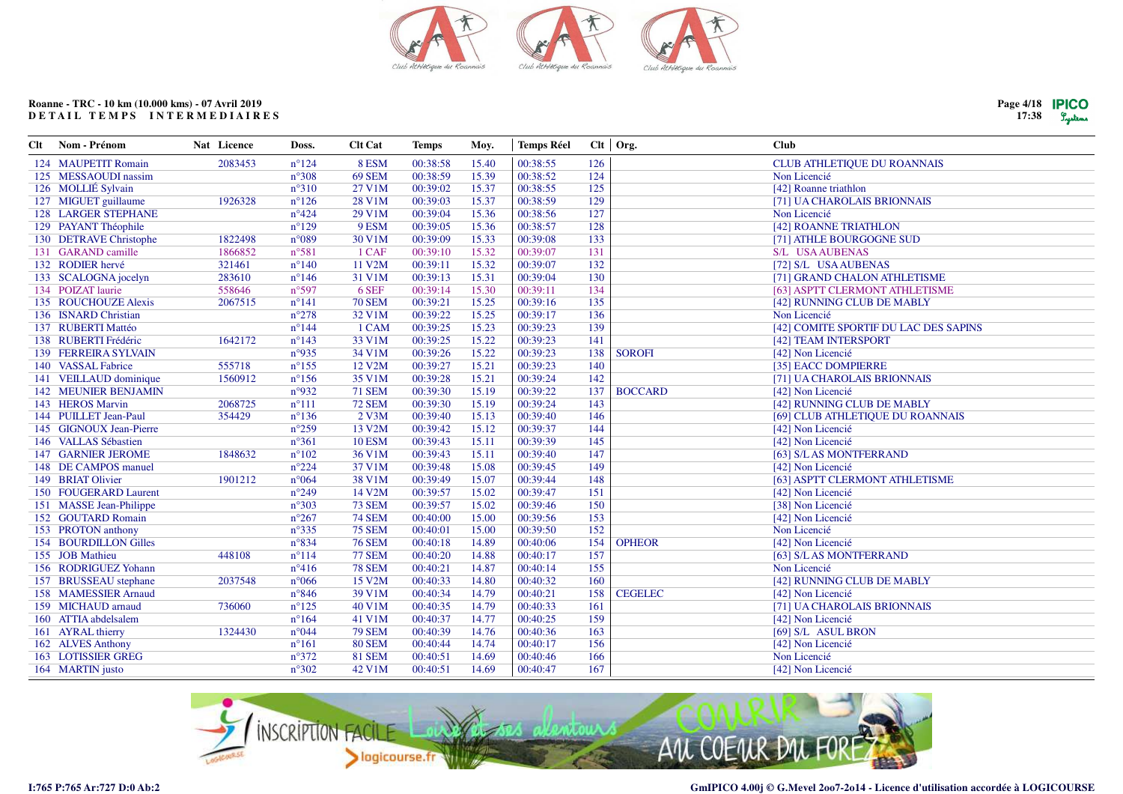

**Temps Réel** 

Clt | Org.

**Club** 

Moy.

**Temps** 

# Roanne - TRC - 10 km (10.000 kms) - 07 Avril 2019 DETAIL TEMPS INTERMEDIAIRES

Nat Licence

**Clt** 

Nom - Prénom

Clt Cat

Doss.

| $n^{\circ}308$<br>69 SEM<br>00:38:59<br>124<br>125 MESSAOUDI nassim<br>15.39<br>00:38:52<br>Non Licencié<br>126 MOLLIÉ Sylvain<br>125<br>$n^{\circ}310$<br>27 V1M<br>00:39:02<br>15.37<br>00:38:55<br>[42] Roanne triathlon<br>127 MIGUET guillaume<br>1926328<br>$n^{\circ}126$<br>28 V1M<br>00:39:03<br>15.37<br>00:38:59<br>129<br>[71] UA CHAROLAIS BRIONNAIS<br>$n^{\circ}424$<br>29 V1M<br>00:39:04<br>15.36<br>127<br><b>128 LARGER STEPHANE</b><br>00:38:56<br>Non Licencié<br>128<br>129 PAYANT Théophile<br>$n^{\circ}129$<br>9 ESM<br>00:39:05<br>15.36<br>00:38:57<br>[42] ROANNE TRIATHLON<br>133<br>1822498<br>$n^{\circ}089$<br>30 V1M<br>00:39:09<br>15.33<br>130 DETRAVE Christophe<br>00:39:08<br>[71] ATHLE BOURGOGNE SUD<br>131<br>131 GARAND camille<br>$n^{\circ}581$<br>1 CAF<br>00:39:10<br>15.32<br>00:39:07<br>S/L USA AUBENAS<br>1866852<br>00:39:07<br>132<br>132 RODIER hervé<br>321461<br>$n^{\circ}140$<br>11 V2M<br>00:39:11<br>15.32<br>[72] S/L USA AUBENAS<br>130<br>283610<br>31 V1M<br>00:39:13<br>15.31<br>00:39:04<br>133 SCALOGNA jocelyn<br>$n^{\circ}146$<br>[71] GRAND CHALON ATHLETISME<br>6 SEF<br>134<br>134 POIZAT laurie<br>558646<br>n°597<br>00:39:14<br>15.30<br>00:39:11<br>[63] ASPTT CLERMONT ATHLETISME<br>135<br>135 ROUCHOUZE Alexis<br>2067515<br>$n^{\circ}141$<br><b>70 SEM</b><br>00:39:21<br>15.25<br>00:39:16<br>[42] RUNNING CLUB DE MABLY<br>$n^{\circ}278$<br>00:39:22<br>15.25<br>136<br>136 ISNARD Christian<br>32 V1M<br>00:39:17<br>Non Licencié<br>137 RUBERTI Mattéo<br>1 CAM<br>00:39:25<br>00:39:23<br>139<br>$n^{\circ}144$<br>15.23<br>[42] COMITE SPORTIF DU LAC DES SAPINS<br>138 RUBERTI Frédéric<br>$n^{\circ}143$<br>33 V1M<br>00:39:25<br>15.22<br>00:39:23<br>141<br>1642172<br>[42] TEAM INTERSPORT<br>n°935<br>00:39:26<br>15.22<br>00:39:23<br>138<br>139 FERREIRA SYLVAIN<br>34 V1M<br><b>SOROFI</b><br>[42] Non Licencié<br>140 VASSAL Fabrice<br>555718<br>$n^{\circ}155$<br>12 V2M<br>00:39:27<br>15.21<br>00:39:23<br>140<br>[35] EACC DOMPIERRE<br>35 V1M<br>15.21<br>141 VEILLAUD dominique<br>1560912<br>$n^{\circ}156$<br>00:39:28<br>00:39:24<br>142<br>[71] UA CHAROLAIS BRIONNAIS<br><b>142 MEUNIER BENJAMIN</b><br>n°932<br><b>71 SEM</b><br>00:39:30<br>00:39:22<br><b>BOCCARD</b><br>15.19<br>137<br>[42] Non Licencié<br><b>72 SEM</b><br>15.19<br>143<br>143 HEROS Marvin<br>2068725<br>$n^{\circ}111$<br>00:39:30<br>00:39:24<br>[42] RUNNING CLUB DE MABLY<br>144 PUILLET Jean-Paul<br>354429<br>$n^{\circ}136$<br>2 V3M<br>00:39:40<br>15.13<br>00:39:40<br>146<br>[69] CLUB ATHLETIQUE DU ROANNAIS<br>$n^{\circ}259$<br>13 V2M<br>00:39:42<br>144<br>145 GIGNOUX Jean-Pierre<br>15.12<br>00:39:37<br>[42] Non Licencié<br>145<br>146 VALLAS Sébastien<br>$n^{\circ}361$<br><b>10 ESM</b><br>00:39:43<br>15.11<br>00:39:39<br>[42] Non Licencié<br><b>147 GARNIER JEROME</b><br>$n^{\circ}102$<br>36 V1M<br>00:39:43<br>00:39:40<br>147<br>1848632<br>15.11<br>[63] S/LAS MONTFERRAND<br>$n^{\circ}224$<br>37 V1M<br>149<br>148 DE CAMPOS manuel<br>00:39:48<br>15.08<br>00:39:45<br>[42] Non Licencié<br>148<br>149 BRIAT Olivier<br>$n^{\circ}064$<br>38 V1M<br>00:39:49<br>15.07<br>00:39:44<br>1901212<br>[63] ASPTT CLERMONT ATHLETISME<br>$n^{\circ}249$<br>00:39:57<br>15.02<br>00:39:47<br>151<br>150 FOUGERARD Laurent<br>14 V2M<br>[42] Non Licencié<br>151 MASSE Jean-Philippe<br>$n^{\circ}303$<br><b>73 SEM</b><br>00:39:57<br>00:39:46<br>150<br>[38] Non Licencié<br>15.02<br>00:39:56<br>153<br>152 GOUTARD Romain<br>$n^{\circ}267$<br><b>74 SEM</b><br>00:40:00<br>15.00<br>[42] Non Licencié<br>152<br>153 PROTON anthony<br>$n^{\circ}335$<br><b>75 SEM</b><br>00:39:50<br>00:40:01<br>15.00<br>Non Licencié<br>n°834<br>154<br>154 BOURDILLON Gilles<br><b>76 SEM</b><br>00:40:18<br>14.89<br>00:40:06<br>[42] Non Licencié<br><b>OPHEOR</b><br>157<br>155 JOB Mathieu<br>$n^{\circ}114$<br><b>77 SEM</b><br>00:40:20<br>14.88<br>448108<br>00:40:17<br>[63] S/L AS MONTFERRAND<br>155<br>156 RODRIGUEZ Yohann<br>$n^{\circ}416$<br><b>78 SEM</b><br>00:40:21<br>14.87<br>00:40:14<br>Non Licencié<br>15 V2M<br>160<br>157 BRUSSEAU stephane<br>$n^{\circ}066$<br>00:40:33<br>14.80<br>00:40:32<br>[42] RUNNING CLUB DE MABLY<br>2037548<br>158 MAMESSIER Arnaud<br>$n^{\circ}846$<br>39 V1M<br>00:40:34<br>158<br>14.79<br>00:40:21<br><b>CEGELEC</b><br>[42] Non Licencié<br>161<br>159 MICHAUD arnaud<br>$n^{\circ}125$<br>40 V1M<br>00:40:35<br>14.79<br>00:40:33<br>736060<br>[71] UA CHAROLAIS BRIONNAIS<br>$n^{\circ}164$<br>159<br>41 V1M<br>00:40:37<br>14.77<br>00:40:25<br>160 ATTIA abdelsalem<br>[42] Non Licencié<br>n°044<br><b>79 SEM</b><br>163<br>161 AYRAL thierry<br>1324430<br>00:40:39<br>14.76<br>00:40:36<br>[69] S/L ASUL BRON<br>162 ALVES Anthony<br><b>80 SEM</b><br>156<br>$n^{\circ}161$<br>00:40:44<br>14.74<br>00:40:17<br>[42] Non Licencié<br><b>163 LOTISSIER GREG</b><br>$n^{\circ}372$<br><b>81 SEM</b><br>00:40:51<br>00:40:46<br>166<br>Non Licencié<br>14.69<br>167<br>$n^{\circ}302$<br>14.69<br>164 MARTIN justo<br>42 V1M<br>00:40:51<br>00:40:47<br>[42] Non Licencié | 124 MAUPETIT Romain | 2083453 | $n^{\circ}124$ | 8 ESM | 00:38:58 | 15.40 | 00:38:55 | 126 | <b>CLUB ATHLETIQUE DU ROANNAIS</b> |
|--------------------------------------------------------------------------------------------------------------------------------------------------------------------------------------------------------------------------------------------------------------------------------------------------------------------------------------------------------------------------------------------------------------------------------------------------------------------------------------------------------------------------------------------------------------------------------------------------------------------------------------------------------------------------------------------------------------------------------------------------------------------------------------------------------------------------------------------------------------------------------------------------------------------------------------------------------------------------------------------------------------------------------------------------------------------------------------------------------------------------------------------------------------------------------------------------------------------------------------------------------------------------------------------------------------------------------------------------------------------------------------------------------------------------------------------------------------------------------------------------------------------------------------------------------------------------------------------------------------------------------------------------------------------------------------------------------------------------------------------------------------------------------------------------------------------------------------------------------------------------------------------------------------------------------------------------------------------------------------------------------------------------------------------------------------------------------------------------------------------------------------------------------------------------------------------------------------------------------------------------------------------------------------------------------------------------------------------------------------------------------------------------------------------------------------------------------------------------------------------------------------------------------------------------------------------------------------------------------------------------------------------------------------------------------------------------------------------------------------------------------------------------------------------------------------------------------------------------------------------------------------------------------------------------------------------------------------------------------------------------------------------------------------------------------------------------------------------------------------------------------------------------------------------------------------------------------------------------------------------------------------------------------------------------------------------------------------------------------------------------------------------------------------------------------------------------------------------------------------------------------------------------------------------------------------------------------------------------------------------------------------------------------------------------------------------------------------------------------------------------------------------------------------------------------------------------------------------------------------------------------------------------------------------------------------------------------------------------------------------------------------------------------------------------------------------------------------------------------------------------------------------------------------------------------------------------------------------------------------------------------------------------------------------------------------------------------------------------------------------------------------------------------------------------------------------------------------------------------------------------------------------------------------------------------------------------------------------------------------------------------------------------------------------------------------------------------------------------------------------------------------------------------------------------------------------------------------------------------------------------------------------------------------------------------------------------------------------------------------------------------------------------------------------------------------------------------------------------------------------------------------------------|---------------------|---------|----------------|-------|----------|-------|----------|-----|------------------------------------|
|                                                                                                                                                                                                                                                                                                                                                                                                                                                                                                                                                                                                                                                                                                                                                                                                                                                                                                                                                                                                                                                                                                                                                                                                                                                                                                                                                                                                                                                                                                                                                                                                                                                                                                                                                                                                                                                                                                                                                                                                                                                                                                                                                                                                                                                                                                                                                                                                                                                                                                                                                                                                                                                                                                                                                                                                                                                                                                                                                                                                                                                                                                                                                                                                                                                                                                                                                                                                                                                                                                                                                                                                                                                                                                                                                                                                                                                                                                                                                                                                                                                                                                                                                                                                                                                                                                                                                                                                                                                                                                                                                                                                                                                                                                                                                                                                                                                                                                                                                                                                                                                                                                                                                  |                     |         |                |       |          |       |          |     |                                    |
|                                                                                                                                                                                                                                                                                                                                                                                                                                                                                                                                                                                                                                                                                                                                                                                                                                                                                                                                                                                                                                                                                                                                                                                                                                                                                                                                                                                                                                                                                                                                                                                                                                                                                                                                                                                                                                                                                                                                                                                                                                                                                                                                                                                                                                                                                                                                                                                                                                                                                                                                                                                                                                                                                                                                                                                                                                                                                                                                                                                                                                                                                                                                                                                                                                                                                                                                                                                                                                                                                                                                                                                                                                                                                                                                                                                                                                                                                                                                                                                                                                                                                                                                                                                                                                                                                                                                                                                                                                                                                                                                                                                                                                                                                                                                                                                                                                                                                                                                                                                                                                                                                                                                                  |                     |         |                |       |          |       |          |     |                                    |
|                                                                                                                                                                                                                                                                                                                                                                                                                                                                                                                                                                                                                                                                                                                                                                                                                                                                                                                                                                                                                                                                                                                                                                                                                                                                                                                                                                                                                                                                                                                                                                                                                                                                                                                                                                                                                                                                                                                                                                                                                                                                                                                                                                                                                                                                                                                                                                                                                                                                                                                                                                                                                                                                                                                                                                                                                                                                                                                                                                                                                                                                                                                                                                                                                                                                                                                                                                                                                                                                                                                                                                                                                                                                                                                                                                                                                                                                                                                                                                                                                                                                                                                                                                                                                                                                                                                                                                                                                                                                                                                                                                                                                                                                                                                                                                                                                                                                                                                                                                                                                                                                                                                                                  |                     |         |                |       |          |       |          |     |                                    |
|                                                                                                                                                                                                                                                                                                                                                                                                                                                                                                                                                                                                                                                                                                                                                                                                                                                                                                                                                                                                                                                                                                                                                                                                                                                                                                                                                                                                                                                                                                                                                                                                                                                                                                                                                                                                                                                                                                                                                                                                                                                                                                                                                                                                                                                                                                                                                                                                                                                                                                                                                                                                                                                                                                                                                                                                                                                                                                                                                                                                                                                                                                                                                                                                                                                                                                                                                                                                                                                                                                                                                                                                                                                                                                                                                                                                                                                                                                                                                                                                                                                                                                                                                                                                                                                                                                                                                                                                                                                                                                                                                                                                                                                                                                                                                                                                                                                                                                                                                                                                                                                                                                                                                  |                     |         |                |       |          |       |          |     |                                    |
|                                                                                                                                                                                                                                                                                                                                                                                                                                                                                                                                                                                                                                                                                                                                                                                                                                                                                                                                                                                                                                                                                                                                                                                                                                                                                                                                                                                                                                                                                                                                                                                                                                                                                                                                                                                                                                                                                                                                                                                                                                                                                                                                                                                                                                                                                                                                                                                                                                                                                                                                                                                                                                                                                                                                                                                                                                                                                                                                                                                                                                                                                                                                                                                                                                                                                                                                                                                                                                                                                                                                                                                                                                                                                                                                                                                                                                                                                                                                                                                                                                                                                                                                                                                                                                                                                                                                                                                                                                                                                                                                                                                                                                                                                                                                                                                                                                                                                                                                                                                                                                                                                                                                                  |                     |         |                |       |          |       |          |     |                                    |
|                                                                                                                                                                                                                                                                                                                                                                                                                                                                                                                                                                                                                                                                                                                                                                                                                                                                                                                                                                                                                                                                                                                                                                                                                                                                                                                                                                                                                                                                                                                                                                                                                                                                                                                                                                                                                                                                                                                                                                                                                                                                                                                                                                                                                                                                                                                                                                                                                                                                                                                                                                                                                                                                                                                                                                                                                                                                                                                                                                                                                                                                                                                                                                                                                                                                                                                                                                                                                                                                                                                                                                                                                                                                                                                                                                                                                                                                                                                                                                                                                                                                                                                                                                                                                                                                                                                                                                                                                                                                                                                                                                                                                                                                                                                                                                                                                                                                                                                                                                                                                                                                                                                                                  |                     |         |                |       |          |       |          |     |                                    |
|                                                                                                                                                                                                                                                                                                                                                                                                                                                                                                                                                                                                                                                                                                                                                                                                                                                                                                                                                                                                                                                                                                                                                                                                                                                                                                                                                                                                                                                                                                                                                                                                                                                                                                                                                                                                                                                                                                                                                                                                                                                                                                                                                                                                                                                                                                                                                                                                                                                                                                                                                                                                                                                                                                                                                                                                                                                                                                                                                                                                                                                                                                                                                                                                                                                                                                                                                                                                                                                                                                                                                                                                                                                                                                                                                                                                                                                                                                                                                                                                                                                                                                                                                                                                                                                                                                                                                                                                                                                                                                                                                                                                                                                                                                                                                                                                                                                                                                                                                                                                                                                                                                                                                  |                     |         |                |       |          |       |          |     |                                    |
|                                                                                                                                                                                                                                                                                                                                                                                                                                                                                                                                                                                                                                                                                                                                                                                                                                                                                                                                                                                                                                                                                                                                                                                                                                                                                                                                                                                                                                                                                                                                                                                                                                                                                                                                                                                                                                                                                                                                                                                                                                                                                                                                                                                                                                                                                                                                                                                                                                                                                                                                                                                                                                                                                                                                                                                                                                                                                                                                                                                                                                                                                                                                                                                                                                                                                                                                                                                                                                                                                                                                                                                                                                                                                                                                                                                                                                                                                                                                                                                                                                                                                                                                                                                                                                                                                                                                                                                                                                                                                                                                                                                                                                                                                                                                                                                                                                                                                                                                                                                                                                                                                                                                                  |                     |         |                |       |          |       |          |     |                                    |
|                                                                                                                                                                                                                                                                                                                                                                                                                                                                                                                                                                                                                                                                                                                                                                                                                                                                                                                                                                                                                                                                                                                                                                                                                                                                                                                                                                                                                                                                                                                                                                                                                                                                                                                                                                                                                                                                                                                                                                                                                                                                                                                                                                                                                                                                                                                                                                                                                                                                                                                                                                                                                                                                                                                                                                                                                                                                                                                                                                                                                                                                                                                                                                                                                                                                                                                                                                                                                                                                                                                                                                                                                                                                                                                                                                                                                                                                                                                                                                                                                                                                                                                                                                                                                                                                                                                                                                                                                                                                                                                                                                                                                                                                                                                                                                                                                                                                                                                                                                                                                                                                                                                                                  |                     |         |                |       |          |       |          |     |                                    |
|                                                                                                                                                                                                                                                                                                                                                                                                                                                                                                                                                                                                                                                                                                                                                                                                                                                                                                                                                                                                                                                                                                                                                                                                                                                                                                                                                                                                                                                                                                                                                                                                                                                                                                                                                                                                                                                                                                                                                                                                                                                                                                                                                                                                                                                                                                                                                                                                                                                                                                                                                                                                                                                                                                                                                                                                                                                                                                                                                                                                                                                                                                                                                                                                                                                                                                                                                                                                                                                                                                                                                                                                                                                                                                                                                                                                                                                                                                                                                                                                                                                                                                                                                                                                                                                                                                                                                                                                                                                                                                                                                                                                                                                                                                                                                                                                                                                                                                                                                                                                                                                                                                                                                  |                     |         |                |       |          |       |          |     |                                    |
|                                                                                                                                                                                                                                                                                                                                                                                                                                                                                                                                                                                                                                                                                                                                                                                                                                                                                                                                                                                                                                                                                                                                                                                                                                                                                                                                                                                                                                                                                                                                                                                                                                                                                                                                                                                                                                                                                                                                                                                                                                                                                                                                                                                                                                                                                                                                                                                                                                                                                                                                                                                                                                                                                                                                                                                                                                                                                                                                                                                                                                                                                                                                                                                                                                                                                                                                                                                                                                                                                                                                                                                                                                                                                                                                                                                                                                                                                                                                                                                                                                                                                                                                                                                                                                                                                                                                                                                                                                                                                                                                                                                                                                                                                                                                                                                                                                                                                                                                                                                                                                                                                                                                                  |                     |         |                |       |          |       |          |     |                                    |
|                                                                                                                                                                                                                                                                                                                                                                                                                                                                                                                                                                                                                                                                                                                                                                                                                                                                                                                                                                                                                                                                                                                                                                                                                                                                                                                                                                                                                                                                                                                                                                                                                                                                                                                                                                                                                                                                                                                                                                                                                                                                                                                                                                                                                                                                                                                                                                                                                                                                                                                                                                                                                                                                                                                                                                                                                                                                                                                                                                                                                                                                                                                                                                                                                                                                                                                                                                                                                                                                                                                                                                                                                                                                                                                                                                                                                                                                                                                                                                                                                                                                                                                                                                                                                                                                                                                                                                                                                                                                                                                                                                                                                                                                                                                                                                                                                                                                                                                                                                                                                                                                                                                                                  |                     |         |                |       |          |       |          |     |                                    |
|                                                                                                                                                                                                                                                                                                                                                                                                                                                                                                                                                                                                                                                                                                                                                                                                                                                                                                                                                                                                                                                                                                                                                                                                                                                                                                                                                                                                                                                                                                                                                                                                                                                                                                                                                                                                                                                                                                                                                                                                                                                                                                                                                                                                                                                                                                                                                                                                                                                                                                                                                                                                                                                                                                                                                                                                                                                                                                                                                                                                                                                                                                                                                                                                                                                                                                                                                                                                                                                                                                                                                                                                                                                                                                                                                                                                                                                                                                                                                                                                                                                                                                                                                                                                                                                                                                                                                                                                                                                                                                                                                                                                                                                                                                                                                                                                                                                                                                                                                                                                                                                                                                                                                  |                     |         |                |       |          |       |          |     |                                    |
|                                                                                                                                                                                                                                                                                                                                                                                                                                                                                                                                                                                                                                                                                                                                                                                                                                                                                                                                                                                                                                                                                                                                                                                                                                                                                                                                                                                                                                                                                                                                                                                                                                                                                                                                                                                                                                                                                                                                                                                                                                                                                                                                                                                                                                                                                                                                                                                                                                                                                                                                                                                                                                                                                                                                                                                                                                                                                                                                                                                                                                                                                                                                                                                                                                                                                                                                                                                                                                                                                                                                                                                                                                                                                                                                                                                                                                                                                                                                                                                                                                                                                                                                                                                                                                                                                                                                                                                                                                                                                                                                                                                                                                                                                                                                                                                                                                                                                                                                                                                                                                                                                                                                                  |                     |         |                |       |          |       |          |     |                                    |
|                                                                                                                                                                                                                                                                                                                                                                                                                                                                                                                                                                                                                                                                                                                                                                                                                                                                                                                                                                                                                                                                                                                                                                                                                                                                                                                                                                                                                                                                                                                                                                                                                                                                                                                                                                                                                                                                                                                                                                                                                                                                                                                                                                                                                                                                                                                                                                                                                                                                                                                                                                                                                                                                                                                                                                                                                                                                                                                                                                                                                                                                                                                                                                                                                                                                                                                                                                                                                                                                                                                                                                                                                                                                                                                                                                                                                                                                                                                                                                                                                                                                                                                                                                                                                                                                                                                                                                                                                                                                                                                                                                                                                                                                                                                                                                                                                                                                                                                                                                                                                                                                                                                                                  |                     |         |                |       |          |       |          |     |                                    |
|                                                                                                                                                                                                                                                                                                                                                                                                                                                                                                                                                                                                                                                                                                                                                                                                                                                                                                                                                                                                                                                                                                                                                                                                                                                                                                                                                                                                                                                                                                                                                                                                                                                                                                                                                                                                                                                                                                                                                                                                                                                                                                                                                                                                                                                                                                                                                                                                                                                                                                                                                                                                                                                                                                                                                                                                                                                                                                                                                                                                                                                                                                                                                                                                                                                                                                                                                                                                                                                                                                                                                                                                                                                                                                                                                                                                                                                                                                                                                                                                                                                                                                                                                                                                                                                                                                                                                                                                                                                                                                                                                                                                                                                                                                                                                                                                                                                                                                                                                                                                                                                                                                                                                  |                     |         |                |       |          |       |          |     |                                    |
|                                                                                                                                                                                                                                                                                                                                                                                                                                                                                                                                                                                                                                                                                                                                                                                                                                                                                                                                                                                                                                                                                                                                                                                                                                                                                                                                                                                                                                                                                                                                                                                                                                                                                                                                                                                                                                                                                                                                                                                                                                                                                                                                                                                                                                                                                                                                                                                                                                                                                                                                                                                                                                                                                                                                                                                                                                                                                                                                                                                                                                                                                                                                                                                                                                                                                                                                                                                                                                                                                                                                                                                                                                                                                                                                                                                                                                                                                                                                                                                                                                                                                                                                                                                                                                                                                                                                                                                                                                                                                                                                                                                                                                                                                                                                                                                                                                                                                                                                                                                                                                                                                                                                                  |                     |         |                |       |          |       |          |     |                                    |
|                                                                                                                                                                                                                                                                                                                                                                                                                                                                                                                                                                                                                                                                                                                                                                                                                                                                                                                                                                                                                                                                                                                                                                                                                                                                                                                                                                                                                                                                                                                                                                                                                                                                                                                                                                                                                                                                                                                                                                                                                                                                                                                                                                                                                                                                                                                                                                                                                                                                                                                                                                                                                                                                                                                                                                                                                                                                                                                                                                                                                                                                                                                                                                                                                                                                                                                                                                                                                                                                                                                                                                                                                                                                                                                                                                                                                                                                                                                                                                                                                                                                                                                                                                                                                                                                                                                                                                                                                                                                                                                                                                                                                                                                                                                                                                                                                                                                                                                                                                                                                                                                                                                                                  |                     |         |                |       |          |       |          |     |                                    |
|                                                                                                                                                                                                                                                                                                                                                                                                                                                                                                                                                                                                                                                                                                                                                                                                                                                                                                                                                                                                                                                                                                                                                                                                                                                                                                                                                                                                                                                                                                                                                                                                                                                                                                                                                                                                                                                                                                                                                                                                                                                                                                                                                                                                                                                                                                                                                                                                                                                                                                                                                                                                                                                                                                                                                                                                                                                                                                                                                                                                                                                                                                                                                                                                                                                                                                                                                                                                                                                                                                                                                                                                                                                                                                                                                                                                                                                                                                                                                                                                                                                                                                                                                                                                                                                                                                                                                                                                                                                                                                                                                                                                                                                                                                                                                                                                                                                                                                                                                                                                                                                                                                                                                  |                     |         |                |       |          |       |          |     |                                    |
|                                                                                                                                                                                                                                                                                                                                                                                                                                                                                                                                                                                                                                                                                                                                                                                                                                                                                                                                                                                                                                                                                                                                                                                                                                                                                                                                                                                                                                                                                                                                                                                                                                                                                                                                                                                                                                                                                                                                                                                                                                                                                                                                                                                                                                                                                                                                                                                                                                                                                                                                                                                                                                                                                                                                                                                                                                                                                                                                                                                                                                                                                                                                                                                                                                                                                                                                                                                                                                                                                                                                                                                                                                                                                                                                                                                                                                                                                                                                                                                                                                                                                                                                                                                                                                                                                                                                                                                                                                                                                                                                                                                                                                                                                                                                                                                                                                                                                                                                                                                                                                                                                                                                                  |                     |         |                |       |          |       |          |     |                                    |
|                                                                                                                                                                                                                                                                                                                                                                                                                                                                                                                                                                                                                                                                                                                                                                                                                                                                                                                                                                                                                                                                                                                                                                                                                                                                                                                                                                                                                                                                                                                                                                                                                                                                                                                                                                                                                                                                                                                                                                                                                                                                                                                                                                                                                                                                                                                                                                                                                                                                                                                                                                                                                                                                                                                                                                                                                                                                                                                                                                                                                                                                                                                                                                                                                                                                                                                                                                                                                                                                                                                                                                                                                                                                                                                                                                                                                                                                                                                                                                                                                                                                                                                                                                                                                                                                                                                                                                                                                                                                                                                                                                                                                                                                                                                                                                                                                                                                                                                                                                                                                                                                                                                                                  |                     |         |                |       |          |       |          |     |                                    |
|                                                                                                                                                                                                                                                                                                                                                                                                                                                                                                                                                                                                                                                                                                                                                                                                                                                                                                                                                                                                                                                                                                                                                                                                                                                                                                                                                                                                                                                                                                                                                                                                                                                                                                                                                                                                                                                                                                                                                                                                                                                                                                                                                                                                                                                                                                                                                                                                                                                                                                                                                                                                                                                                                                                                                                                                                                                                                                                                                                                                                                                                                                                                                                                                                                                                                                                                                                                                                                                                                                                                                                                                                                                                                                                                                                                                                                                                                                                                                                                                                                                                                                                                                                                                                                                                                                                                                                                                                                                                                                                                                                                                                                                                                                                                                                                                                                                                                                                                                                                                                                                                                                                                                  |                     |         |                |       |          |       |          |     |                                    |
|                                                                                                                                                                                                                                                                                                                                                                                                                                                                                                                                                                                                                                                                                                                                                                                                                                                                                                                                                                                                                                                                                                                                                                                                                                                                                                                                                                                                                                                                                                                                                                                                                                                                                                                                                                                                                                                                                                                                                                                                                                                                                                                                                                                                                                                                                                                                                                                                                                                                                                                                                                                                                                                                                                                                                                                                                                                                                                                                                                                                                                                                                                                                                                                                                                                                                                                                                                                                                                                                                                                                                                                                                                                                                                                                                                                                                                                                                                                                                                                                                                                                                                                                                                                                                                                                                                                                                                                                                                                                                                                                                                                                                                                                                                                                                                                                                                                                                                                                                                                                                                                                                                                                                  |                     |         |                |       |          |       |          |     |                                    |
|                                                                                                                                                                                                                                                                                                                                                                                                                                                                                                                                                                                                                                                                                                                                                                                                                                                                                                                                                                                                                                                                                                                                                                                                                                                                                                                                                                                                                                                                                                                                                                                                                                                                                                                                                                                                                                                                                                                                                                                                                                                                                                                                                                                                                                                                                                                                                                                                                                                                                                                                                                                                                                                                                                                                                                                                                                                                                                                                                                                                                                                                                                                                                                                                                                                                                                                                                                                                                                                                                                                                                                                                                                                                                                                                                                                                                                                                                                                                                                                                                                                                                                                                                                                                                                                                                                                                                                                                                                                                                                                                                                                                                                                                                                                                                                                                                                                                                                                                                                                                                                                                                                                                                  |                     |         |                |       |          |       |          |     |                                    |
|                                                                                                                                                                                                                                                                                                                                                                                                                                                                                                                                                                                                                                                                                                                                                                                                                                                                                                                                                                                                                                                                                                                                                                                                                                                                                                                                                                                                                                                                                                                                                                                                                                                                                                                                                                                                                                                                                                                                                                                                                                                                                                                                                                                                                                                                                                                                                                                                                                                                                                                                                                                                                                                                                                                                                                                                                                                                                                                                                                                                                                                                                                                                                                                                                                                                                                                                                                                                                                                                                                                                                                                                                                                                                                                                                                                                                                                                                                                                                                                                                                                                                                                                                                                                                                                                                                                                                                                                                                                                                                                                                                                                                                                                                                                                                                                                                                                                                                                                                                                                                                                                                                                                                  |                     |         |                |       |          |       |          |     |                                    |
|                                                                                                                                                                                                                                                                                                                                                                                                                                                                                                                                                                                                                                                                                                                                                                                                                                                                                                                                                                                                                                                                                                                                                                                                                                                                                                                                                                                                                                                                                                                                                                                                                                                                                                                                                                                                                                                                                                                                                                                                                                                                                                                                                                                                                                                                                                                                                                                                                                                                                                                                                                                                                                                                                                                                                                                                                                                                                                                                                                                                                                                                                                                                                                                                                                                                                                                                                                                                                                                                                                                                                                                                                                                                                                                                                                                                                                                                                                                                                                                                                                                                                                                                                                                                                                                                                                                                                                                                                                                                                                                                                                                                                                                                                                                                                                                                                                                                                                                                                                                                                                                                                                                                                  |                     |         |                |       |          |       |          |     |                                    |
|                                                                                                                                                                                                                                                                                                                                                                                                                                                                                                                                                                                                                                                                                                                                                                                                                                                                                                                                                                                                                                                                                                                                                                                                                                                                                                                                                                                                                                                                                                                                                                                                                                                                                                                                                                                                                                                                                                                                                                                                                                                                                                                                                                                                                                                                                                                                                                                                                                                                                                                                                                                                                                                                                                                                                                                                                                                                                                                                                                                                                                                                                                                                                                                                                                                                                                                                                                                                                                                                                                                                                                                                                                                                                                                                                                                                                                                                                                                                                                                                                                                                                                                                                                                                                                                                                                                                                                                                                                                                                                                                                                                                                                                                                                                                                                                                                                                                                                                                                                                                                                                                                                                                                  |                     |         |                |       |          |       |          |     |                                    |
|                                                                                                                                                                                                                                                                                                                                                                                                                                                                                                                                                                                                                                                                                                                                                                                                                                                                                                                                                                                                                                                                                                                                                                                                                                                                                                                                                                                                                                                                                                                                                                                                                                                                                                                                                                                                                                                                                                                                                                                                                                                                                                                                                                                                                                                                                                                                                                                                                                                                                                                                                                                                                                                                                                                                                                                                                                                                                                                                                                                                                                                                                                                                                                                                                                                                                                                                                                                                                                                                                                                                                                                                                                                                                                                                                                                                                                                                                                                                                                                                                                                                                                                                                                                                                                                                                                                                                                                                                                                                                                                                                                                                                                                                                                                                                                                                                                                                                                                                                                                                                                                                                                                                                  |                     |         |                |       |          |       |          |     |                                    |
|                                                                                                                                                                                                                                                                                                                                                                                                                                                                                                                                                                                                                                                                                                                                                                                                                                                                                                                                                                                                                                                                                                                                                                                                                                                                                                                                                                                                                                                                                                                                                                                                                                                                                                                                                                                                                                                                                                                                                                                                                                                                                                                                                                                                                                                                                                                                                                                                                                                                                                                                                                                                                                                                                                                                                                                                                                                                                                                                                                                                                                                                                                                                                                                                                                                                                                                                                                                                                                                                                                                                                                                                                                                                                                                                                                                                                                                                                                                                                                                                                                                                                                                                                                                                                                                                                                                                                                                                                                                                                                                                                                                                                                                                                                                                                                                                                                                                                                                                                                                                                                                                                                                                                  |                     |         |                |       |          |       |          |     |                                    |
|                                                                                                                                                                                                                                                                                                                                                                                                                                                                                                                                                                                                                                                                                                                                                                                                                                                                                                                                                                                                                                                                                                                                                                                                                                                                                                                                                                                                                                                                                                                                                                                                                                                                                                                                                                                                                                                                                                                                                                                                                                                                                                                                                                                                                                                                                                                                                                                                                                                                                                                                                                                                                                                                                                                                                                                                                                                                                                                                                                                                                                                                                                                                                                                                                                                                                                                                                                                                                                                                                                                                                                                                                                                                                                                                                                                                                                                                                                                                                                                                                                                                                                                                                                                                                                                                                                                                                                                                                                                                                                                                                                                                                                                                                                                                                                                                                                                                                                                                                                                                                                                                                                                                                  |                     |         |                |       |          |       |          |     |                                    |
|                                                                                                                                                                                                                                                                                                                                                                                                                                                                                                                                                                                                                                                                                                                                                                                                                                                                                                                                                                                                                                                                                                                                                                                                                                                                                                                                                                                                                                                                                                                                                                                                                                                                                                                                                                                                                                                                                                                                                                                                                                                                                                                                                                                                                                                                                                                                                                                                                                                                                                                                                                                                                                                                                                                                                                                                                                                                                                                                                                                                                                                                                                                                                                                                                                                                                                                                                                                                                                                                                                                                                                                                                                                                                                                                                                                                                                                                                                                                                                                                                                                                                                                                                                                                                                                                                                                                                                                                                                                                                                                                                                                                                                                                                                                                                                                                                                                                                                                                                                                                                                                                                                                                                  |                     |         |                |       |          |       |          |     |                                    |
|                                                                                                                                                                                                                                                                                                                                                                                                                                                                                                                                                                                                                                                                                                                                                                                                                                                                                                                                                                                                                                                                                                                                                                                                                                                                                                                                                                                                                                                                                                                                                                                                                                                                                                                                                                                                                                                                                                                                                                                                                                                                                                                                                                                                                                                                                                                                                                                                                                                                                                                                                                                                                                                                                                                                                                                                                                                                                                                                                                                                                                                                                                                                                                                                                                                                                                                                                                                                                                                                                                                                                                                                                                                                                                                                                                                                                                                                                                                                                                                                                                                                                                                                                                                                                                                                                                                                                                                                                                                                                                                                                                                                                                                                                                                                                                                                                                                                                                                                                                                                                                                                                                                                                  |                     |         |                |       |          |       |          |     |                                    |
|                                                                                                                                                                                                                                                                                                                                                                                                                                                                                                                                                                                                                                                                                                                                                                                                                                                                                                                                                                                                                                                                                                                                                                                                                                                                                                                                                                                                                                                                                                                                                                                                                                                                                                                                                                                                                                                                                                                                                                                                                                                                                                                                                                                                                                                                                                                                                                                                                                                                                                                                                                                                                                                                                                                                                                                                                                                                                                                                                                                                                                                                                                                                                                                                                                                                                                                                                                                                                                                                                                                                                                                                                                                                                                                                                                                                                                                                                                                                                                                                                                                                                                                                                                                                                                                                                                                                                                                                                                                                                                                                                                                                                                                                                                                                                                                                                                                                                                                                                                                                                                                                                                                                                  |                     |         |                |       |          |       |          |     |                                    |
|                                                                                                                                                                                                                                                                                                                                                                                                                                                                                                                                                                                                                                                                                                                                                                                                                                                                                                                                                                                                                                                                                                                                                                                                                                                                                                                                                                                                                                                                                                                                                                                                                                                                                                                                                                                                                                                                                                                                                                                                                                                                                                                                                                                                                                                                                                                                                                                                                                                                                                                                                                                                                                                                                                                                                                                                                                                                                                                                                                                                                                                                                                                                                                                                                                                                                                                                                                                                                                                                                                                                                                                                                                                                                                                                                                                                                                                                                                                                                                                                                                                                                                                                                                                                                                                                                                                                                                                                                                                                                                                                                                                                                                                                                                                                                                                                                                                                                                                                                                                                                                                                                                                                                  |                     |         |                |       |          |       |          |     |                                    |
|                                                                                                                                                                                                                                                                                                                                                                                                                                                                                                                                                                                                                                                                                                                                                                                                                                                                                                                                                                                                                                                                                                                                                                                                                                                                                                                                                                                                                                                                                                                                                                                                                                                                                                                                                                                                                                                                                                                                                                                                                                                                                                                                                                                                                                                                                                                                                                                                                                                                                                                                                                                                                                                                                                                                                                                                                                                                                                                                                                                                                                                                                                                                                                                                                                                                                                                                                                                                                                                                                                                                                                                                                                                                                                                                                                                                                                                                                                                                                                                                                                                                                                                                                                                                                                                                                                                                                                                                                                                                                                                                                                                                                                                                                                                                                                                                                                                                                                                                                                                                                                                                                                                                                  |                     |         |                |       |          |       |          |     |                                    |
|                                                                                                                                                                                                                                                                                                                                                                                                                                                                                                                                                                                                                                                                                                                                                                                                                                                                                                                                                                                                                                                                                                                                                                                                                                                                                                                                                                                                                                                                                                                                                                                                                                                                                                                                                                                                                                                                                                                                                                                                                                                                                                                                                                                                                                                                                                                                                                                                                                                                                                                                                                                                                                                                                                                                                                                                                                                                                                                                                                                                                                                                                                                                                                                                                                                                                                                                                                                                                                                                                                                                                                                                                                                                                                                                                                                                                                                                                                                                                                                                                                                                                                                                                                                                                                                                                                                                                                                                                                                                                                                                                                                                                                                                                                                                                                                                                                                                                                                                                                                                                                                                                                                                                  |                     |         |                |       |          |       |          |     |                                    |
|                                                                                                                                                                                                                                                                                                                                                                                                                                                                                                                                                                                                                                                                                                                                                                                                                                                                                                                                                                                                                                                                                                                                                                                                                                                                                                                                                                                                                                                                                                                                                                                                                                                                                                                                                                                                                                                                                                                                                                                                                                                                                                                                                                                                                                                                                                                                                                                                                                                                                                                                                                                                                                                                                                                                                                                                                                                                                                                                                                                                                                                                                                                                                                                                                                                                                                                                                                                                                                                                                                                                                                                                                                                                                                                                                                                                                                                                                                                                                                                                                                                                                                                                                                                                                                                                                                                                                                                                                                                                                                                                                                                                                                                                                                                                                                                                                                                                                                                                                                                                                                                                                                                                                  |                     |         |                |       |          |       |          |     |                                    |
|                                                                                                                                                                                                                                                                                                                                                                                                                                                                                                                                                                                                                                                                                                                                                                                                                                                                                                                                                                                                                                                                                                                                                                                                                                                                                                                                                                                                                                                                                                                                                                                                                                                                                                                                                                                                                                                                                                                                                                                                                                                                                                                                                                                                                                                                                                                                                                                                                                                                                                                                                                                                                                                                                                                                                                                                                                                                                                                                                                                                                                                                                                                                                                                                                                                                                                                                                                                                                                                                                                                                                                                                                                                                                                                                                                                                                                                                                                                                                                                                                                                                                                                                                                                                                                                                                                                                                                                                                                                                                                                                                                                                                                                                                                                                                                                                                                                                                                                                                                                                                                                                                                                                                  |                     |         |                |       |          |       |          |     |                                    |
|                                                                                                                                                                                                                                                                                                                                                                                                                                                                                                                                                                                                                                                                                                                                                                                                                                                                                                                                                                                                                                                                                                                                                                                                                                                                                                                                                                                                                                                                                                                                                                                                                                                                                                                                                                                                                                                                                                                                                                                                                                                                                                                                                                                                                                                                                                                                                                                                                                                                                                                                                                                                                                                                                                                                                                                                                                                                                                                                                                                                                                                                                                                                                                                                                                                                                                                                                                                                                                                                                                                                                                                                                                                                                                                                                                                                                                                                                                                                                                                                                                                                                                                                                                                                                                                                                                                                                                                                                                                                                                                                                                                                                                                                                                                                                                                                                                                                                                                                                                                                                                                                                                                                                  |                     |         |                |       |          |       |          |     |                                    |
|                                                                                                                                                                                                                                                                                                                                                                                                                                                                                                                                                                                                                                                                                                                                                                                                                                                                                                                                                                                                                                                                                                                                                                                                                                                                                                                                                                                                                                                                                                                                                                                                                                                                                                                                                                                                                                                                                                                                                                                                                                                                                                                                                                                                                                                                                                                                                                                                                                                                                                                                                                                                                                                                                                                                                                                                                                                                                                                                                                                                                                                                                                                                                                                                                                                                                                                                                                                                                                                                                                                                                                                                                                                                                                                                                                                                                                                                                                                                                                                                                                                                                                                                                                                                                                                                                                                                                                                                                                                                                                                                                                                                                                                                                                                                                                                                                                                                                                                                                                                                                                                                                                                                                  |                     |         |                |       |          |       |          |     |                                    |



Page 4/18 **IPICO**<br>17:38 *Ly*ellons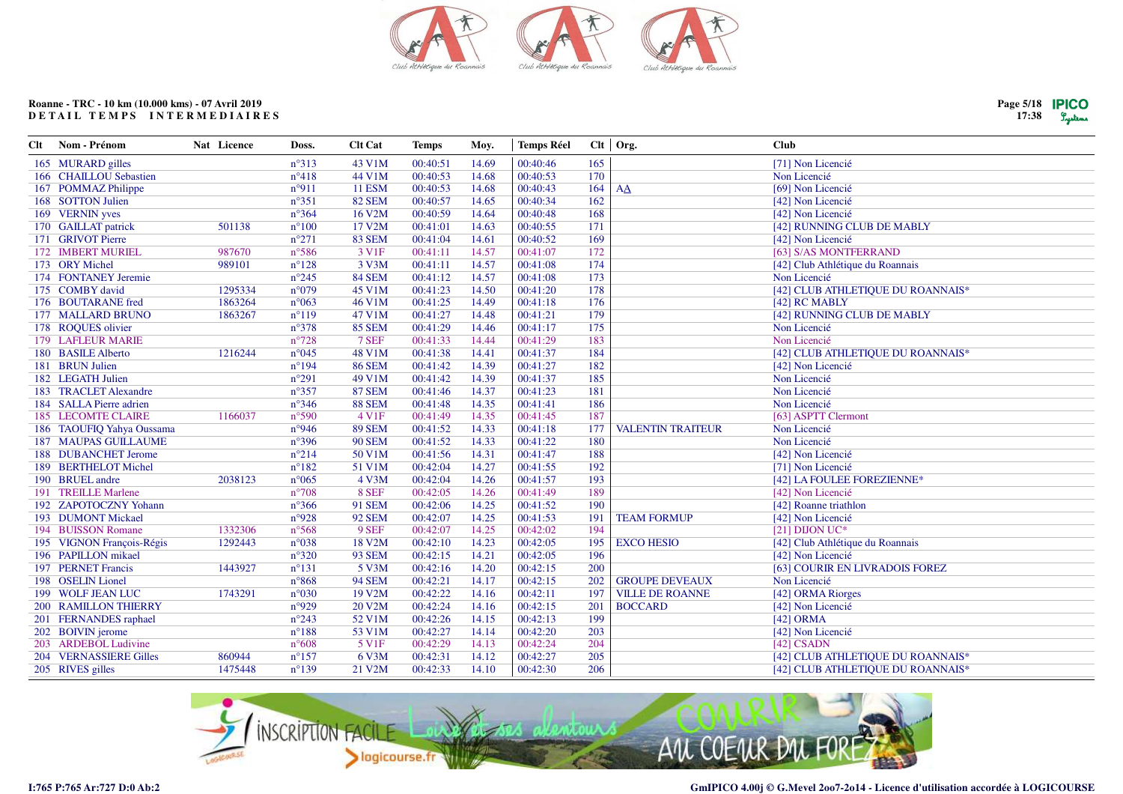

| Clt | Nom - Prénom                | Nat Licence | Doss.           | <b>Clt Cat</b>    | <b>Temps</b> | Moy.  | <b>Temps Réel</b> |     | Clt   Org.               | Club                              |
|-----|-----------------------------|-------------|-----------------|-------------------|--------------|-------|-------------------|-----|--------------------------|-----------------------------------|
|     | 165 MURARD gilles           |             | $n^{\circ}313$  | 43 V1M            | 00:40:51     | 14.69 | 00:40:46          | 165 |                          | [71] Non Licencié                 |
|     | 166 CHAILLOU Sebastien      |             | $n^{\circ}418$  | 44 V1M            | 00:40:53     | 14.68 | 00:40:53          | 170 |                          | Non Licencié                      |
|     | 167 POMMAZ Philippe         |             | n°911           | <b>11 ESM</b>     | 00:40:53     | 14.68 | 00:40:43          | 164 | AA                       | [69] Non Licencié                 |
|     | 168 SOTTON Julien           |             | $n^{\circ}351$  | <b>82 SEM</b>     | 00:40:57     | 14.65 | 00:40:34          | 162 |                          | [42] Non Licencié                 |
|     | 169 VERNIN yves             |             | $n^{\circ}364$  | 16 V2M            | 00:40:59     | 14.64 | 00:40:48          | 168 |                          | [42] Non Licencié                 |
|     | 170 GAILLAT patrick         | 501138      | $n^{\circ}100$  | 17 V2M            | 00:41:01     | 14.63 | 00:40:55          | 171 |                          | [42] RUNNING CLUB DE MABLY        |
|     | 171 GRIVOT Pierre           |             | $n^{\circ}271$  | <b>83 SEM</b>     | 00:41:04     | 14.61 | 00:40:52          | 169 |                          | [42] Non Licencié                 |
|     | 172 IMBERT MURIEL           | 987670      | $n^{\circ}586$  | 3 V <sub>1F</sub> | 00:41:11     | 14.57 | 00:41:07          | 172 |                          | [63] S/AS MONTFERRAND             |
|     | 173 ORY Michel              | 989101      | $n^{\circ}128$  | 3 V3M             | 00:41:11     | 14.57 | 00:41:08          | 174 |                          | [42] Club Athlétique du Roannais  |
|     | 174 FONTANEY Jeremie        |             | $n^{\circ}245$  | <b>84 SEM</b>     | 00:41:12     | 14.57 | 00:41:08          | 173 |                          | Non Licencié                      |
|     | 175 COMBY david             | 1295334     | $n^{\circ}079$  | 45 V1M            | 00:41:23     | 14.50 | 00:41:20          | 178 |                          | [42] CLUB ATHLETIQUE DU ROANNAIS* |
|     | 176 BOUTARANE fred          | 1863264     | $n^{\circ}063$  | 46 V1M            | 00:41:25     | 14.49 | 00:41:18          | 176 |                          | [42] RC MABLY                     |
|     | 177 MALLARD BRUNO           | 1863267     | $n^{\circ}119$  | 47 V1M            | 00:41:27     | 14.48 | 00:41:21          | 179 |                          | [42] RUNNING CLUB DE MABLY        |
|     | 178 ROQUES olivier          |             | $n^{\circ}378$  | <b>85 SEM</b>     | 00:41:29     | 14.46 | 00:41:17          | 175 |                          | Non Licencié                      |
|     | 179 LAFLEUR MARIE           |             | $n^{\circ}728$  | 7 SEF             | 00:41:33     | 14.44 | 00:41:29          | 183 |                          | Non Licencié                      |
|     | 180 BASILE Alberto          | 1216244     | n°045           | 48 V1M            | 00:41:38     | 14.41 | 00:41:37          | 184 |                          | [42] CLUB ATHLETIQUE DU ROANNAIS* |
|     | 181 BRUN Julien             |             | $n^{\circ}194$  | <b>86 SEM</b>     | 00:41:42     | 14.39 | 00:41:27          | 182 |                          | [42] Non Licencié                 |
|     | 182 LEGATH Julien           |             | $n^{\circ}291$  | 49 V1M            | 00:41:42     | 14.39 | 00:41:37          | 185 |                          | Non Licencié                      |
|     | 183 TRACLET Alexandre       |             | $n^{\circ}357$  | <b>87 SEM</b>     | 00:41:46     | 14.37 | 00:41:23          | 181 |                          | Non Licencié                      |
|     | 184 SALLA Pierre adrien     |             | $n^{\circ}346$  | <b>88 SEM</b>     | 00:41:48     | 14.35 | 00:41:41          | 186 |                          | Non Licencié                      |
|     | <b>185 LECOMTE CLAIRE</b>   | 1166037     | n°590           | 4 V1F             | 00:41:49     | 14.35 | 00:41:45          | 187 |                          | [63] ASPTT Clermont               |
|     | 186 TAOUFIQ Yahya Oussama   |             | n°946           | <b>89 SEM</b>     | 00:41:52     | 14.33 | 00:41:18          | 177 | <b>VALENTIN TRAITEUR</b> | Non Licencié                      |
|     | <b>187 MAUPAS GUILLAUME</b> |             | $n^{\circ}396$  | <b>90 SEM</b>     | 00:41:52     | 14.33 | 00:41:22          | 180 |                          | Non Licencié                      |
|     | 188 DUBANCHET Jerome        |             | $n^{\circ}214$  | 50 V1M            | 00:41:56     | 14.31 | 00:41:47          | 188 |                          | [42] Non Licencié                 |
|     | 189 BERTHELOT Michel        |             | $n^{\circ}182$  | 51 V1M            | 00:42:04     | 14.27 | 00:41:55          | 192 |                          | [71] Non Licencié                 |
|     | 190 BRUEL andre             | 2038123     | $n^{\circ}065$  | 4 V3M             | 00:42:04     | 14.26 | 00:41:57          | 193 |                          | [42] LA FOULEE FOREZIENNE*        |
|     | 191 TREILLE Marlene         |             | $n^{\circ}708$  | 8 SEF             | 00:42:05     | 14.26 | 00:41:49          | 189 |                          | [42] Non Licencié                 |
|     | 192 ZAPOTOCZNY Yohann       |             | $n^{\circ}366$  | <b>91 SEM</b>     | 00:42:06     | 14.25 | 00:41:52          | 190 |                          | [42] Roanne triathlon             |
|     | 193 DUMONT Mickael          |             | n°928           | <b>92 SEM</b>     | 00:42:07     | 14.25 | 00:41:53          | 191 | <b>TEAM FORMUP</b>       | [42] Non Licencié                 |
|     | 194 BUISSON Romane          | 1332306     | $n^{\circ}$ 568 | 9 SEF             | 00:42:07     | 14.25 | 00:42:02          | 194 |                          | [21] DIJON UC*                    |
|     | 195 VIGNON François-Régis   | 1292443     | n°038           | 18 V2M            | 00:42:10     | 14.23 | 00:42:05          | 195 | <b>EXCO HESIO</b>        | [42] Club Athlétique du Roannais  |
|     | 196 PAPILLON mikael         |             | $n^{\circ}320$  | <b>93 SEM</b>     | 00:42:15     | 14.21 | 00:42:05          | 196 |                          | [42] Non Licencié                 |
|     | 197 PERNET Francis          | 1443927     | $n^{\circ}131$  | 5 V3M             | 00:42:16     | 14.20 | 00:42:15          | 200 |                          | [63] COURIR EN LIVRADOIS FOREZ    |
|     | 198 OSELIN Lionel           |             | $n^{\circ}868$  | <b>94 SEM</b>     | 00:42:21     | 14.17 | 00:42:15          | 202 | <b>GROUPE DEVEAUX</b>    | Non Licencié                      |
|     | 199 WOLF JEAN LUC           | 1743291     | $n^{\circ}030$  | 19 V2M            | 00:42:22     | 14.16 | 00:42:11          | 197 | <b>VILLE DE ROANNE</b>   | [42] ORMA Riorges                 |
|     | 200 RAMILLON THIERRY        |             | n°929           | 20 V2M            | 00:42:24     | 14.16 | 00:42:15          | 201 | <b>BOCCARD</b>           | [42] Non Licencié                 |
|     | 201 FERNANDES raphael       |             | $n^{\circ}243$  | 52 V1M            | 00:42:26     | 14.15 | 00:42:13          | 199 |                          | [42] ORMA                         |
|     | 202 BOIVIN jerome           |             | $n^{\circ}188$  | 53 V1M            | 00:42:27     | 14.14 | 00:42:20          | 203 |                          | [42] Non Licencié                 |
|     | 203 ARDEBOL Ludivine        |             | $n^{\circ}608$  | 5 V1F             | 00:42:29     | 14.13 | 00:42:24          | 204 |                          | [42] CSADN                        |
|     | 204 VERNASSIERE Gilles      | 860944      | $n^{\circ}157$  | 6 V3M             | 00:42:31     | 14.12 | 00:42:27          | 205 |                          | [42] CLUB ATHLETIQUE DU ROANNAIS* |
|     | 205 RIVES gilles            | 1475448     | $n^{\circ}139$  | 21 V2M            | 00:42:33     | 14.10 | 00:42:30          | 206 |                          | [42] CLUB ATHLETIQUE DU ROANNAIS* |
|     |                             |             |                 |                   |              |       |                   |     |                          |                                   |

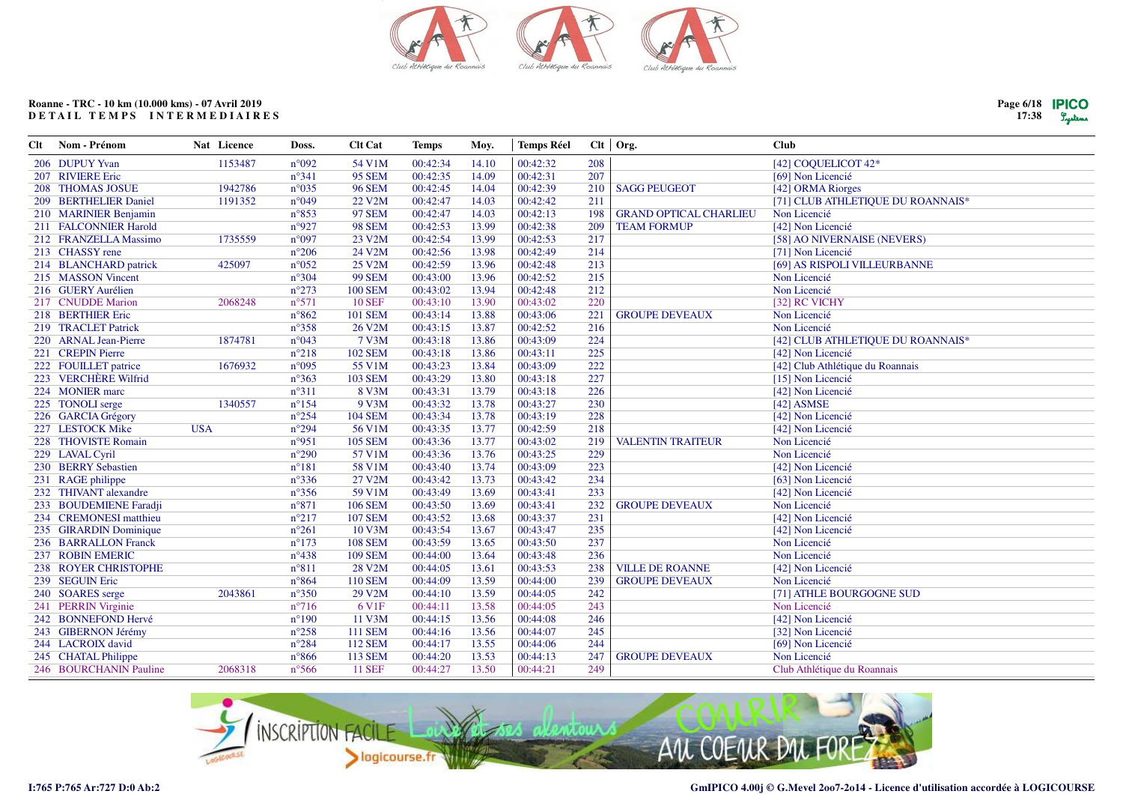

| Page 6/18  PICC |       |
|-----------------|-------|
| 17:38           | Luter |

| Clt | Nom - Prénom                | Nat Licence | Doss.           | <b>Clt Cat</b>    | <b>Temps</b> | Moy.  | <b>Temps Réel</b> |     | Clt   Org.                    | <b>Club</b>                       |
|-----|-----------------------------|-------------|-----------------|-------------------|--------------|-------|-------------------|-----|-------------------------------|-----------------------------------|
|     | 206 DUPUY Yvan              | 1153487     | n°092           | 54 V1M            | 00:42:34     | 14.10 | 00:42:32          | 208 |                               | [42] COQUELICOT 42*               |
|     | 207 RIVIERE Eric            |             | $n^{\circ}341$  | <b>95 SEM</b>     | 00:42:35     | 14.09 | 00:42:31          | 207 |                               | [69] Non Licencié                 |
|     | 208 THOMAS JOSUE            | 1942786     | $n^{\circ}035$  | <b>96 SEM</b>     | 00:42:45     | 14.04 | 00:42:39          | 210 | <b>SAGG PEUGEOT</b>           | [42] ORMA Riorges                 |
|     | 209 BERTHELIER Daniel       | 1191352     | n°049           | 22 V2M            | 00:42:47     | 14.03 | 00:42:42          | 211 |                               | [71] CLUB ATHLETIQUE DU ROANNAIS* |
|     | 210 MARINIER Benjamin       |             | $n^{\circ}853$  | <b>97 SEM</b>     | 00:42:47     | 14.03 | 00:42:13          | 198 | <b>GRAND OPTICAL CHARLIEU</b> | Non Licencié                      |
|     | 211 FALCONNIER Harold       |             | n°927           | <b>98 SEM</b>     | 00:42:53     | 13.99 | 00:42:38          | 209 | <b>TEAM FORMUP</b>            | [42] Non Licencié                 |
|     | 212 FRANZELLA Massimo       | 1735559     | n°097           | 23 V2M            | 00:42:54     | 13.99 | 00:42:53          | 217 |                               | [58] AO NIVERNAISE (NEVERS)       |
|     | 213 CHASSY rene             |             | $n^{\circ}206$  | 24 V2M            | 00:42:56     | 13.98 | 00:42:49          | 214 |                               | [71] Non Licencié                 |
|     | 214 BLANCHARD patrick       | 425097      | $n^{\circ}052$  | 25 V2M            | 00:42:59     | 13.96 | 00:42:48          | 213 |                               | [69] AS RISPOLI VILLEURBANNE      |
|     | 215 MASSON Vincent          |             | $n^{\circ}304$  | <b>99 SEM</b>     | 00:43:00     | 13.96 | 00:42:52          | 215 |                               | Non Licencié                      |
|     | 216 GUERY Aurélien          |             | $n^{\circ}273$  | <b>100 SEM</b>    | 00:43:02     | 13.94 | 00:42:48          | 212 |                               | Non Licencié                      |
|     | 217 CNUDDE Marion           | 2068248     | $n^{\circ}571$  | <b>10 SEF</b>     | 00:43:10     | 13.90 | 00:43:02          | 220 |                               | [32] RC VICHY                     |
|     | 218 BERTHIER Eric           |             | $n^{\circ}862$  | <b>101 SEM</b>    | 00:43:14     | 13.88 | 00:43:06          | 221 | <b>GROUPE DEVEAUX</b>         | Non Licencié                      |
|     | 219 TRACLET Patrick         |             | $n^{\circ}358$  | 26 V2M            | 00:43:15     | 13.87 | 00:42:52          | 216 |                               | Non Licencié                      |
|     | 220 ARNAL Jean-Pierre       | 1874781     | n°043           | 7 V3M             | 00:43:18     | 13.86 | 00:43:09          | 224 |                               | [42] CLUB ATHLETIQUE DU ROANNAIS* |
|     | 221 CREPIN Pierre           |             | $n^{\circ}218$  | <b>102 SEM</b>    | 00:43:18     | 13.86 | 00:43:11          | 225 |                               | [42] Non Licencié                 |
|     | 222 FOUILLET patrice        | 1676932     | n°095           | 55 V1M            | 00:43:23     | 13.84 | 00:43:09          | 222 |                               | [42] Club Athlétique du Roannais  |
|     | 223 VERCHÈRE Wilfrid        |             | $n^{\circ}363$  | <b>103 SEM</b>    | 00:43:29     | 13.80 | 00:43:18          | 227 |                               | [15] Non Licencié                 |
|     | 224 MONIER marc             |             | $n^{\circ}311$  | 8 V3M             | 00:43:31     | 13.79 | 00:43:18          | 226 |                               | [42] Non Licencié                 |
|     | 225 TONOLI serge            | 1340557     | $n^{\circ}154$  | 9 V3M             | 00:43:32     | 13.78 | 00:43:27          | 230 |                               | [42] ASMSE                        |
|     | 226 GARCIA Grégory          |             | $n^{\circ}254$  | <b>104 SEM</b>    | 00:43:34     | 13.78 | 00:43:19          | 228 |                               | [42] Non Licencié                 |
|     | 227 LESTOCK Mike            | <b>USA</b>  | $n^{\circ}294$  | 56 V1M            | 00:43:35     | 13.77 | 00:42:59          | 218 |                               | [42] Non Licencié                 |
|     | 228 THOVISTE Romain         |             | n°951           | <b>105 SEM</b>    | 00:43:36     | 13.77 | 00:43:02          | 219 | <b>VALENTIN TRAITEUR</b>      | Non Licencié                      |
|     | 229 LAVAL Cyril             |             | $n^{\circ}290$  | 57 V1M            | 00:43:36     | 13.76 | 00:43:25          | 229 |                               | Non Licencié                      |
|     | 230 BERRY Sebastien         |             | $n^{\circ}181$  | 58 V1M            | 00:43:40     | 13.74 | 00:43:09          | 223 |                               | [42] Non Licencié                 |
|     | 231 RAGE philippe           |             | $n^{\circ}336$  | 27 V2M            | 00:43:42     | 13.73 | 00:43:42          | 234 |                               | [63] Non Licencié                 |
|     | 232 THIVANT alexandre       |             | $n^{\circ}356$  | 59 V1M            | 00:43:49     | 13.69 | 00:43:41          | 233 |                               | [42] Non Licencié                 |
|     | 233 BOUDEMIENE Faradji      |             | $n^{\circ}871$  | <b>106 SEM</b>    | 00:43:50     | 13.69 | 00:43:41          | 232 | <b>GROUPE DEVEAUX</b>         | Non Licencié                      |
|     | 234 CREMONESI matthieu      |             | $n^{\circ}217$  | <b>107 SEM</b>    | 00:43:52     | 13.68 | 00:43:37          | 231 |                               | [42] Non Licencié                 |
|     | 235 GIRARDIN Dominique      |             | $n^{\circ}261$  | 10 V3M            | 00:43:54     | 13.67 | 00:43:47          | 235 |                               | [42] Non Licencié                 |
|     | 236 BARRALLON Franck        |             | $n^{\circ}173$  | <b>108 SEM</b>    | 00:43:59     | 13.65 | 00:43:50          | 237 |                               | Non Licencié                      |
|     | 237 ROBIN EMERIC            |             | $n^{\circ}438$  | <b>109 SEM</b>    | 00:44:00     | 13.64 | 00:43:48          | 236 |                               | Non Licencié                      |
|     | <b>238 ROYER CHRISTOPHE</b> |             | $n^{\circ}811$  | 28 V2M            | 00:44:05     | 13.61 | 00:43:53          | 238 | <b>VILLE DE ROANNE</b>        | [42] Non Licencié                 |
|     | 239 SEGUIN Eric             |             | $n^{\circ}864$  | <b>110 SEM</b>    | 00:44:09     | 13.59 | 00:44:00          | 239 | <b>GROUPE DEVEAUX</b>         | Non Licencié                      |
|     | 240 SOARES serge            | 2043861     | $n^{\circ}350$  | 29 V2M            | 00:44:10     | 13.59 | 00:44:05          | 242 |                               | [71] ATHLE BOURGOGNE SUD          |
|     | 241 PERRIN Virginie         |             | $n^{\circ}716$  | 6 V <sub>1F</sub> | 00:44:11     | 13.58 | 00:44:05          | 243 |                               | Non Licencié                      |
|     | 242 BONNEFOND Hervé         |             | $n^{\circ}190$  | 11 V3M            | 00:44:15     | 13.56 | 00:44:08          | 246 |                               | [42] Non Licencié                 |
|     | 243 GIBERNON Jérémy         |             | $n^{\circ}258$  | <b>111 SEM</b>    | 00:44:16     | 13.56 | 00:44:07          | 245 |                               | [32] Non Licencié                 |
|     | 244 LACROIX david           |             | $n^{\circ}284$  | <b>112 SEM</b>    | 00:44:17     | 13.55 | 00:44:06          | 244 |                               | [69] Non Licencié                 |
|     | 245 CHATAL Philippe         |             | $n^{\circ}866$  | <b>113 SEM</b>    | 00:44:20     | 13.53 | 00:44:13          | 247 | <b>GROUPE DEVEAUX</b>         | Non Licencié                      |
|     | 246 BOURCHANIN Pauline      | 2068318     | $n^{\circ}$ 566 | <b>11 SEF</b>     | 00:44:27     | 13.50 | 00:44:21          | 249 |                               | Club Athlétique du Roannais       |

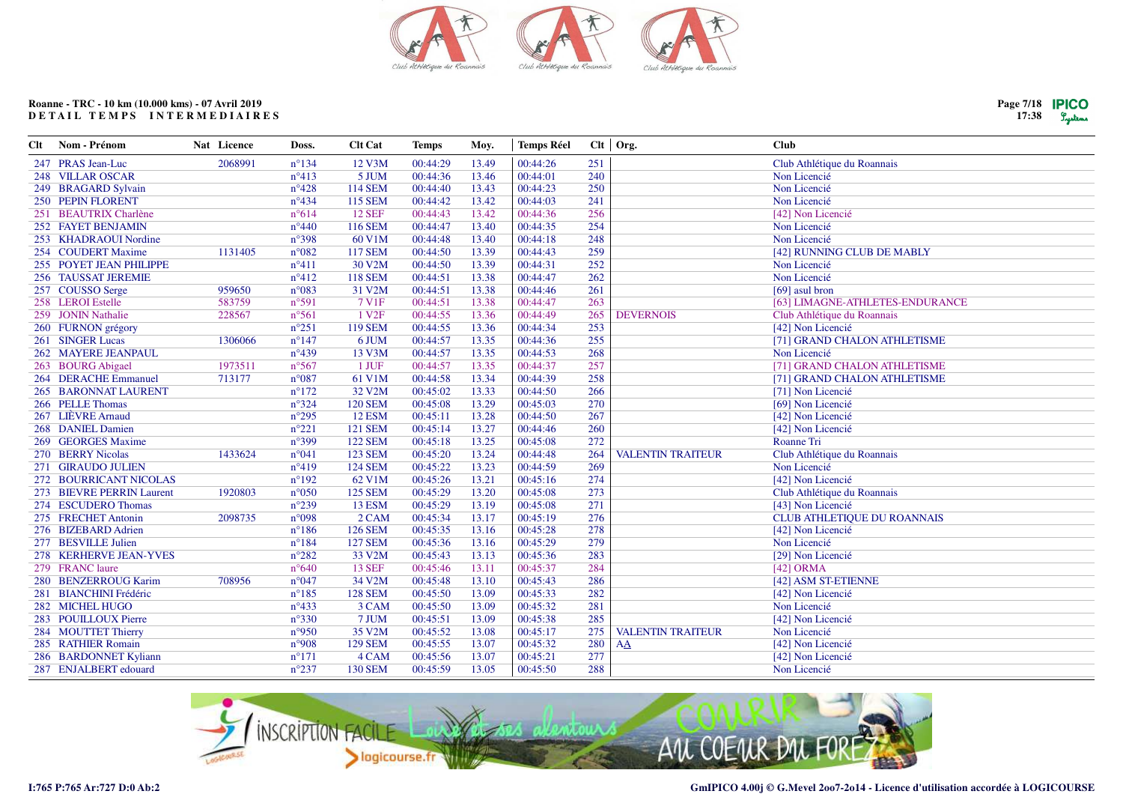

| Clt | Nom - Prénom              | Nat Licence | Doss.          | <b>Clt Cat</b>    | <b>Temps</b> | Moy.  | <b>Temps Réel</b> |     | $Clt$ Org.               | Club                               |
|-----|---------------------------|-------------|----------------|-------------------|--------------|-------|-------------------|-----|--------------------------|------------------------------------|
|     | 247 PRAS Jean-Luc         | 2068991     | $n^{\circ}134$ | 12 V3M            | 00:44:29     | 13.49 | 00:44:26          | 251 |                          | Club Athlétique du Roannais        |
|     | 248 VILLAR OSCAR          |             | $n^{\circ}413$ | 5 JUM             | 00:44:36     | 13.46 | 00:44:01          | 240 |                          | Non Licencié                       |
|     | 249 BRAGARD Sylvain       |             | $n^{\circ}428$ | <b>114 SEM</b>    | 00:44:40     | 13.43 | 00:44:23          | 250 |                          | Non Licencié                       |
|     | 250 PEPIN FLORENT         |             | $n^{\circ}434$ | <b>115 SEM</b>    | 00:44:42     | 13.42 | 00:44:03          | 241 |                          | Non Licencié                       |
|     | 251 BEAUTRIX Charlène     |             | $n^{\circ}614$ | <b>12 SEF</b>     | 00:44:43     | 13.42 | 00:44:36          | 256 |                          | [42] Non Licencié                  |
|     | 252 FAYET BENJAMIN        |             | $n^{\circ}440$ | <b>116 SEM</b>    | 00:44:47     | 13.40 | 00:44:35          | 254 |                          | Non Licencié                       |
|     | 253 KHADRAOUI Nordine     |             | $n^{\circ}398$ | 60 V1M            | 00:44:48     | 13.40 | 00:44:18          | 248 |                          | Non Licencié                       |
|     | 254 COUDERT Maxime        | 1131405     | $n^{\circ}082$ | <b>117 SEM</b>    | 00:44:50     | 13.39 | 00:44:43          | 259 |                          | [42] RUNNING CLUB DE MABLY         |
|     | 255 POYET JEAN PHILIPPE   |             | $n^{\circ}411$ | 30 V2M            | 00:44:50     | 13.39 | 00:44:31          | 252 |                          | Non Licencié                       |
|     | 256 TAUSSAT JEREMIE       |             | $n^{\circ}412$ | <b>118 SEM</b>    | 00:44:51     | 13.38 | 00:44:47          | 262 |                          | Non Licencié                       |
|     | 257 COUSSO Serge          | 959650      | $n^{\circ}083$ | 31 V2M            | 00:44:51     | 13.38 | 00:44:46          | 261 |                          | [69] asul bron                     |
|     | 258 LEROI Estelle         | 583759      | $n^{\circ}591$ | 7 V1F             | 00:44:51     | 13.38 | 00:44:47          | 263 |                          | [63] LIMAGNE-ATHLETES-ENDURANCE    |
|     | 259 JONIN Nathalie        | 228567      | $n^{\circ}561$ | 1 V <sub>2F</sub> | 00:44:55     | 13.36 | 00:44:49          | 265 | <b>DEVERNOIS</b>         | Club Athlétique du Roannais        |
|     | 260 FURNON grégory        |             | $n^{\circ}251$ | <b>119 SEM</b>    | 00:44:55     | 13.36 | 00:44:34          | 253 |                          | [42] Non Licencié                  |
|     | 261 SINGER Lucas          | 1306066     | $n^{\circ}147$ | 6 JUM             | 00:44:57     | 13.35 | 00:44:36          | 255 |                          | [71] GRAND CHALON ATHLETISME       |
|     | 262 MAYERE JEANPAUL       |             | $n^{\circ}439$ | 13 V3M            | 00:44:57     | 13.35 | 00:44:53          | 268 |                          | Non Licencié                       |
|     | 263 BOURG Abigael         | 1973511     | $n^{\circ}567$ | 1 JUF             | 00:44:57     | 13.35 | 00:44:37          | 257 |                          | [71] GRAND CHALON ATHLETISME       |
|     | 264 DERACHE Emmanuel      | 713177      | $n^{\circ}087$ | 61 V1M            | 00:44:58     | 13.34 | 00:44:39          | 258 |                          | [71] GRAND CHALON ATHLETISME       |
|     | 265 BARONNAT LAURENT      |             | $n^{\circ}172$ | 32 V2M            | 00:45:02     | 13.33 | 00:44:50          | 266 |                          | [71] Non Licencié                  |
|     | 266 PELLE Thomas          |             | $n^{\circ}324$ | <b>120 SEM</b>    | 00:45:08     | 13.29 | 00:45:03          | 270 |                          | [69] Non Licencié                  |
|     | 267 LIÈVRE Arnaud         |             | $n^{\circ}295$ | <b>12 ESM</b>     | 00:45:11     | 13.28 | 00:44:50          | 267 |                          | [42] Non Licencié                  |
|     | 268 DANIEL Damien         |             | $n^{\circ}221$ | <b>121 SEM</b>    | 00:45:14     | 13.27 | 00:44:46          | 260 |                          | [42] Non Licencié                  |
|     | 269 GEORGES Maxime        |             | $n^{\circ}399$ | <b>122 SEM</b>    | 00:45:18     | 13.25 | 00:45:08          | 272 |                          | Roanne Tri                         |
|     | 270 BERRY Nicolas         | 1433624     | $n^{\circ}041$ | 123 SEM           | 00:45:20     | 13.24 | 00:44:48          | 264 | <b>VALENTIN TRAITEUR</b> | Club Athlétique du Roannais        |
|     | 271 GIRAUDO JULIEN        |             | $n^{\circ}419$ | <b>124 SEM</b>    | 00:45:22     | 13.23 | 00:44:59          | 269 |                          | Non Licencié                       |
|     | 272 BOURRICANT NICOLAS    |             | $n^{\circ}192$ | 62 V1M            | 00:45:26     | 13.21 | 00:45:16          | 274 |                          | [42] Non Licencié                  |
|     | 273 BIEVRE PERRIN Laurent | 1920803     | $n^{\circ}050$ | <b>125 SEM</b>    | 00:45:29     | 13.20 | 00:45:08          | 273 |                          | Club Athlétique du Roannais        |
|     | 274 ESCUDERO Thomas       |             | $n^{\circ}239$ | <b>13 ESM</b>     | 00:45:29     | 13.19 | 00:45:08          | 271 |                          | [43] Non Licencié                  |
|     | 275 FRECHET Antonin       | 2098735     | n°098          | 2 CAM             | 00:45:34     | 13.17 | 00:45:19          | 276 |                          | <b>CLUB ATHLETIQUE DU ROANNAIS</b> |
|     | 276 BIZEBARD Adrien       |             | $n^{\circ}186$ | <b>126 SEM</b>    | 00:45:35     | 13.16 | 00:45:28          | 278 |                          | [42] Non Licencié                  |
|     | 277 BESVILLE Julien       |             | $n^{\circ}184$ | <b>127 SEM</b>    | 00:45:36     | 13.16 | 00:45:29          | 279 |                          | Non Licencié                       |
|     | 278 KERHERVE JEAN-YVES    |             | $n^{\circ}282$ | 33 V2M            | 00:45:43     | 13.13 | 00:45:36          | 283 |                          | [29] Non Licencié                  |
|     | 279 FRANC laure           |             | $n^{\circ}640$ | <b>13 SEF</b>     | 00:45:46     | 13.11 | 00:45:37          | 284 |                          | $[42]$ ORMA                        |
|     | 280 BENZERROUG Karim      | 708956      | $n^{\circ}047$ | 34 V2M            | 00:45:48     | 13.10 | 00:45:43          | 286 |                          | [42] ASM ST-ETIENNE                |
|     | 281 BIANCHINI Frédéric    |             | $n^{\circ}185$ | <b>128 SEM</b>    | 00:45:50     | 13.09 | 00:45:33          | 282 |                          | [42] Non Licencié                  |
|     | 282 MICHEL HUGO           |             | $n^{\circ}433$ | 3 CAM             | 00:45:50     | 13.09 | 00:45:32          | 281 |                          | Non Licencié                       |
|     | 283 POUILLOUX Pierre      |             | $n^{\circ}330$ | 7 JUM             | 00:45:51     | 13.09 | 00:45:38          | 285 |                          | [42] Non Licencié                  |
|     | 284 MOUTTET Thierry       |             | n°950          | 35 V2M            | 00:45:52     | 13.08 | 00:45:17          | 275 | <b>VALENTIN TRAITEUR</b> | Non Licencié                       |
|     | 285 RATHIER Romain        |             | n°908          | <b>129 SEM</b>    | 00:45:55     | 13.07 | 00:45:32          | 280 | AA                       | [42] Non Licencié                  |
|     | 286 BARDONNET Kyliann     |             | $n^{\circ}171$ | 4 CAM             | 00:45:56     | 13.07 | 00:45:21          | 277 |                          | [42] Non Licencié                  |
|     | 287 ENJALBERT edouard     |             | $n^{\circ}237$ | <b>130 SEM</b>    | 00:45:59     | 13.05 | 00:45:50          | 288 |                          | Non Licencié                       |



**I:765 P:765 Ar:727 D:0 Ab:2**

**Page 7/18 17:38**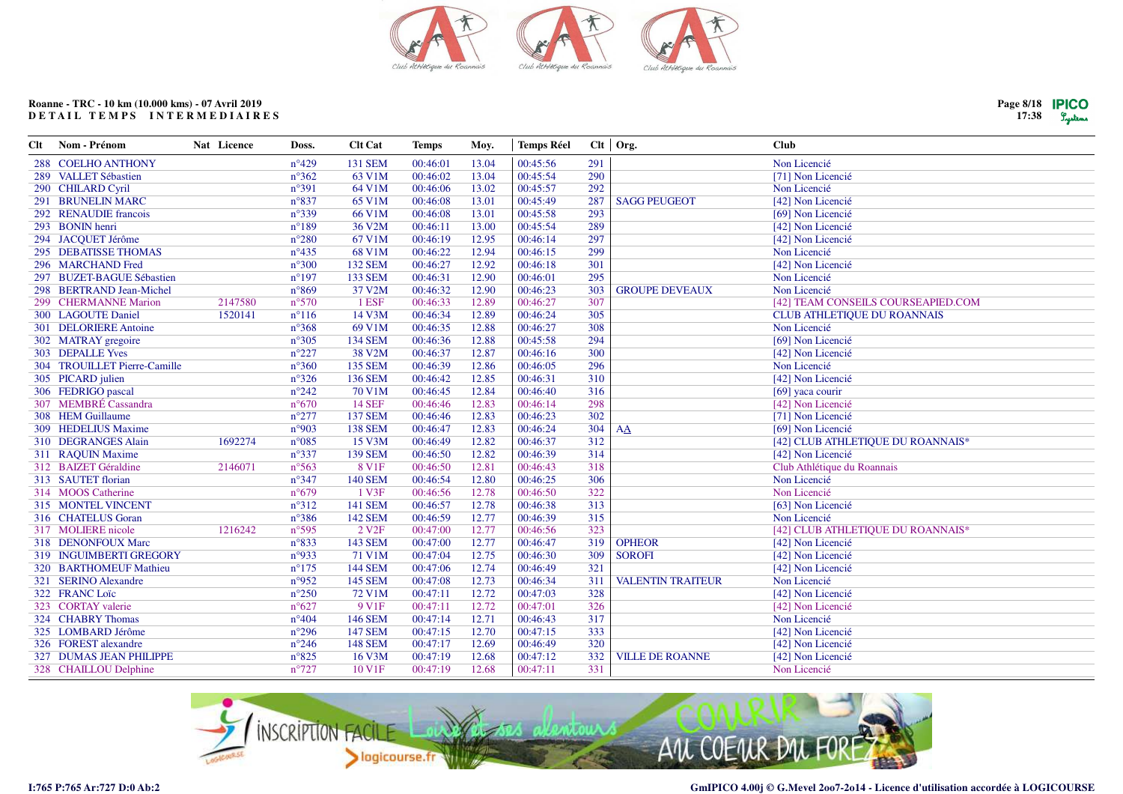

| Clt | Nom - Prénom                 | Nat Licence | Doss.           | <b>Clt Cat</b>    | <b>Temps</b> | Moy.  | <b>Temps Réel</b> |     | $Clt$ Org.               | <b>Club</b>                        |
|-----|------------------------------|-------------|-----------------|-------------------|--------------|-------|-------------------|-----|--------------------------|------------------------------------|
|     | 288 COELHO ANTHONY           |             | $n^{\circ}429$  | <b>131 SEM</b>    | 00:46:01     | 13.04 | 00:45:56          | 291 |                          | Non Licencié                       |
|     | 289 VALLET Sébastien         |             | $n^{\circ}362$  | 63 V1M            | 00:46:02     | 13.04 | 00:45:54          | 290 |                          | [71] Non Licencié                  |
|     | 290 CHILARD Cyril            |             | $n^{\circ}391$  | 64 V1M            | 00:46:06     | 13.02 | 00:45:57          | 292 |                          | Non Licencié                       |
|     | 291 BRUNELIN MARC            |             | $n^{\circ}837$  | 65 V1M            | 00:46:08     | 13.01 | 00:45:49          | 287 | <b>SAGG PEUGEOT</b>      | [42] Non Licencié                  |
|     | 292 RENAUDIE francois        |             | $n^{\circ}339$  | 66 V1M            | 00:46:08     | 13.01 | 00:45:58          | 293 |                          | [69] Non Licencié                  |
|     | 293 BONIN henri              |             | $n^{\circ}189$  | 36 V2M            | 00:46:11     | 13.00 | 00:45:54          | 289 |                          | [42] Non Licencié                  |
|     | 294 JACQUET Jérôme           |             | $n^{\circ}280$  | 67 V1M            | 00:46:19     | 12.95 | 00:46:14          | 297 |                          | [42] Non Licencié                  |
|     | 295 DEBATISSE THOMAS         |             | $n^{\circ}435$  | 68 V1M            | 00:46:22     | 12.94 | 00:46:15          | 299 |                          | Non Licencié                       |
|     | 296 MARCHAND Fred            |             | $n^{\circ}300$  | <b>132 SEM</b>    | 00:46:27     | 12.92 | 00:46:18          | 301 |                          | [42] Non Licencié                  |
|     | 297 BUZET-BAGUE Sébastien    |             | $n^{\circ}197$  | <b>133 SEM</b>    | 00:46:31     | 12.90 | 00:46:01          | 295 |                          | Non Licencié                       |
|     | 298 BERTRAND Jean-Michel     |             | $n^{\circ}869$  | 37 V2M            | 00:46:32     | 12.90 | 00:46:23          | 303 | <b>GROUPE DEVEAUX</b>    | Non Licencié                       |
|     | 299 CHERMANNE Marion         | 2147580     | $n^{\circ}570$  | 1 ESF             | 00:46:33     | 12.89 | 00:46:27          | 307 |                          | [42] TEAM CONSEILS COURSEAPIED.COM |
|     | 300 LAGOUTE Daniel           | 1520141     | $n^{\circ}116$  | 14 V3M            | 00:46:34     | 12.89 | 00:46:24          | 305 |                          | <b>CLUB ATHLETIQUE DU ROANNAIS</b> |
|     | 301 DELORIERE Antoine        |             | $n^{\circ}368$  | 69 V1M            | 00:46:35     | 12.88 | 00:46:27          | 308 |                          | Non Licencié                       |
|     | 302 MATRAY gregoire          |             | $n^{\circ}305$  | <b>134 SEM</b>    | 00:46:36     | 12.88 | 00:45:58          | 294 |                          | [69] Non Licencié                  |
|     | 303 DEPALLE Yves             |             | $n^{\circ}227$  | 38 V2M            | 00:46:37     | 12.87 | 00:46:16          | 300 |                          | [42] Non Licencié                  |
|     | 304 TROUILLET Pierre-Camille |             | $n^{\circ}360$  | <b>135 SEM</b>    | 00:46:39     | 12.86 | 00:46:05          | 296 |                          | Non Licencié                       |
|     | 305 PICARD julien            |             | $n^{\circ}326$  | <b>136 SEM</b>    | 00:46:42     | 12.85 | 00:46:31          | 310 |                          | [42] Non Licencié                  |
|     | 306 FEDRIGO pascal           |             | $n^{\circ}242$  | 70 V1M            | 00:46:45     | 12.84 | 00:46:40          | 316 |                          | [69] yaca courir                   |
|     | 307 MEMBRÉ Cassandra         |             | $n^{\circ}670$  | <b>14 SEF</b>     | 00:46:46     | 12.83 | 00:46:14          | 298 |                          | [42] Non Licencié                  |
|     | 308 HEM Guillaume            |             | $n^{\circ}277$  | <b>137 SEM</b>    | 00:46:46     | 12.83 | 00:46:23          | 302 |                          | [71] Non Licencié                  |
|     | 309 HEDELIUS Maxime          |             | n°903           | <b>138 SEM</b>    | 00:46:47     | 12.83 | 00:46:24          | 304 | AA                       | [69] Non Licencié                  |
|     | 310 DEGRANGES Alain          | 1692274     | $n^{\circ}085$  | 15 V3M            | 00:46:49     | 12.82 | 00:46:37          | 312 |                          | [42] CLUB ATHLETIQUE DU ROANNAIS*  |
|     | 311 RAQUIN Maxime            |             | $n^{\circ}337$  | <b>139 SEM</b>    | 00:46:50     | 12.82 | 00:46:39          | 314 |                          | [42] Non Licencié                  |
|     | 312 BAIZET Géraldine         | 2146071     | $n^{\circ}$ 563 | 8 V1F             | 00:46:50     | 12.81 | 00:46:43          | 318 |                          | Club Athlétique du Roannais        |
|     | 313 SAUTET florian           |             | $n^{\circ}347$  | <b>140 SEM</b>    | 00:46:54     | 12.80 | 00:46:25          | 306 |                          | Non Licencié                       |
|     | 314 MOOS Catherine           |             | $n^{\circ}679$  | 1 V3F             | 00:46:56     | 12.78 | 00:46:50          | 322 |                          | Non Licencié                       |
|     | 315 MONTEL VINCENT           |             | $n^{\circ}312$  | <b>141 SEM</b>    | 00:46:57     | 12.78 | 00:46:38          | 313 |                          | [63] Non Licencié                  |
|     | 316 CHATELUS Goran           |             | $n^{\circ}386$  | 142 SEM           | 00:46:59     | 12.77 | 00:46:39          | 315 |                          | Non Licencié                       |
|     | 317 MOLIERE nicole           | 1216242     | $n^{\circ}595$  | 2 V <sub>2F</sub> | 00:47:00     | 12.77 | 00:46:56          | 323 |                          | [42] CLUB ATHLETIQUE DU ROANNAIS*  |
|     | 318 DENONFOUX Marc           |             | $n^{\circ}833$  | <b>143 SEM</b>    | 00:47:00     | 12.77 | 00:46:47          | 319 | <b>OPHEOR</b>            | [42] Non Licencié                  |
|     | 319 INGUIMBERTI GREGORY      |             | n°933           | 71 V1M            | 00:47:04     | 12.75 | 00:46:30          | 309 | <b>SOROFI</b>            | [42] Non Licencié                  |
|     | 320 BARTHOMEUF Mathieu       |             | $n^{\circ}175$  | <b>144 SEM</b>    | 00:47:06     | 12.74 | 00:46:49          | 321 |                          | [42] Non Licencié                  |
|     | 321 SERINO Alexandre         |             | n°952           | 145 SEM           | 00:47:08     | 12.73 | 00:46:34          | 311 | <b>VALENTIN TRAITEUR</b> | Non Licencié                       |
|     | 322 FRANC Loïc               |             | $n^{\circ}250$  | 72 V1M            | 00:47:11     | 12.72 | 00:47:03          | 328 |                          | [42] Non Licencié                  |
|     | 323 CORTAY valerie           |             | $n^{\circ}627$  | 9 V <sub>1F</sub> | 00:47:11     | 12.72 | 00:47:01          | 326 |                          | [42] Non Licencié                  |
|     | 324 CHABRY Thomas            |             | $n^{\circ}404$  | <b>146 SEM</b>    | 00:47:14     | 12.71 | 00:46:43          | 317 |                          | Non Licencié                       |
|     | 325 LOMBARD Jérôme           |             | $n^{\circ}296$  | <b>147 SEM</b>    | 00:47:15     | 12.70 | 00:47:15          | 333 |                          | [42] Non Licencié                  |
|     | 326 FOREST alexandre         |             | $n^{\circ}246$  | <b>148 SEM</b>    | 00:47:17     | 12.69 | 00:46:49          | 320 |                          | [42] Non Licencié                  |
|     | 327 DUMAS JEAN PHILIPPE      |             | $n^{\circ}825$  | 16 V3M            | 00:47:19     | 12.68 | 00:47:12          | 332 | <b>VILLE DE ROANNE</b>   | [42] Non Licencié                  |
|     | 328 CHAILLOU Delphine        |             | $n^{\circ}727$  | 10 V1F            | 00:47:19     | 12.68 | 00:47:11          | 331 |                          | Non Licencié                       |
|     |                              |             |                 |                   |              |       |                   |     |                          |                                    |



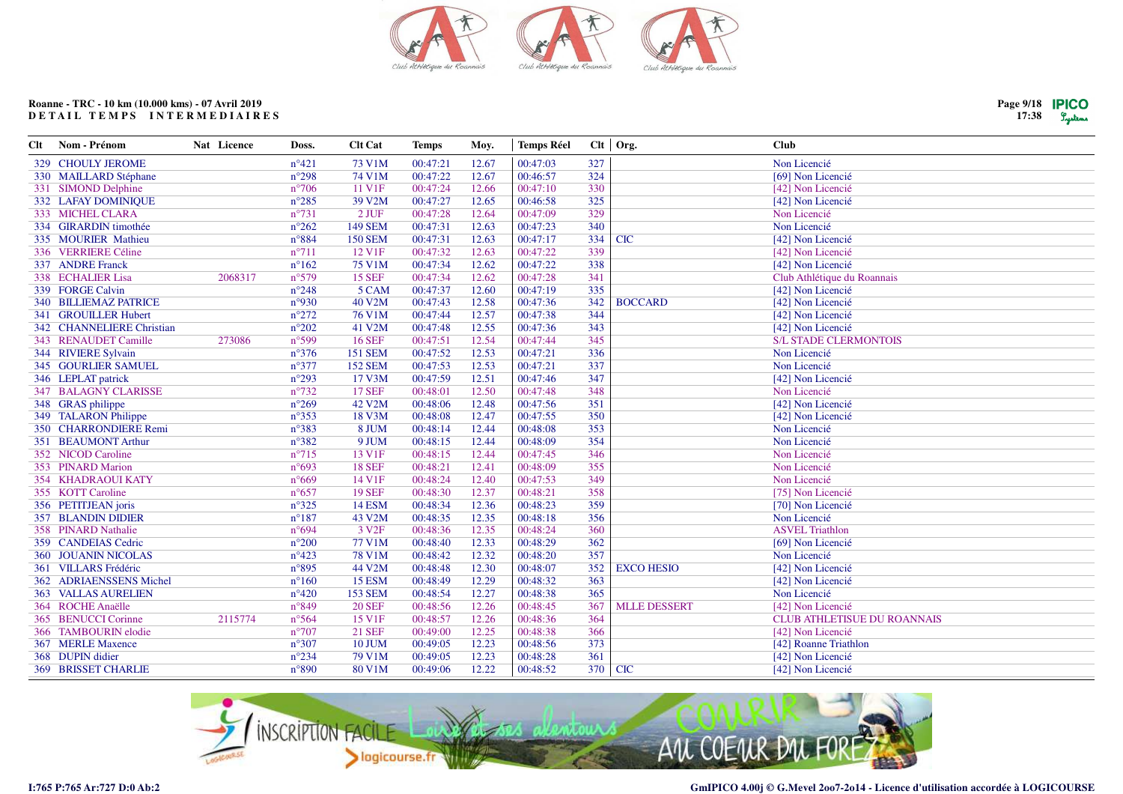

| Clt | Nom - Prénom                 | Nat Licence | Doss.           | <b>Clt Cat</b>    | <b>Temps</b> | Moy.  | <b>Temps Réel</b> |         | $Clt$ Org.          | <b>Club</b>                        |
|-----|------------------------------|-------------|-----------------|-------------------|--------------|-------|-------------------|---------|---------------------|------------------------------------|
|     | <b>329 CHOULY JEROME</b>     |             | $n^{\circ}421$  | 73 V1M            | 00:47:21     | 12.67 | 00:47:03          | 327     |                     | Non Licencié                       |
|     | 330 MAILLARD Stéphane        |             | $n^{\circ}298$  | 74 V1M            | 00:47:22     | 12.67 | 00:46:57          | 324     |                     | [69] Non Licencié                  |
|     | 331 SIMOND Delphine          |             | $n^{\circ}706$  | 11 V1F            | 00:47:24     | 12.66 | 00:47:10          | 330     |                     | [42] Non Licencié                  |
|     | 332 LAFAY DOMINIQUE          |             | $n^{\circ}285$  | 39 V2M            | 00:47:27     | 12.65 | 00:46:58          | 325     |                     | [42] Non Licencié                  |
|     | 333 MICHEL CLARA             |             | $n^{\circ}731$  | 2 JUF             | 00:47:28     | 12.64 | 00:47:09          | 329     |                     | Non Licencié                       |
|     | 334 GIRARDIN timothée        |             | $n^{\circ}262$  | <b>149 SEM</b>    | 00:47:31     | 12.63 | 00:47:23          | 340     |                     | Non Licencié                       |
|     | 335 MOURIER Mathieu          |             | $n^{\circ}884$  | <b>150 SEM</b>    | 00:47:31     | 12.63 | 00:47:17          | 334     | <b>CIC</b>          | [42] Non Licencié                  |
|     | 336 VERRIERE Céline          |             | $n^{\circ}711$  | 12 V1F            | 00:47:32     | 12.63 | 00:47:22          | 339     |                     | [42] Non Licencié                  |
|     | 337 ANDRE Franck             |             | $n^{\circ}162$  | 75 V1M            | 00:47:34     | 12.62 | 00:47:22          | 338     |                     | [42] Non Licencié                  |
|     | 338 ECHALIER Lisa            | 2068317     | $n^{\circ}579$  | <b>15 SEF</b>     | 00:47:34     | 12.62 | 00:47:28          | 341     |                     | Club Athlétique du Roannais        |
|     | 339 FORGE Calvin             |             | $n^{\circ}248$  | 5 CAM             | 00:47:37     | 12.60 | 00:47:19          | 335     |                     | [42] Non Licencié                  |
|     | <b>340 BILLIEMAZ PATRICE</b> |             | n°930           | 40 V2M            | 00:47:43     | 12.58 | 00:47:36          | 342     | <b>BOCCARD</b>      | [42] Non Licencié                  |
|     | 341 GROUILLER Hubert         |             | $n^{\circ}272$  | <b>76 V1M</b>     | 00:47:44     | 12.57 | 00:47:38          | 344     |                     | [42] Non Licencié                  |
|     | 342 CHANNELIERE Christian    |             | $n^{\circ}202$  | 41 V2M            | 00:47:48     | 12.55 | 00:47:36          | 343     |                     | [42] Non Licencié                  |
|     | 343 RENAUDET Camille         | 273086      | $n^{\circ}599$  | <b>16 SEF</b>     | 00:47:51     | 12.54 | 00:47:44          | 345     |                     | <b>S/L STADE CLERMONTOIS</b>       |
|     | 344 RIVIERE Sylvain          |             | $n^{\circ}376$  | <b>151 SEM</b>    | 00:47:52     | 12.53 | 00:47:21          | 336     |                     | Non Licencié                       |
|     | <b>345 GOURLIER SAMUEL</b>   |             | $n^{\circ}377$  | <b>152 SEM</b>    | 00:47:53     | 12.53 | 00:47:21          | 337     |                     | Non Licencié                       |
|     | 346 LEPLAT patrick           |             | $n^{\circ}293$  | 17 V3M            | 00:47:59     | 12.51 | 00:47:46          | 347     |                     | [42] Non Licencié                  |
|     | 347 BALAGNY CLARISSE         |             | $n^{\circ}732$  | <b>17 SEF</b>     | 00:48:01     | 12.50 | 00:47:48          | 348     |                     | Non Licencié                       |
|     | 348 GRAS philippe            |             | $n^{\circ}269$  | 42 V2M            | 00:48:06     | 12.48 | 00:47:56          | 351     |                     | [42] Non Licencié                  |
|     | 349 TALARON Philippe         |             | $n^{\circ}353$  | 18 V3M            | 00:48:08     | 12.47 | 00:47:55          | 350     |                     | [42] Non Licencié                  |
|     | 350 CHARRONDIERE Remi        |             | $n^{\circ}383$  | 8 JUM             | 00:48:14     | 12.44 | 00:48:08          | 353     |                     | Non Licencié                       |
|     | 351 BEAUMONT Arthur          |             | $n^{\circ}382$  | 9 JUM             | 00:48:15     | 12.44 | 00:48:09          | 354     |                     | Non Licencié                       |
|     | 352 NICOD Caroline           |             | $n^{\circ}715$  | 13 V1F            | 00:48:15     | 12.44 | 00:47:45          | 346     |                     | Non Licencié                       |
|     | 353 PINARD Marion            |             | $n^{\circ}693$  | <b>18 SEF</b>     | 00:48:21     | 12.41 | 00:48:09          | 355     |                     | Non Licencié                       |
|     | 354 KHADRAOUI KATY           |             | $n^{\circ}669$  | 14 V1F            | 00:48:24     | 12.40 | 00:47:53          | 349     |                     | Non Licencié                       |
|     | 355 KOTT Caroline            |             | $n^{\circ}657$  | <b>19 SEF</b>     | 00:48:30     | 12.37 | 00:48:21          | 358     |                     | [75] Non Licencié                  |
|     | 356 PETITJEAN joris          |             | $n^{\circ}325$  | <b>14 ESM</b>     | 00:48:34     | 12.36 | 00:48:23          | 359     |                     | [70] Non Licencié                  |
|     | <b>357 BLANDIN DIDIER</b>    |             | $n^{\circ}187$  | 43 V2M            | 00:48:35     | 12.35 | 00:48:18          | 356     |                     | Non Licencié                       |
|     | 358 PINARD Nathalie          |             | $n^{\circ}694$  | 3 V <sub>2F</sub> | 00:48:36     | 12.35 | 00:48:24          | 360     |                     | <b>ASVEL Triathlon</b>             |
|     | 359 CANDEIAS Cedric          |             | $n^{\circ}200$  | 77 V1M            | 00:48:40     | 12.33 | 00:48:29          | 362     |                     | [69] Non Licencié                  |
|     | <b>360 JOUANIN NICOLAS</b>   |             | $n^{\circ}423$  | <b>78 V1M</b>     | 00:48:42     | 12.32 | 00:48:20          | 357     |                     | Non Licencié                       |
|     | 361 VILLARS Frédéric         |             | $n^{\circ}895$  | 44 V2M            | 00:48:48     | 12.30 | 00:48:07          | 352     | <b>EXCO HESIO</b>   | [42] Non Licencié                  |
|     | 362 ADRIAENSSENS Michel      |             | $n^{\circ}160$  | <b>15 ESM</b>     | 00:48:49     | 12.29 | 00:48:32          | 363     |                     | [42] Non Licencié                  |
|     | <b>363 VALLAS AURELIEN</b>   |             | $n^{\circ}420$  | <b>153 SEM</b>    | 00:48:54     | 12.27 | 00:48:38          | 365     |                     | Non Licencié                       |
|     | 364 ROCHE Anaëlle            |             | $n^{\circ}849$  | <b>20 SEF</b>     | 00:48:56     | 12.26 | 00:48:45          | 367     | <b>MLLE DESSERT</b> | [42] Non Licencié                  |
|     | 365 BENUCCI Corinne          | 2115774     | $n^{\circ}$ 564 | 15 V1F            | 00:48:57     | 12.26 | 00:48:36          | 364     |                     | <b>CLUB ATHLETISUE DU ROANNAIS</b> |
|     | 366 TAMBOURIN elodie         |             | $n^{\circ}707$  | <b>21 SEF</b>     | 00:49:00     | 12.25 | 00:48:38          | 366     |                     | [42] Non Licencié                  |
|     | 367 MERLE Maxence            |             | $n^{\circ}307$  | <b>10 JUM</b>     | 00:49:05     | 12.23 | 00:48:56          | 373     |                     | [42] Roanne Triathlon              |
|     | 368 DUPIN didier             |             | $n^{\circ}234$  | <b>79 V1M</b>     | 00:49:05     | 12.23 | 00:48:28          | 361     |                     | [42] Non Licencié                  |
|     | <b>369 BRISSET CHARLIE</b>   |             | $n^{\circ}890$  | 80 V1M            | 00:49:06     | 12.22 | 00:48:52          | 370 CIC |                     | [42] Non Licencié                  |



**I:765 P:765 Ar:727 D:0 Ab:2**

**Page 9/1817:38**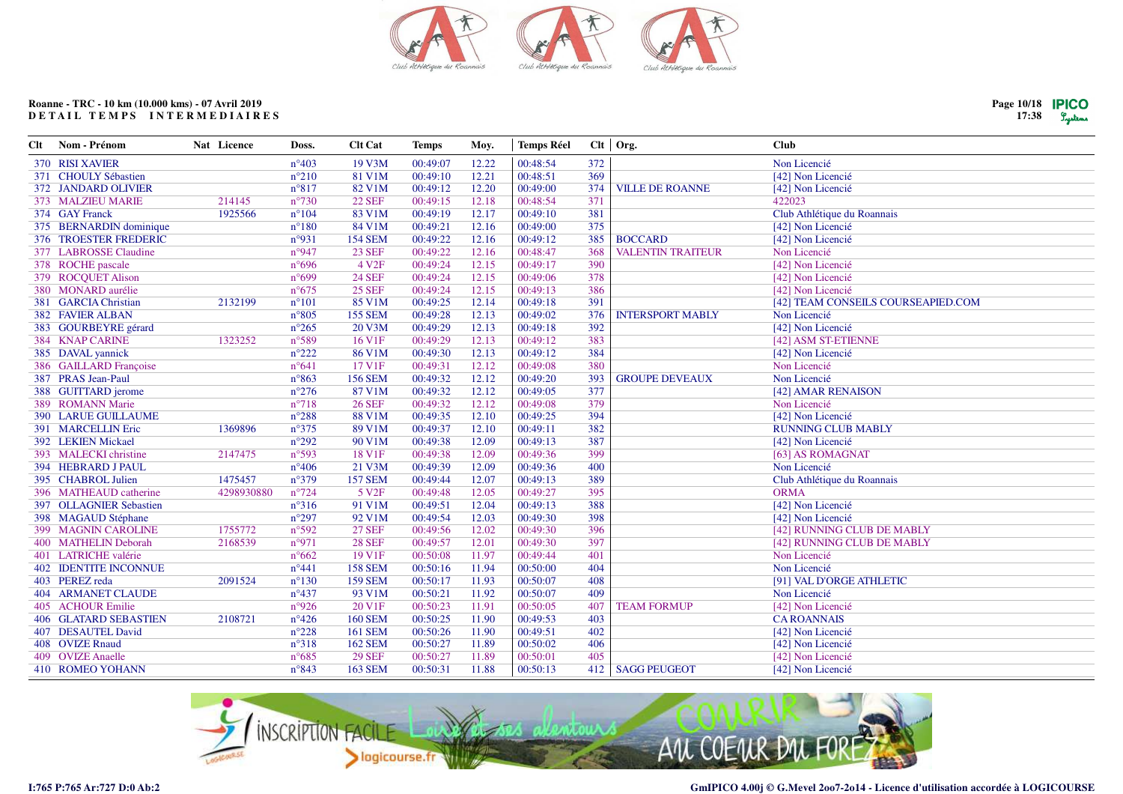

| Nom - Prénom                 | Nat Licence                               | Doss.           | <b>Clt Cat</b>                                              | <b>Temps</b> | Moy.                             | <b>Temps Réel</b> |          |                                 | <b>Club</b>                        |
|------------------------------|-------------------------------------------|-----------------|-------------------------------------------------------------|--------------|----------------------------------|-------------------|----------|---------------------------------|------------------------------------|
| 370 RISI XAVIER              |                                           | $n^{\circ}403$  | 19 V3M                                                      | 00:49:07     | 12.22                            | 00:48:54          | 372      |                                 | Non Licencié                       |
| 371 CHOULY Sébastien         |                                           | $n^{\circ}210$  | 81 V1M                                                      | 00:49:10     | 12.21                            | 00:48:51          | 369      |                                 | [42] Non Licencié                  |
| 372 JANDARD OLIVIER          |                                           | $n^{\circ}817$  | 82 V1M                                                      | 00:49:12     | 12.20                            | 00:49:00          | 374      | <b>VILLE DE ROANNE</b>          | [42] Non Licencié                  |
| 373 MALZIEU MARIE            | 214145                                    | $n^{\circ}730$  | <b>22 SEF</b>                                               | 00:49:15     | 12.18                            | 00:48:54          | 371      |                                 | 422023                             |
| 374 GAY Franck               | 1925566                                   | $n^{\circ}104$  | 83 V1M                                                      | 00:49:19     | 12.17                            | 00:49:10          | 381      |                                 | Club Athlétique du Roannais        |
| 375 BERNARDIN dominique      |                                           | $n^{\circ}180$  | 84 V1M                                                      | 00:49:21     | 12.16                            | 00:49:00          | 375      |                                 | [42] Non Licencié                  |
| 376 TROESTER FREDERIC        |                                           | n°931           | <b>154 SEM</b>                                              | 00:49:22     | 12.16                            | 00:49:12          | 385      | <b>BOCCARD</b>                  | [42] Non Licencié                  |
| 377 LABROSSE Claudine        |                                           | n°947           | <b>23 SEF</b>                                               | 00:49:22     | 12.16                            | 00:48:47          | 368      | <b>VALENTIN TRAITEUR</b>        | Non Licencié                       |
|                              |                                           | $n^{\circ}696$  | 4 V <sub>2F</sub>                                           | 00:49:24     | 12.15                            | 00:49:17          | 390      |                                 | [42] Non Licencié                  |
| 379 ROCQUET Alison           |                                           | n°699           | <b>24 SEF</b>                                               | 00:49:24     | 12.15                            | 00:49:06          | 378      |                                 | [42] Non Licencié                  |
| 380 MONARD aurélie           |                                           | $n^{\circ}675$  | <b>25 SEF</b>                                               | 00:49:24     | 12.15                            | 00:49:13          | 386      |                                 | [42] Non Licencié                  |
| 381 GARCIA Christian         | 2132199                                   | $n^{\circ}101$  | 85 V1M                                                      | 00:49:25     | 12.14                            | 00:49:18          | 391      |                                 | [42] TEAM CONSEILS COURSEAPIED.COM |
| 382 FAVIER ALBAN             |                                           | $n^{\circ}805$  | <b>155 SEM</b>                                              | 00:49:28     | 12.13                            | 00:49:02          | 376      | <b>INTERSPORT MABLY</b>         | Non Licencié                       |
|                              |                                           | $n^{\circ}265$  | 20 V3M                                                      | 00:49:29     | 12.13                            | 00:49:18          | 392      |                                 | [42] Non Licencié                  |
| 384 KNAP CARINE              | 1323252                                   | n°589           | 16 V1F                                                      | 00:49:29     | 12.13                            | 00:49:12          | 383      |                                 | [42] ASM ST-ETIENNE                |
| 385 DAVAL yannick            |                                           | $n^{\circ}222$  | 86 V1M                                                      | 00:49:30     | 12.13                            | 00:49:12          | 384      |                                 | [42] Non Licencié                  |
| 386 GAILLARD Françoise       |                                           | $n^{\circ}641$  | 17 V1F                                                      | 00:49:31     | 12.12                            | 00:49:08          | 380      |                                 | Non Licencié                       |
| 387 PRAS Jean-Paul           |                                           | $n^{\circ}863$  | <b>156 SEM</b>                                              | 00:49:32     | 12.12                            | 00:49:20          | 393      | <b>GROUPE DEVEAUX</b>           | Non Licencié                       |
| 388 GUITTARD jerome          |                                           | $n^{\circ}276$  | 87 V1M                                                      | 00:49:32     | 12.12                            | 00:49:05          | 377      |                                 | [42] AMAR RENAISON                 |
| 389 ROMANN Marie             |                                           | $n^{\circ}718$  | <b>26 SEF</b>                                               | 00:49:32     | 12.12                            | 00:49:08          | 379      |                                 | Non Licencié                       |
| <b>390 LARUE GUILLAUME</b>   |                                           | $n^{\circ}288$  | <b>88 V1M</b>                                               | 00:49:35     | 12.10                            | 00:49:25          | 394      |                                 | [42] Non Licencié                  |
| 391 MARCELLIN Eric           | 1369896                                   | $n^{\circ}375$  | 89 V1M                                                      | 00:49:37     | 12.10                            | 00:49:11          | 382      |                                 | <b>RUNNING CLUB MABLY</b>          |
| 392 LEKIEN Mickael           |                                           | $n^{\circ}292$  | 90 V1M                                                      | 00:49:38     | 12.09                            | 00:49:13          | 387      |                                 | [42] Non Licencié                  |
| 393 MALECKI christine        | 2147475                                   | n°593           | 18 V1F                                                      | 00:49:38     | 12.09                            | 00:49:36          | 399      |                                 | [63] AS ROMAGNAT                   |
| 394 HEBRARD J PAUL           |                                           | $n^{\circ}406$  | 21 V3M                                                      | 00:49:39     | 12.09                            | 00:49:36          | 400      |                                 | Non Licencié                       |
| 395 CHABROL Julien           | 1475457                                   | n°379           | <b>157 SEM</b>                                              | 00:49:44     | 12.07                            | 00:49:13          |          |                                 | Club Athlétique du Roannais        |
| 396 MATHEAUD catherine       | 4298930880                                | $n^{\circ}$ 724 | 5 V <sub>2F</sub>                                           | 00:49:48     | 12.05                            | 00:49:27          |          |                                 | <b>ORMA</b>                        |
| 397 OLLAGNIER Sebastien      |                                           |                 |                                                             |              |                                  |                   |          |                                 | [42] Non Licencié                  |
| 398 MAGAUD Stéphane          |                                           | $n^{\circ}297$  | 92 V1M                                                      | 00:49:54     | 12.03                            | 00:49:30          | 398      |                                 | [42] Non Licencié                  |
| 399 MAGNIN CAROLINE          | 1755772                                   | n°592           | <b>27 SEF</b>                                               | 00:49:56     | 12.02                            | 00:49:30          | 396      |                                 | [42] RUNNING CLUB DE MABLY         |
| 400 MATHELIN Deborah         | 2168539                                   |                 | <b>28 SEF</b>                                               | 00:49:57     | 12.01                            | 00:49:30          |          |                                 | [42] RUNNING CLUB DE MABLY         |
| 401 LATRICHE valérie         |                                           |                 | 19 V1F                                                      |              | 11.97                            | 00:49:44          |          |                                 | Non Licencié                       |
| <b>402 IDENTITE INCONNUE</b> |                                           |                 | <b>158 SEM</b>                                              | 00:50:16     |                                  | 00:50:00          | 404      |                                 | Non Licencié                       |
| 403 PEREZ reda               | 2091524                                   | $n^{\circ}130$  | <b>159 SEM</b>                                              | 00:50:17     | 11.93                            | 00:50:07          | 408      |                                 | [91] VAL D'ORGE ATHLETIC           |
| <b>404 ARMANET CLAUDE</b>    |                                           | $n^{\circ}437$  | 93 V1M                                                      | 00:50:21     | 11.92                            | 00:50:07          | 409      |                                 | Non Licencié                       |
| 405 ACHOUR Emilie            |                                           | n°926           | 20 V1F                                                      |              | 11.91                            | 00:50:05          | 407      | <b>TEAM FORMUP</b>              | [42] Non Licencié                  |
| <b>406 GLATARD SEBASTIEN</b> | 2108721                                   | $n^{\circ}426$  | <b>160 SEM</b>                                              | 00:50:25     | 11.90                            | 00:49:53          | 403      |                                 | <b>CAROANNAIS</b>                  |
| 407 DESAUTEL David           |                                           | $n^{\circ}228$  | <b>161 SEM</b>                                              | 00:50:26     | 11.90                            | 00:49:51          | 402      |                                 | [42] Non Licencié                  |
| 408 OVIZE Rnaud              |                                           | n°318           | <b>162 SEM</b>                                              | 00:50:27     | 11.89                            | 00:50:02          | 406      |                                 | [42] Non Licencié                  |
| 409 OVIZE Anaelle            |                                           | $n^{\circ}685$  | <b>29 SEF</b>                                               | 00:50:27     | 11.89                            | 00:50:01          | 405      |                                 | [42] Non Licencié                  |
| <b>410 ROMEO YOHANN</b>      |                                           | $n^{\circ}843$  | <b>163 SEM</b>                                              | 00:50:31     | 11.88                            | 00:50:13          | 412      |                                 | [42] Non Licencié                  |
|                              | 378 ROCHE pascale<br>383 GOURBEYRE gérard |                 | $n^{\circ}316$<br>n°971<br>$n^{\circ}662$<br>$n^{\circ}441$ | 91 V1M       | 00:49:51<br>00:50:08<br>00:50:23 | 12.04<br>11.94    | 00:49:13 | 389<br>395<br>388<br>397<br>401 | $Clt$ Org.<br><b>SAGG PEUGEOT</b>  |



**Page 10/1817:38**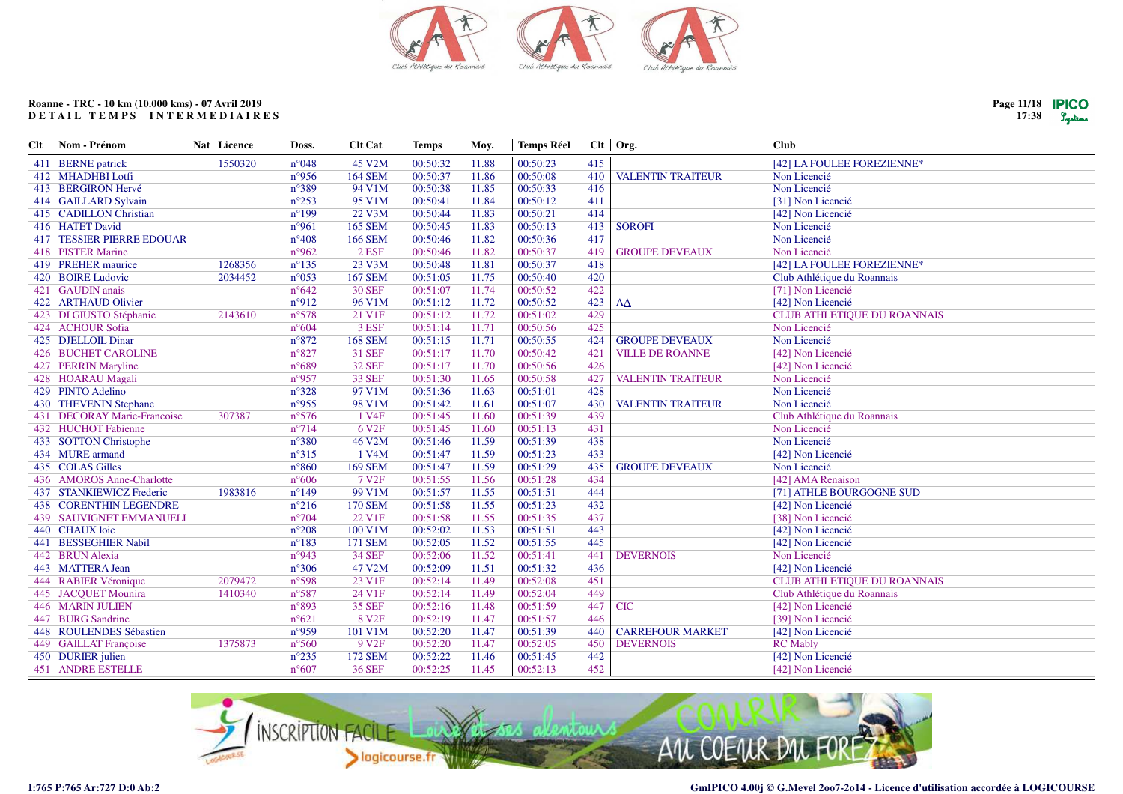

| Page 11/18 <b>PICO</b> |         |
|------------------------|---------|
| 17:38                  | Lystems |

| Nom - Prénom                     | Nat Licence | Doss.           | <b>Clt Cat</b>     | <b>Temps</b> | Moy.  | <b>Temps Réel</b> |     |                          | <b>Club</b>                 |
|----------------------------------|-------------|-----------------|--------------------|--------------|-------|-------------------|-----|--------------------------|-----------------------------|
| 411 BERNE patrick                | 1550320     | $n^{\circ}048$  | 45 V2M             | 00:50:32     | 11.88 | 00:50:23          | 415 |                          | [42] LA FOULEE FOREZIENNE*  |
| 412 MHADHBI Lotfi                |             | n°956           | <b>164 SEM</b>     | 00:50:37     | 11.86 | 00:50:08          | 410 | <b>VALENTIN TRAITEUR</b> | Non Licencié                |
| 413 BERGIRON Hervé               |             | n°389           | 94 V1M             | 00:50:38     | 11.85 | 00:50:33          | 416 |                          | Non Licencié                |
| 414 GAILLARD Sylvain             |             | $n^{\circ}253$  | 95 V1M             | 00:50:41     | 11.84 | 00:50:12          | 411 |                          | [31] Non Licencié           |
| 415 CADILLON Christian           |             | $n^{\circ}199$  | 22 V3M             | 00:50:44     | 11.83 | 00:50:21          | 414 |                          | [42] Non Licencié           |
| 416 HATET David                  |             | n°961           | <b>165 SEM</b>     | 00:50:45     | 11.83 | 00:50:13          | 413 | <b>SOROFI</b>            | Non Licencié                |
| <b>417 TESSIER PIERRE EDOUAR</b> |             | $n^{\circ}408$  | <b>166 SEM</b>     | 00:50:46     | 11.82 | 00:50:36          | 417 |                          | Non Licencié                |
| 418 PISTER Marine                |             | n°962           | $2$ ESF            | 00:50:46     | 11.82 | 00:50:37          | 419 | <b>GROUPE DEVEAUX</b>    | Non Licencié                |
| 419 PREHER maurice               | 1268356     | $n^{\circ}$ 135 | 23 V3M             | 00:50:48     | 11.81 | 00:50:37          | 418 |                          | [42] LA FOULEE FOREZIENNE*  |
| 420 BOIRE Ludovic                | 2034452     | $n^{\circ}053$  | <b>167 SEM</b>     | 00:51:05     | 11.75 | 00:50:40          | 420 |                          | Club Athlétique du Roannais |
| 421 GAUDIN anais                 |             | $n^{\circ}642$  | <b>30 SEF</b>      | 00:51:07     | 11.74 | 00:50:52          | 422 |                          | [71] Non Licencié           |
| 422 ARTHAUD Olivier              |             | $n^{\circ}912$  | 96 V1M             | 00:51:12     | 11.72 | 00:50:52          | 423 | AA                       | [42] Non Licencié           |
| 423 DI GIUSTO Stéphanie          | 2143610     | n°578           | 21 V1F             | 00:51:12     | 11.72 | 00:51:02          | 429 |                          | CLUB ATHLETIQUE DU ROANNAIS |
| 424 ACHOUR Sofia                 |             | $n^{\circ}604$  | 3 ESF              | 00:51:14     | 11.71 | 00:50:56          | 425 |                          | Non Licencié                |
| 425 DJELLOIL Dinar               |             | $n^{\circ}872$  | <b>168 SEM</b>     | 00:51:15     | 11.71 | 00:50:55          | 424 | <b>GROUPE DEVEAUX</b>    | Non Licencié                |
| <b>426 BUCHET CAROLINE</b>       |             | $n^{\circ}827$  | 31 SEF             | 00:51:17     | 11.70 | 00:50:42          | 421 | <b>VILLE DE ROANNE</b>   | [42] Non Licencié           |
| 427 PERRIN Maryline              |             | n°689           | <b>32 SEF</b>      | 00:51:17     | 11.70 | 00:50:56          | 426 |                          | [42] Non Licencié           |
| 428 HOARAU Magali                |             | n°957           | <b>33 SEF</b>      | 00:51:30     | 11.65 | 00:50:58          | 427 | <b>VALENTIN TRAITEUR</b> | Non Licencié                |
| 429 PINTO Adelino                |             | n°328           | 97 V1M             | 00:51:36     | 11.63 | 00:51:01          | 428 |                          | Non Licencié                |
| 430 THEVENIN Stephane            |             |                 | 98 V1M             | 00:51:42     | 11.61 | 00:51:07          | 430 | <b>VALENTIN TRAITEUR</b> | Non Licencié                |
| 431 DECORAY Marie-Francoise      | 307387      | $n^{\circ}576$  | 1 V <sub>4F</sub>  | 00:51:45     | 11.60 | 00:51:39          | 439 |                          | Club Athlétique du Roannais |
| 432 HUCHOT Fabienne              |             | $n^{\circ}$ 714 | 6 V <sub>2F</sub>  | 00:51:45     | 11.60 | 00:51:13          | 431 |                          | Non Licencié                |
| 433 SOTTON Christophe            |             | $n^{\circ}380$  | 46 V2M             | 00:51:46     | 11.59 | 00:51:39          | 438 |                          | Non Licencié                |
| 434 MURE armand                  |             | $n^{\circ}315$  | 1 V <sub>4</sub> M | 00:51:47     | 11.59 | 00:51:23          | 433 |                          | [42] Non Licencié           |
| 435 COLAS Gilles                 |             | $n^{\circ}860$  | <b>169 SEM</b>     | 00:51:47     | 11.59 | 00:51:29          | 435 | <b>GROUPE DEVEAUX</b>    | Non Licencié                |
| 436 AMOROS Anne-Charlotte        |             | $n^{\circ}606$  | 7 V <sub>2F</sub>  | 00:51:55     | 11.56 | 00:51:28          | 434 |                          | [42] AMA Renaison           |
| 437 STANKIEWICZ Frederic         | 1983816     | $n^{\circ}149$  | 99 V1M             | 00:51:57     | 11.55 | 00:51:51          | 444 |                          | [71] ATHLE BOURGOGNE SUD    |
| <b>438 CORENTHIN LEGENDRE</b>    |             | $n^{\circ}216$  | <b>170 SEM</b>     | 00:51:58     | 11.55 | 00:51:23          | 432 |                          | [42] Non Licencié           |
| <b>439 SAUVIGNET EMMANUELI</b>   |             | $n^{\circ}704$  | 22 V1F             | 00:51:58     | 11.55 | 00:51:35          | 437 |                          | [38] Non Licencié           |
| 440 CHAUX loic                   |             | $n^{\circ}208$  | 100 V1M            | 00:52:02     | 11.53 | 00:51:51          | 443 |                          | [42] Non Licencié           |
| 441 BESSEGHIER Nabil             |             | $n^{\circ}183$  | 171 SEM            | 00:52:05     | 11.52 | 00:51:55          | 445 |                          | [42] Non Licencié           |
| 442 BRUN Alexia                  |             | n°943           | <b>34 SEF</b>      | 00:52:06     | 11.52 | 00:51:41          | 441 | <b>DEVERNOIS</b>         | Non Licencié                |
| 443 MATTERA Jean                 |             | $n^{\circ}306$  | 47 V2M             | 00:52:09     | 11.51 | 00:51:32          | 436 |                          | [42] Non Licencié           |
| 444 RABIER Véronique             | 2079472     | n°598           | 23 V1F             | 00:52:14     | 11.49 | 00:52:08          | 451 |                          | CLUB ATHLETIQUE DU ROANNAIS |
| 445 JACQUET Mounira              | 1410340     | n°587           | 24 V1F             | 00:52:14     | 11.49 | 00:52:04          | 449 |                          | Club Athlétique du Roannais |
| <b>446 MARIN JULIEN</b>          |             | n°893           | <b>35 SEF</b>      | 00:52:16     | 11.48 | 00:51:59          | 447 | <b>CIC</b>               | [42] Non Licencié           |
| 447 BURG Sandrine                |             | $n^{\circ}621$  | 8 V <sub>2F</sub>  | 00:52:19     | 11.47 | 00:51:57          | 446 |                          | [39] Non Licencié           |
| 448 ROULENDES Sébastien          |             | n°959           | 101 V1M            | 00:52:20     | 11.47 | 00:51:39          | 440 | <b>CARREFOUR MARKET</b>  | [42] Non Licencié           |
| 449 GAILLAT Françoise            | 1375873     | $n^{\circ}560$  | 9 V <sub>2F</sub>  | 00:52:20     | 11.47 | 00:52:05          | 450 | <b>DEVERNOIS</b>         | <b>RC</b> Mably             |
| 450 DURIER julien                |             | $n^{\circ}235$  | <b>172 SEM</b>     | 00:52:22     | 11.46 | 00:51:45          | 442 |                          | [42] Non Licencié           |
| <b>451 ANDRE ESTELLE</b>         |             | $n^{\circ}607$  | <b>36 SEF</b>      | 00:52:25     | 11.45 | 00:52:13          | 452 |                          | [42] Non Licencié           |
|                                  |             |                 | n°955              |              |       |                   |     |                          | Clt Org.                    |

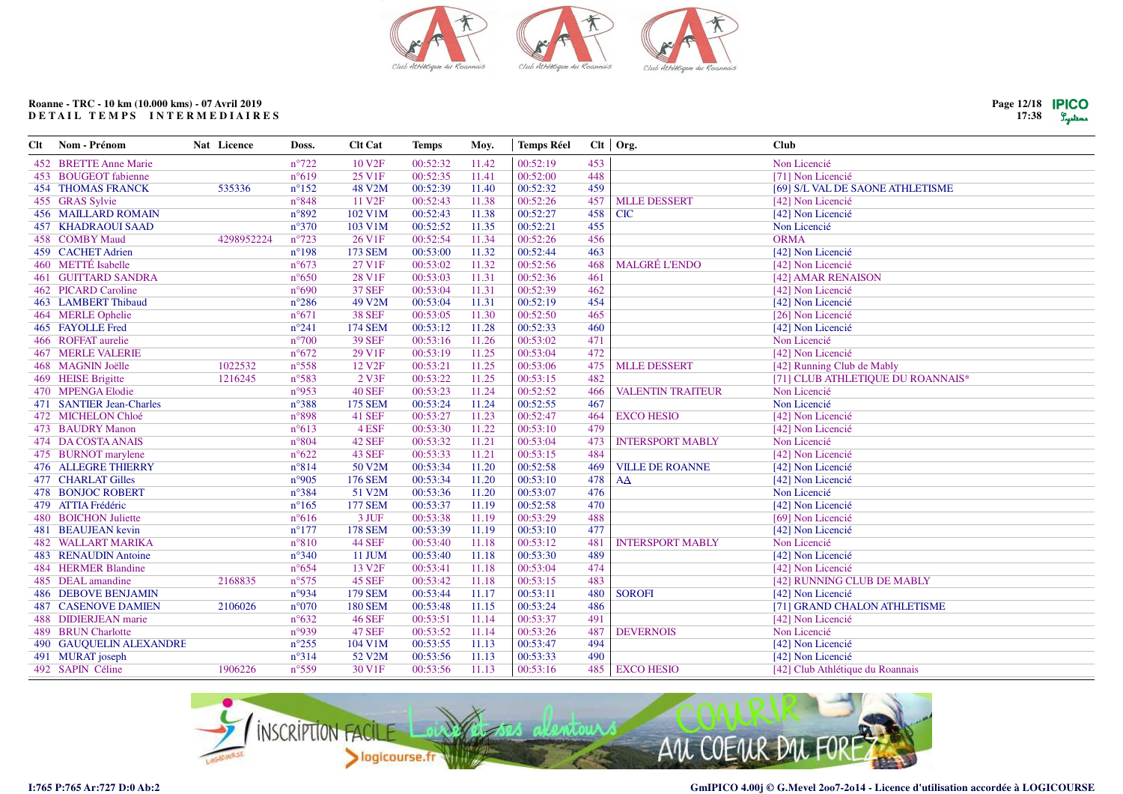

| Clt | Nom - Prénom               | Nat Licence | Doss.          | <b>Clt Cat</b>     | <b>Temps</b> | Moy.  | <b>Temps Réel</b> |     | $Clt$ Org.               | <b>Club</b>                       |
|-----|----------------------------|-------------|----------------|--------------------|--------------|-------|-------------------|-----|--------------------------|-----------------------------------|
|     | 452 BRETTE Anne Marie      |             | $n^{\circ}722$ | 10 V <sub>2F</sub> | 00:52:32     | 11.42 | 00:52:19          | 453 |                          | Non Licencié                      |
|     | 453 BOUGEOT fabienne       |             | $n^{\circ}619$ | 25 V1F             | 00:52:35     | 11.41 | 00:52:00          | 448 |                          | [71] Non Licencié                 |
|     | <b>454 THOMAS FRANCK</b>   | 535336      | $n^{\circ}152$ | 48 V2M             | 00:52:39     | 11.40 | 00:52:32          | 459 |                          | [69] S/L VAL DE SAONE ATHLETISME  |
|     | 455 GRAS Sylvie            |             | $n^{\circ}848$ | 11 V <sub>2F</sub> | 00:52:43     | 11.38 | 00:52:26          | 457 | <b>MLLE DESSERT</b>      | [42] Non Licencié                 |
|     | <b>456 MAILLARD ROMAIN</b> |             | n°892          | 102 V1M            | 00:52:43     | 11.38 | 00:52:27          | 458 | <b>CIC</b>               | [42] Non Licencié                 |
|     | <b>457 KHADRAOUI SAAD</b>  |             | $n^{\circ}370$ | 103 V1M            | 00:52:52     | 11.35 | 00:52:21          | 455 |                          | Non Licencié                      |
|     | 458 COMBY Maud             | 4298952224  | $n^{\circ}723$ | 26 V1F             | 00:52:54     | 11.34 | 00:52:26          | 456 |                          | <b>ORMA</b>                       |
|     | 459 CACHET Adrien          |             | $n^{\circ}198$ | <b>173 SEM</b>     | 00:53:00     | 11.32 | 00:52:44          | 463 |                          | [42] Non Licencié                 |
|     | 460 METTÉ Isabelle         |             | $n^{\circ}673$ | 27 V1F             | 00:53:02     | 11.32 | 00:52:56          | 468 | <b>MALGRÉ L'ENDO</b>     | [42] Non Licencié                 |
|     | <b>461 GUITTARD SANDRA</b> |             | $n^{\circ}650$ | 28 V1F             | 00:53:03     | 11.31 | 00:52:36          | 461 |                          | [42] AMAR RENAISON                |
|     | 462 PICARD Caroline        |             | $n^{\circ}690$ | <b>37 SEF</b>      | 00:53:04     | 11.31 | 00:52:39          | 462 |                          | [42] Non Licencié                 |
|     | 463 LAMBERT Thibaud        |             | $n^{\circ}286$ | 49 V2M             | 00:53:04     | 11.31 | 00:52:19          | 454 |                          | [42] Non Licencié                 |
|     | 464 MERLE Ophelie          |             | $n^{\circ}671$ | <b>38 SEF</b>      | 00:53:05     | 11.30 | 00:52:50          | 465 |                          | [26] Non Licencié                 |
|     | 465 FAYOLLE Fred           |             | $n^{\circ}241$ | <b>174 SEM</b>     | 00:53:12     | 11.28 | 00:52:33          | 460 |                          | [42] Non Licencié                 |
|     | 466 ROFFAT aurelie         |             | $n^{\circ}700$ | <b>39 SEF</b>      | 00:53:16     | 11.26 | 00:53:02          | 471 |                          | Non Licencié                      |
|     | <b>467 MERLE VALERIE</b>   |             | $n^{\circ}672$ | 29 V1F             | 00:53:19     | 11.25 | 00:53:04          | 472 |                          | [42] Non Licencié                 |
|     | 468 MAGNIN Joëlle          | 1022532     | $n^{\circ}558$ | 12 V <sub>2F</sub> | 00:53:21     | 11.25 | 00:53:06          | 475 | <b>MLLE DESSERT</b>      | [42] Running Club de Mably        |
|     | 469 HEISE Brigitte         | 1216245     | n°583          | 2 V3F              | 00:53:22     | 11.25 | 00:53:15          | 482 |                          | [71] CLUB ATHLETIQUE DU ROANNAIS* |
|     | 470 MPENGA Elodie          |             | n°953          | <b>40 SEF</b>      | 00:53:23     | 11.24 | 00:52:52          | 466 | <b>VALENTIN TRAITEUR</b> | Non Licencié                      |
|     | 471 SANTIER Jean-Charles   |             | $n^{\circ}388$ | <b>175 SEM</b>     | 00:53:24     | 11.24 | 00:52:55          | 467 |                          | Non Licencié                      |
|     | 472 MICHELON Chloé         |             | n°898          | <b>41 SEF</b>      | 00:53:27     | 11.23 | 00:52:47          | 464 | <b>EXCO HESIO</b>        | [42] Non Licencié                 |
|     | 473 BAUDRY Manon           |             | $n^{\circ}613$ | 4 ESF              | 00:53:30     | 11.22 | 00:53:10          | 479 |                          | [42] Non Licencié                 |
|     | 474 DA COSTA ANAIS         |             | $n^{\circ}804$ | <b>42 SEF</b>      | 00:53:32     | 11.21 | 00:53:04          | 473 | <b>INTERSPORT MABLY</b>  | Non Licencié                      |
|     | 475 BURNOT marylene        |             | $n^{\circ}622$ | <b>43 SEF</b>      | 00:53:33     | 11.21 | 00:53:15          | 484 |                          | [42] Non Licencié                 |
|     | <b>476 ALLEGRE THIERRY</b> |             | $n^{\circ}814$ | 50 V2M             | 00:53:34     | 11.20 | 00:52:58          | 469 | <b>VILLE DE ROANNE</b>   | [42] Non Licencié                 |
|     | 477 CHARLAT Gilles         |             | n°905          | <b>176 SEM</b>     | 00:53:34     | 11.20 | 00:53:10          | 478 | AA                       | [42] Non Licencié                 |
|     | <b>478 BONJOC ROBERT</b>   |             | $n^{\circ}384$ | 51 V2M             | 00:53:36     | 11.20 | 00:53:07          | 476 |                          | Non Licencié                      |
|     | 479 ATTIA Frédéric         |             | $n^{\circ}165$ | <b>177 SEM</b>     | 00:53:37     | 11.19 | 00:52:58          | 470 |                          | [42] Non Licencié                 |
|     | 480 BOICHON Juliette       |             | $n^{\circ}616$ | 3 JUF              | 00:53:38     | 11.19 | 00:53:29          | 488 |                          | [69] Non Licencié                 |
|     | 481 BEAUJEAN kevin         |             | $n^{\circ}177$ | <b>178 SEM</b>     | 00:53:39     | 11.19 | 00:53:10          | 477 |                          | [42] Non Licencié                 |
|     | <b>482 WALLART MARIKA</b>  |             | $n^{\circ}810$ | <b>44 SEF</b>      | 00:53:40     | 11.18 | 00:53:12          | 481 | <b>INTERSPORT MABLY</b>  | Non Licencié                      |
|     | 483 RENAUDIN Antoine       |             | $n^{\circ}340$ | 11 JUM             | 00:53:40     | 11.18 | 00:53:30          | 489 |                          | [42] Non Licencié                 |
|     | 484 HERMER Blandine        |             | $n^{\circ}654$ | 13 V <sub>2F</sub> | 00:53:41     | 11.18 | 00:53:04          | 474 |                          | [42] Non Licencié                 |
|     | 485 DEAL amandine          | 2168835     | $n^{\circ}575$ | <b>45 SEF</b>      | 00:53:42     | 11.18 | 00:53:15          | 483 |                          | [42] RUNNING CLUB DE MABLY        |
|     | <b>486 DEBOVE BENJAMIN</b> |             | n°934          | <b>179 SEM</b>     | 00:53:44     | 11.17 | 00:53:11          | 480 | <b>SOROFI</b>            | [42] Non Licencié                 |
|     | <b>487 CASENOVE DAMIEN</b> | 2106026     | $n^{\circ}070$ | <b>180 SEM</b>     | 00:53:48     | 11.15 | 00:53:24          | 486 |                          | [71] GRAND CHALON ATHLETISME      |
|     | 488 DIDIERJEAN marie       |             | $n^{\circ}632$ | <b>46 SEF</b>      | 00:53:51     | 11.14 | 00:53:37          | 491 |                          | [42] Non Licencié                 |
|     | 489 BRUN Charlotte         |             | n°939          | <b>47 SEF</b>      | 00:53:52     | 11.14 | 00:53:26          | 487 | <b>DEVERNOIS</b>         | Non Licencié                      |
|     | 490 GAUQUELIN ALEXANDRE    |             | $n^{\circ}255$ | 104 V1M            | 00:53:55     | 11.13 | 00:53:47          | 494 |                          | [42] Non Licencié                 |
|     | 491 MURAT joseph           |             | $n^{\circ}314$ | 52 V2M             | 00:53:56     | 11.13 | 00:53:33          | 490 |                          | [42] Non Licencié                 |
|     | 492 SAPIN Céline           | 1906226     | $n^{\circ}559$ | 30 V1F             | 00:53:56     | 11.13 | 00:53:16          | 485 | <b>EXCO HESIO</b>        | [42] Club Athlétique du Roannais  |



 $\equiv$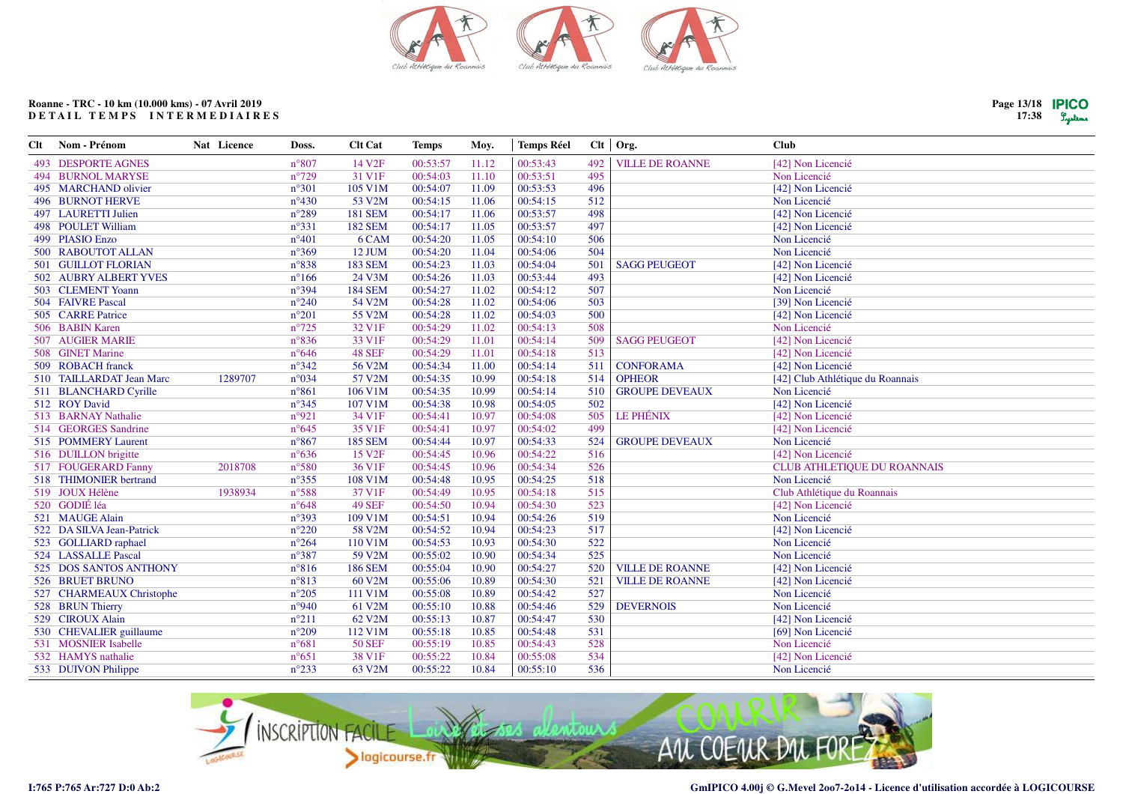

 $\overline{a}$ .  $\overline{a}$ 

 $\overline{1}$ 

**49 SEF** 

109 V1M

58 V2M

110 V1M

59 V2M

60 V2M

111 V1M

61 V2M

62 V2M

112 V1M

**50 SEF** 

38 V1F

63 V2M

**186 SEM** 

 $n^{\circ}648$ 

 $n°393$ 

 $n^{\circ}220$ 

 $n^{\circ}264$ 

 $n^{\circ}387$ 

 $n°816$ 

 $n°813$ 

 $n^{\circ}205$ 

 $n°940$ 

 $n^{\circ}211$ 

 $n^{\circ}209$ 

 $n^{\circ}681$ 

 $n^{\circ}651$ 

 $n^{\circ}233$ 

00:54:50

00:54:51

00:54:52

00:54:53

00:55:02

00:55:04

00:55:06

00:55:08

00:55:10

00:55:13

00:55:18

00:55:19

00:55:22

00:55:22

10.94

10.94

10.94

10.93

10.90

10.90

10.89

10.89

10.88

10.87

10.85

10.85

10.84

10.84

00:54:30

00:54:26

00:54:23

 $00:54:30$ 

 $00:54:34$ 

00:54:27

00:54:30

00:54:42

00:54:46

00:54:47

00:54:48

00:54:43

00:55:08

 $00:55:10$ 

523

519

517

522

525

520

521

527

529

530

531

528

534

536

**VILLE DE ROANNE** 

**VILLE DE ROANNE** 

**DEVERNOIS** 

# Roanne - TRC - 10 km (10.000 kms) - 07 Avril 2019 DETAIL TEMPS INTERMEDIAIRES

Nom - Prénom

493 DESPORTE AGNES **494 BURNOL MARYSE** 495 MARCHAND olivier **496 BURNOT HERVE** 497 LAURETTI Julien 498 POULET William 499 PIASIO Enzo 500 RABOUTOT ALLAN **501 GUILLOT FLORIAN** 502 AUBRY ALBERT YVES 503 CLEMENT Yoann 504 FAIVRE Pascal 505 CARRE Patrice 506 BABIN Karen 507 AUGIER MARIE 508 GINET Marine 509 ROBACH franck 510 TAILLARDAT Jean Marc

511 BLANCHARD Cyrille 512 ROY David 513 BARNAY Nathalie 514 GEORGES Sandrine 515 POMMERY Laurent 516 DUILLON brigitte

517 FOUGERARD Fanny 518 THIMONIER bertrand 519 JOUX Hélène

522 DA SILVA Jean-Patrick

525 DOS SANTOS ANTHONY

527 CHARMEAUX Christophe

530 CHEVALIER guillaume

523 GOLLIARD raphael

524 LASSALLE Pascal

526 BRUET BRUNO

528 BRUN Thierry

529 CIROUX Alain

531 MOSNIER Isabelle

532 HAMYS nathalie

533 DUIVON Philippe

520 GODIÉ léa

521 MAUGE Alain

 $Clt$ 

| Nat Licence | Doss.           | <b>Clt Cat</b>     | Temps    | Moy.  | <b>Temps Réel</b> |     | Clt   Org.             | <b>Club</b>                      |
|-------------|-----------------|--------------------|----------|-------|-------------------|-----|------------------------|----------------------------------|
|             | $n^{\circ}807$  | 14 V <sub>2F</sub> | 00:53:57 | 11.12 | 00:53:43          | 492 | <b>VILLE DE ROANNE</b> | [42] Non Licencié                |
|             | $n^{\circ}729$  | 31 V1F             | 00:54:03 | 11.10 | 00:53:51          | 495 |                        | Non Licencié                     |
|             | $n^{\circ}301$  | 105 V1M            | 00:54:07 | 11.09 | 00:53:53          | 496 |                        | [42] Non Licencié                |
|             | $n^{\circ}430$  | 53 V2M             | 00:54:15 | 11.06 | 00:54:15          | 512 |                        | Non Licencié                     |
|             | $n^{\circ}289$  | <b>181 SEM</b>     | 00:54:17 | 11.06 | 00:53:57          | 498 |                        | [42] Non Licencié                |
|             | $n^{\circ}331$  | <b>182 SEM</b>     | 00:54:17 | 11.05 | 00:53:57          | 497 |                        | [42] Non Licencié                |
|             | $n^{\circ}401$  | 6 CAM              | 00:54:20 | 11.05 | 00:54:10          | 506 |                        | Non Licencié                     |
|             | $n^{\circ}369$  | 12 JUM             | 00:54:20 | 11.04 | 00:54:06          | 504 |                        | Non Licencié                     |
|             | $n^{\circ}838$  | <b>183 SEM</b>     | 00:54:23 | 11.03 | 00:54:04          | 501 | <b>SAGG PEUGEOT</b>    | [42] Non Licencié                |
|             | $n^{\circ}166$  | 24 V3M             | 00:54:26 | 11.03 | 00:53:44          | 493 |                        | [42] Non Licencié                |
|             | $n^{\circ}394$  | <b>184 SEM</b>     | 00:54:27 | 11.02 | 00:54:12          | 507 |                        | Non Licencié                     |
|             | $n^{\circ}240$  | 54 V2M             | 00:54:28 | 11.02 | 00:54:06          | 503 |                        | [39] Non Licencié                |
|             | $n^{\circ}201$  | 55 V2M             | 00:54:28 | 11.02 | 00:54:03          | 500 |                        | [42] Non Licencié                |
|             | $n^{\circ}725$  | 32 V1F             | 00:54:29 | 11.02 | 00:54:13          | 508 |                        | Non Licencié                     |
|             | $n^{\circ}836$  | 33 V1F             | 00:54:29 | 11.01 | 00:54:14          | 509 | <b>SAGG PEUGEOT</b>    | [42] Non Licencié                |
|             | $n^{\circ}646$  | <b>48 SEF</b>      | 00:54:29 | 11.01 | 00:54:18          | 513 |                        | [42] Non Licencié                |
|             | $n^{\circ}342$  | 56 V2M             | 00:54:34 | 11.00 | 00:54:14          | 511 | <b>CONFORAMA</b>       | [42] Non Licencié                |
| 1289707     | $n^{\circ}034$  | 57 V2M             | 00:54:35 | 10.99 | 00:54:18          | 514 | <b>OPHEOR</b>          | [42] Club Athlétique du Roannais |
|             | $n^{\circ}861$  | 106 V1M            | 00:54:35 | 10.99 | 00:54:14          | 510 | <b>GROUPE DEVEAUX</b>  | Non Licencié                     |
|             | $n^{\circ}345$  | 107 V1M            | 00:54:38 | 10.98 | 00:54:05          | 502 |                        | [42] Non Licencié                |
|             | n°921           | 34 V1F             | 00:54:41 | 10.97 | 00:54:08          | 505 | LE PHÉNIX              | [42] Non Licencié                |
|             | $n^{\circ}645$  | 35 V1F             | 00:54:41 | 10.97 | 00:54:02          | 499 |                        | [42] Non Licencié                |
|             | $n^{\circ}867$  | <b>185 SEM</b>     | 00:54:44 | 10.97 | 00:54:33          | 524 | <b>GROUPE DEVEAUX</b>  | Non Licencié                     |
|             | $n^{\circ}636$  | 15 V <sub>2F</sub> | 00:54:45 | 10.96 | 00:54:22          | 516 |                        | [42] Non Licencié                |
| 2018708     | $n^{\circ}580$  | 36 V1F             | 00:54:45 | 10.96 | 00:54:34          | 526 |                        | CLUB ATHLETIQUE DU ROANNAIS      |
|             | $n^{\circ}355$  | 108 V1M            | 00:54:48 | 10.95 | 00:54:25          | 518 |                        | Non Licencié                     |
| 1938934     | $n^{\circ}$ 588 | 37 V1F             | 00:54:49 | 10.95 | 00:54:18          | 515 |                        | Club Athlétique du Roannais      |

[42] Non Licencié

[42] Non Licencié

[42] Non Licencié

[42] Non Licencié

[42] Non Licencié

[69] Non Licencié

[42] Non Licencié

Non Licencié

Non Licencié

Non Licencié

Non Licencié

Non Licencié

Non Licencié

Non Licencié

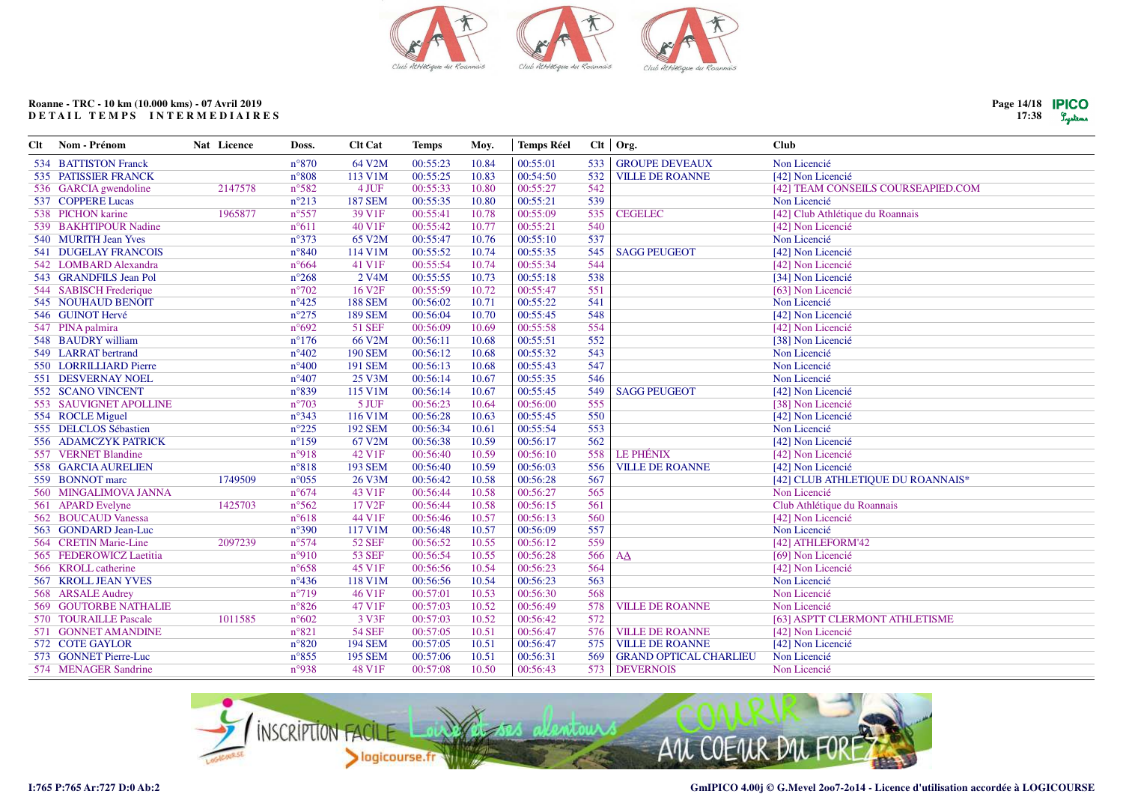

| Page $14/18$ <b>PICO</b> |         |
|--------------------------|---------|
| 17:38                    | Lystens |

| Clt | Nom - Prénom                 | Nat Licence | Doss.          | <b>Clt Cat</b>     | <b>Temps</b> | Moy.  | <b>Temps Réel</b> |     | Clt Org.                      | <b>Club</b>                        |
|-----|------------------------------|-------------|----------------|--------------------|--------------|-------|-------------------|-----|-------------------------------|------------------------------------|
|     | 534 BATTISTON Franck         |             | $n^{\circ}870$ | 64 V2M             | 00:55:23     | 10.84 | 00:55:01          | 533 | <b>GROUPE DEVEAUX</b>         | Non Licencié                       |
|     | 535 PATISSIER FRANCK         |             | $n^{\circ}808$ | 113 V1M            | 00:55:25     | 10.83 | 00:54:50          | 532 | <b>VILLE DE ROANNE</b>        | [42] Non Licencié                  |
|     | 536 GARCIA gwendoline        | 2147578     | n°582          | 4 JUF              | 00:55:33     | 10.80 | 00:55:27          | 542 |                               | [42] TEAM CONSEILS COURSEAPIED.COM |
|     | 537 COPPERE Lucas            |             | $n^{\circ}213$ | <b>187 SEM</b>     | 00:55:35     | 10.80 | 00:55:21          | 539 |                               | Non Licencié                       |
|     | 538 PICHON karine            | 1965877     | $n^{\circ}557$ | 39 V1F             | 00:55:41     | 10.78 | 00:55:09          | 535 | <b>CEGELEC</b>                | [42] Club Athlétique du Roannais   |
|     | 539 BAKHTIPOUR Nadine        |             | $n^{\circ}611$ | 40 V1F             | 00:55:42     | 10.77 | 00:55:21          | 540 |                               | [42] Non Licencié                  |
|     | 540 MURITH Jean Yves         |             | $n^{\circ}373$ | 65 V2M             | 00:55:47     | 10.76 | 00:55:10          | 537 |                               | Non Licencié                       |
|     | <b>541 DUGELAY FRANCOIS</b>  |             | $n^{\circ}840$ | 114 V1M            | 00:55:52     | 10.74 | 00:55:35          | 545 | <b>SAGG PEUGEOT</b>           | [42] Non Licencié                  |
|     | 542 LOMBARD Alexandra        |             | $n^{\circ}664$ | 41 V1F             | 00:55:54     | 10.74 | 00:55:34          | 544 |                               | [42] Non Licencié                  |
|     | 543 GRANDFILS Jean Pol       |             | $n^{\circ}268$ | 2 V <sub>4</sub> M | 00:55:55     | 10.73 | 00:55:18          | 538 |                               | [34] Non Licencié                  |
|     | 544 SABISCH Frederique       |             | $n^{\circ}702$ | 16 V <sub>2F</sub> | 00:55:59     | 10.72 | 00:55:47          | 551 |                               | [63] Non Licencié                  |
|     | 545 NOUHAUD BENOIT           |             | $n^{\circ}425$ | <b>188 SEM</b>     | 00:56:02     | 10.71 | 00:55:22          | 541 |                               | Non Licencié                       |
|     | 546 GUINOT Hervé             |             | $n^{\circ}275$ | <b>189 SEM</b>     | 00:56:04     | 10.70 | 00:55:45          | 548 |                               | [42] Non Licencié                  |
|     | 547 PINA palmira             |             | n°692          | 51 SEF             | 00:56:09     | 10.69 | 00:55:58          | 554 |                               | [42] Non Licencié                  |
|     | 548 BAUDRY william           |             | $n^{\circ}176$ | 66 V2M             | 00:56:11     | 10.68 | 00:55:51          | 552 |                               | [38] Non Licencié                  |
|     | 549 LARRAT bertrand          |             | $n^{\circ}402$ | <b>190 SEM</b>     | 00:56:12     | 10.68 | 00:55:32          | 543 |                               | Non Licencié                       |
|     | 550 LORRILLIARD Pierre       |             | $n^{\circ}400$ | <b>191 SEM</b>     | 00:56:13     | 10.68 | 00:55:43          | 547 |                               | Non Licencié                       |
|     | 551 DESVERNAY NOEL           |             | $n^{\circ}407$ | 25 V3M             | 00:56:14     | 10.67 | 00:55:35          | 546 |                               | Non Licencié                       |
|     | 552 SCANO VINCENT            |             | $n^{\circ}839$ | 115 V1M            | 00:56:14     | 10.67 | 00:55:45          | 549 | <b>SAGG PEUGEOT</b>           | [42] Non Licencié                  |
|     | 553 SAUVIGNET APOLLINE       |             | $n^{\circ}703$ | 5 JUF              | 00:56:23     | 10.64 | 00:56:00          | 555 |                               | [38] Non Licencié                  |
|     | 554 ROCLE Miguel             |             | $n^{\circ}343$ | 116 V1M            | 00:56:28     | 10.63 | 00:55:45          | 550 |                               | [42] Non Licencié                  |
|     | 555 DELCLOS Sébastien        |             | $n^{\circ}225$ | <b>192 SEM</b>     | 00:56:34     | 10.61 | 00:55:54          | 553 |                               | Non Licencié                       |
|     | 556 ADAMCZYK PATRICK         |             | $n^{\circ}159$ | 67 V2M             | 00:56:38     | 10.59 | 00:56:17          | 562 |                               | [42] Non Licencié                  |
|     | 557 VERNET Blandine          |             | n°918          | 42 V1F             | 00:56:40     | 10.59 | 00:56:10          | 558 | <b>LE PHÉNIX</b>              | [42] Non Licencié                  |
|     | 558 GARCIA AURELIEN          |             | $n^{\circ}818$ | <b>193 SEM</b>     | 00:56:40     | 10.59 | 00:56:03          | 556 | <b>VILLE DE ROANNE</b>        | [42] Non Licencié                  |
|     | 559 BONNOT marc              | 1749509     | $n^{\circ}055$ | 26 V3M             | 00:56:42     | 10.58 | 00:56:28          | 567 |                               | [42] CLUB ATHLETIQUE DU ROANNAIS*  |
|     | 560 MINGALIMOVA JANNA        |             | $n^{\circ}674$ | 43 V1F             | 00:56:44     | 10.58 | 00:56:27          | 565 |                               | Non Licencié                       |
|     | 561 APARD Evelyne            | 1425703     | $n^{\circ}562$ | 17 V <sub>2F</sub> | 00:56:44     | 10.58 | 00:56:15          | 561 |                               | Club Athlétique du Roannais        |
|     | 562 BOUCAUD Vanessa          |             | $n^{\circ}618$ | 44 V1F             | 00:56:46     | 10.57 | 00:56:13          | 560 |                               | [42] Non Licencié                  |
|     | 563 GONDARD Jean-Luc         |             | $n^{\circ}390$ | 117 V1M            | 00:56:48     | 10.57 | 00:56:09          | 557 |                               | Non Licencié                       |
|     | 564 CRETIN Marie-Line        | 2097239     | $n^{\circ}574$ | <b>52 SEF</b>      | 00:56:52     | 10.55 | 00:56:12          | 559 |                               | [42] ATHLEFORM'42                  |
|     | 565 FEDEROWICZ Laetitia      |             | $n^{\circ}910$ | <b>53 SEF</b>      | 00:56:54     | 10.55 | 00:56:28          | 566 | AA                            | [69] Non Licencié                  |
|     | 566 KROLL catherine          |             | $n^{\circ}658$ | 45 V1F             | 00:56:56     | 10.54 | 00:56:23          | 564 |                               | [42] Non Licencié                  |
|     | 567 KROLL JEAN YVES          |             | $n^{\circ}436$ | 118 V1M            | 00:56:56     | 10.54 | 00:56:23          | 563 |                               | Non Licencié                       |
|     | 568 ARSALE Audrey            |             | $n^{\circ}719$ | 46 V1F             | 00:57:01     | 10.53 | 00:56:30          | 568 |                               | Non Licencié                       |
|     | <b>569 GOUTORBE NATHALIE</b> |             | $n^{\circ}826$ | 47 V1F             | 00:57:03     | 10.52 | 00:56:49          | 578 | <b>VILLE DE ROANNE</b>        | Non Licencié                       |
|     | 570 TOURAILLE Pascale        | 1011585     | $n^{\circ}602$ | 3 V3F              | 00:57:03     | 10.52 | 00:56:42          | 572 |                               | [63] ASPTT CLERMONT ATHLETISME     |
|     | 571 GONNET AMANDINE          |             | $n^{\circ}821$ | <b>54 SEF</b>      | 00:57:05     | 10.51 | 00:56:47          | 576 | <b>VILLE DE ROANNE</b>        | [42] Non Licencié                  |
|     | 572 COTE GAYLOR              |             | $n^{\circ}820$ | <b>194 SEM</b>     | 00:57:05     | 10.51 | 00:56:47          | 575 | <b>VILLE DE ROANNE</b>        | [42] Non Licencié                  |
|     | 573 GONNET Pierre-Luc        |             | $n^{\circ}855$ | <b>195 SEM</b>     | 00:57:06     | 10.51 | 00:56:31          | 569 | <b>GRAND OPTICAL CHARLIEU</b> | Non Licencié                       |
|     | 574 MENAGER Sandrine         |             | n°938          | 48 V1F             | 00:57:08     | 10.50 | 00:56:43          |     | 573 DEVERNOIS                 | Non Licencié                       |

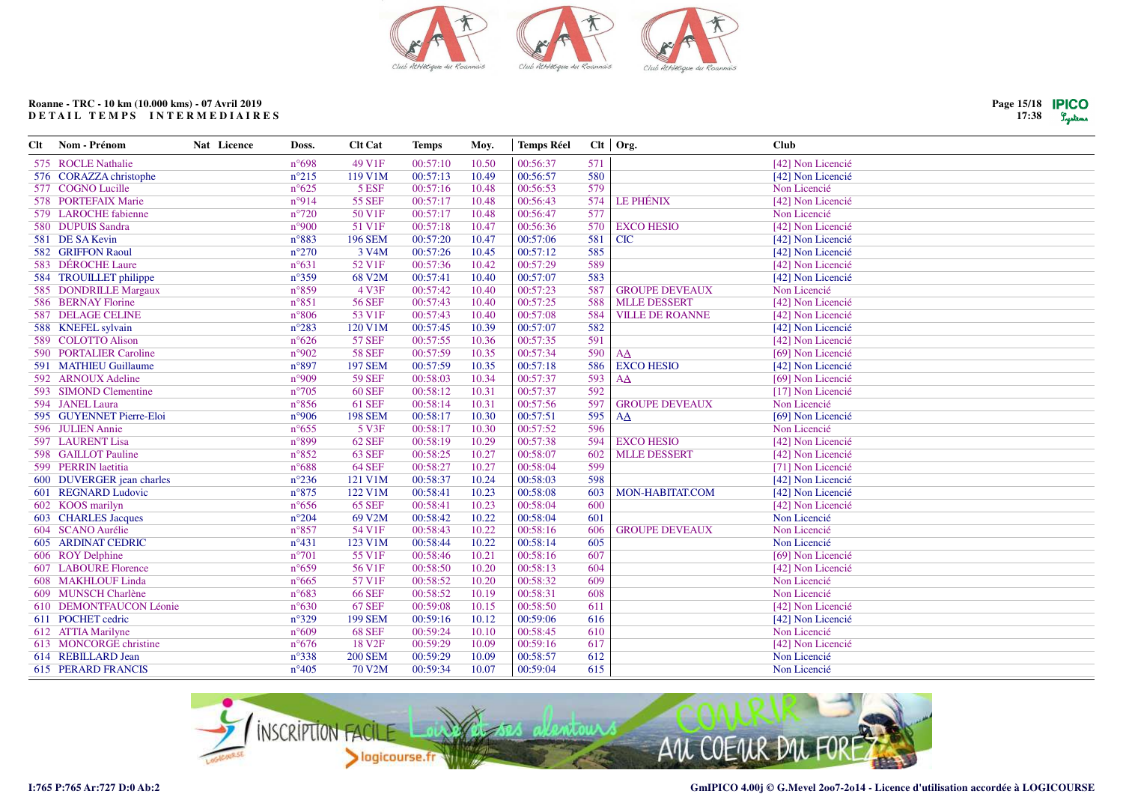

| Clt | Nom - Prénom              | Nat Licence | Doss.          | <b>Clt Cat</b>     | <b>Temps</b> | Moy.  | <b>Temps Réel</b> |     | Clt   Org.             | <b>Club</b>       |
|-----|---------------------------|-------------|----------------|--------------------|--------------|-------|-------------------|-----|------------------------|-------------------|
|     | 575 ROCLE Nathalie        |             | $n^{\circ}698$ | 49 V1F             | 00:57:10     | 10.50 | 00:56:37          | 571 |                        | [42] Non Licencié |
|     | 576 CORAZZA christophe    |             | $n^{\circ}215$ | 119 V1M            | 00:57:13     | 10.49 | 00:56:57          | 580 |                        | [42] Non Licencié |
|     | 577 COGNO Lucille         |             | $n^{\circ}625$ | 5 ESF              | 00:57:16     | 10.48 | 00:56:53          | 579 |                        | Non Licencié      |
|     | 578 PORTEFAIX Marie       |             | n°914          | <b>55 SEF</b>      | 00:57:17     | 10.48 | 00:56:43          | 574 | <b>LE PHÉNIX</b>       | [42] Non Licencié |
|     | 579 LAROCHE fabienne      |             | $n^{\circ}720$ | 50 V1F             | 00:57:17     | 10.48 | 00:56:47          | 577 |                        | Non Licencié      |
|     | 580 DUPUIS Sandra         |             | n°900          | 51 V1F             | 00:57:18     | 10.47 | 00:56:36          | 570 | <b>EXCO HESIO</b>      | [42] Non Licencié |
|     | 581 DE SA Kevin           |             | $n^{\circ}883$ | <b>196 SEM</b>     | 00:57:20     | 10.47 | 00:57:06          | 581 | <b>CIC</b>             | [42] Non Licencié |
|     | 582 GRIFFON Raoul         |             | $n^{\circ}270$ | 3 V <sub>4</sub> M | 00:57:26     | 10.45 | 00:57:12          | 585 |                        | [42] Non Licencié |
|     | 583 DÉROCHE Laure         |             | $n^{\circ}631$ | 52 V1F             | 00:57:36     | 10.42 | 00:57:29          | 589 |                        | [42] Non Licencié |
|     | 584 TROUILLET philippe    |             | $n^{\circ}359$ | 68 V2M             | 00:57:41     | 10.40 | 00:57:07          | 583 |                        | [42] Non Licencié |
|     | 585 DONDRILLE Margaux     |             | $n^{\circ}859$ | 4 V3F              | 00:57:42     | 10.40 | 00:57:23          | 587 | <b>GROUPE DEVEAUX</b>  | Non Licencié      |
|     | 586 BERNAY Florine        |             | $n^{\circ}851$ | <b>56 SEF</b>      | 00:57:43     | 10.40 | 00:57:25          | 588 | <b>MLLE DESSERT</b>    | [42] Non Licencié |
|     | 587 DELAGE CELINE         |             | $n^{\circ}806$ | 53 V1F             | 00:57:43     | 10.40 | 00:57:08          | 584 | <b>VILLE DE ROANNE</b> | [42] Non Licencié |
|     | 588 KNEFEL sylvain        |             | $n^{\circ}283$ | 120 V1M            | 00:57:45     | 10.39 | 00:57:07          | 582 |                        | [42] Non Licencié |
|     | 589 COLOTTO Alison        |             | $n^{\circ}626$ | <b>57 SEF</b>      | 00:57:55     | 10.36 | 00:57:35          | 591 |                        | [42] Non Licencié |
|     | 590 PORTALIER Caroline    |             | n°902          | <b>58 SEF</b>      | 00:57:59     | 10.35 | 00:57:34          | 590 | AA                     | [69] Non Licencié |
|     | 591 MATHIEU Guillaume     |             | $n^{\circ}897$ | <b>197 SEM</b>     | 00:57:59     | 10.35 | 00:57:18          | 586 | <b>EXCO HESIO</b>      | [42] Non Licencié |
|     | 592 ARNOUX Adeline        |             | n°909          | <b>59 SEF</b>      | 00:58:03     | 10.34 | 00:57:37          | 593 | AA                     | [69] Non Licencié |
|     | 593 SIMOND Clementine     |             | $n^{\circ}705$ | <b>60 SEF</b>      | 00:58:12     | 10.31 | 00:57:37          | 592 |                        | [17] Non Licencié |
|     | 594 JANEL Laura           |             | $n^{\circ}856$ | <b>61 SEF</b>      | 00:58:14     | 10.31 | 00:57:56          | 597 | <b>GROUPE DEVEAUX</b>  | Non Licencié      |
|     | 595 GUYENNET Pierre-Eloi  |             | n°906          | <b>198 SEM</b>     | 00:58:17     | 10.30 | 00:57:51          | 595 | AA                     | [69] Non Licencié |
|     | 596 JULIEN Annie          |             | $n^{\circ}655$ | 5 V3F              | 00:58:17     | 10.30 | 00:57:52          | 596 |                        | Non Licencié      |
|     | 597 LAURENT Lisa          |             | $n^{\circ}899$ | <b>62 SEF</b>      | 00:58:19     | 10.29 | 00:57:38          | 594 | <b>EXCO HESIO</b>      | [42] Non Licencié |
|     | 598 GAILLOT Pauline       |             | $n^{\circ}852$ | <b>63 SEF</b>      | 00:58:25     | 10.27 | 00:58:07          | 602 | <b>MLLE DESSERT</b>    | [42] Non Licencié |
|     | 599 PERRIN laetitia       |             | $n^{\circ}688$ | <b>64 SEF</b>      | 00:58:27     | 10.27 | 00:58:04          | 599 |                        | [71] Non Licencié |
|     | 600 DUVERGER jean charles |             | $n^{\circ}236$ | 121 V1M            | 00:58:37     | 10.24 | 00:58:03          | 598 |                        | [42] Non Licencié |
|     | 601 REGNARD Ludovic       |             | $n^{\circ}875$ | 122 V1M            | 00:58:41     | 10.23 | 00:58:08          | 603 | MON-HABITAT.COM        | [42] Non Licencié |
|     | 602 KOOS marilyn          |             | $n^{\circ}656$ | <b>65 SEF</b>      | 00:58:41     | 10.23 | 00:58:04          | 600 |                        | [42] Non Licencié |
|     | 603 CHARLES Jacques       |             | $n^{\circ}204$ | 69 V2M             | 00:58:42     | 10.22 | 00:58:04          | 601 |                        | Non Licencié      |
|     | 604 SCANO Aurélie         |             | $n^{\circ}857$ | 54 V1F             | 00:58:43     | 10.22 | 00:58:16          | 606 | <b>GROUPE DEVEAUX</b>  | Non Licencié      |
|     | <b>605 ARDINAT CEDRIC</b> |             | $n^{\circ}431$ | 123 V1M            | 00:58:44     | 10.22 | 00:58:14          | 605 |                        | Non Licencié      |
|     | 606 ROY Delphine          |             | $n^{\circ}701$ | 55 V1F             | 00:58:46     | 10.21 | 00:58:16          | 607 |                        | [69] Non Licencié |
|     | 607 LABOURE Florence      |             | $n^{\circ}659$ | 56 V1F             | 00:58:50     | 10.20 | 00:58:13          | 604 |                        | [42] Non Licencié |
|     | 608 MAKHLOUF Linda        |             | $n^{\circ}665$ | 57 V1F             | 00:58:52     | 10.20 | 00:58:32          | 609 |                        | Non Licencié      |
|     | 609 MUNSCH Charlène       |             | $n^{\circ}683$ | <b>66 SEF</b>      | 00:58:52     | 10.19 | 00:58:31          | 608 |                        | Non Licencié      |
|     | 610 DEMONTFAUCON Léonie   |             | $n^{\circ}630$ | <b>67 SEF</b>      | 00:59:08     | 10.15 | 00:58:50          | 611 |                        | [42] Non Licencié |
|     | 611 POCHET cedric         |             | $n^{\circ}329$ | <b>199 SEM</b>     | 00:59:16     | 10.12 | 00:59:06          | 616 |                        | [42] Non Licencié |
|     | 612 ATTIA Marilyne        |             | $n^{\circ}609$ | <b>68 SEF</b>      | 00:59:24     | 10.10 | 00:58:45          | 610 |                        | Non Licencié      |
|     | 613 MONCORGE christine    |             | $n^{\circ}676$ | 18 V <sub>2F</sub> | 00:59:29     | 10.09 | 00:59:16          | 617 |                        | [42] Non Licencié |
|     | 614 REBILLARD Jean        |             | $n^{\circ}338$ | <b>200 SEM</b>     | 00:59:29     | 10.09 | 00:58:57          | 612 |                        | Non Licencié      |
|     | <b>615 PERARD FRANCIS</b> |             | $n^{\circ}405$ | <b>70 V2M</b>      | 00:59:34     | 10.07 | 00:59:04          | 615 |                        | Non Licencié      |
|     |                           |             |                |                    |              |       |                   |     |                        |                   |



**Page 15/1817:38**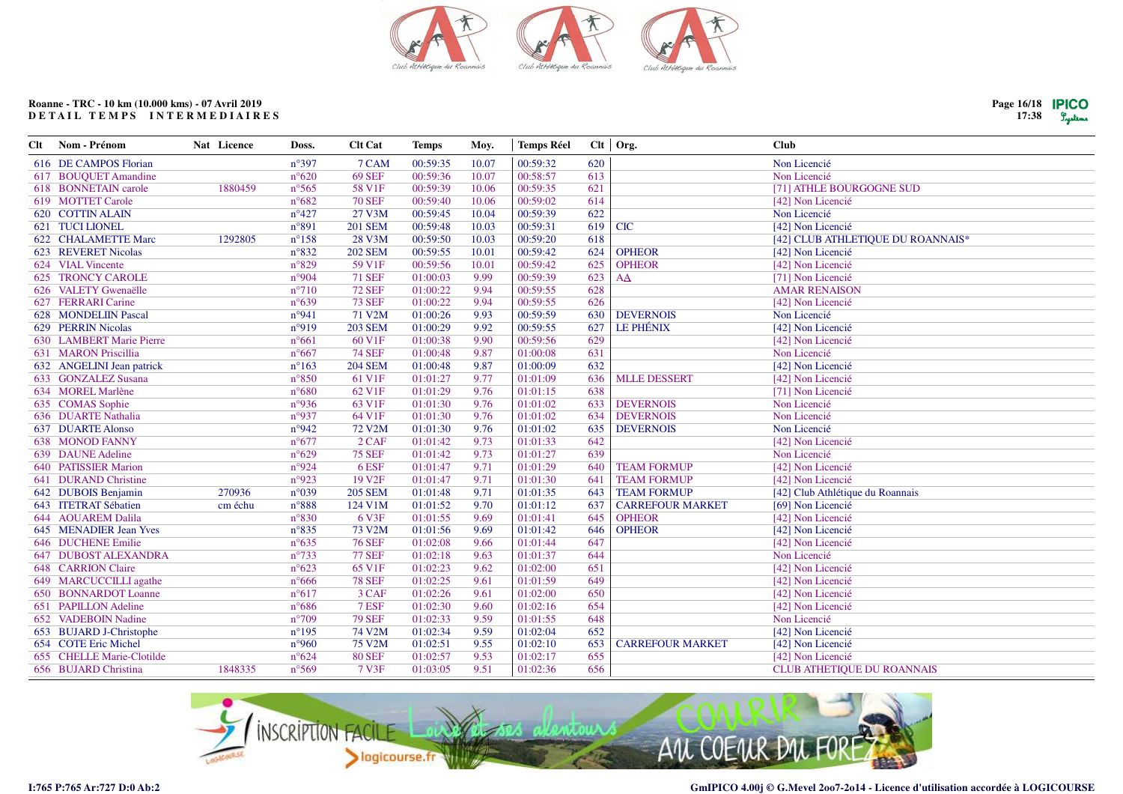

| Nom - Prénom                | Nat Licence        | Doss.           | <b>Clt Cat</b>     | <b>Temps</b> | Moy.  | <b>Temps Réel</b> |          |                         | <b>Club</b>                       |
|-----------------------------|--------------------|-----------------|--------------------|--------------|-------|-------------------|----------|-------------------------|-----------------------------------|
| 616 DE CAMPOS Florian       |                    | $n^{\circ}397$  | 7 CAM              | 00:59:35     | 10.07 | 00:59:32          | 620      |                         | Non Licencié                      |
| 617 BOUQUET Amandine        |                    | $n^{\circ}620$  | <b>69 SEF</b>      | 00:59:36     | 10.07 | 00:58:57          | 613      |                         | Non Licencié                      |
| 618 BONNETAIN carole        | 1880459            | $n^{\circ}$ 565 | 58 V1F             | 00:59:39     | 10.06 | 00:59:35          | 621      |                         | [71] ATHLE BOURGOGNE SUD          |
| 619 MOTTET Carole           |                    | $n^{\circ}682$  | <b>70 SEF</b>      | 00:59:40     | 10.06 | 00:59:02          | 614      |                         | [42] Non Licencié                 |
| <b>620 COTTIN ALAIN</b>     |                    | $n^{\circ}427$  | 27 V3M             | 00:59:45     | 10.04 | 00:59:39          | 622      |                         | Non Licencié                      |
| 621 TUCI LIONEL             |                    | n°891           | <b>201 SEM</b>     | 00:59:48     | 10.03 | 00:59:31          | 619      | <b>CIC</b>              | [42] Non Licencié                 |
| 622 CHALAMETTE Marc         | 1292805            | $n^{\circ}158$  | 28 V3M             | 00:59:50     | 10.03 | 00:59:20          | 618      |                         | [42] CLUB ATHLETIQUE DU ROANNAIS* |
| 623 REVERET Nicolas         |                    | $n^{\circ}832$  | <b>202 SEM</b>     | 00:59:55     | 10.01 | 00:59:42          | 624      | <b>OPHEOR</b>           | [42] Non Licencié                 |
| 624 VIAL Vincente           |                    | $n^{\circ}829$  | 59 V1F             | 00:59:56     | 10.01 | 00:59:42          | 625      | <b>OPHEOR</b>           | [42] Non Licencié                 |
| <b>625 TRONCY CAROLE</b>    |                    | n°904           | <b>71 SEF</b>      | 01:00:03     | 9.99  | 00:59:39          | 623      | AA                      | [71] Non Licencié                 |
| 626 VALETY Gwenaëlle        |                    | $n^{\circ}710$  | <b>72 SEF</b>      | 01:00:22     | 9.94  | 00:59:55          | 628      |                         | <b>AMAR RENAISON</b>              |
| 627 FERRARI Carine          |                    | $n^{\circ}639$  | <b>73 SEF</b>      | 01:00:22     | 9.94  | 00:59:55          | 626      |                         | [42] Non Licencié                 |
| 628 MONDELIIN Pascal        |                    | n°941           | 71 V2M             | 01:00:26     | 9.93  | 00:59:59          | 630      | <b>DEVERNOIS</b>        | Non Licencié                      |
| 629 PERRIN Nicolas          |                    | n°919           | <b>203 SEM</b>     | 01:00:29     | 9.92  | 00:59:55          | 627      | <b>LE PHÉNIX</b>        | [42] Non Licencié                 |
| 630 LAMBERT Marie Pierre    |                    | $n^{\circ}661$  | 60 V1F             | 01:00:38     | 9.90  | 00:59:56          | 629      |                         | [42] Non Licencié                 |
| 631 MARON Priscillia        |                    | $n^{\circ}667$  | <b>74 SEF</b>      | 01:00:48     | 9.87  | 01:00:08          | 631      |                         | Non Licencié                      |
| 632 ANGELINI Jean patrick   |                    | $n^{\circ}163$  | <b>204 SEM</b>     | 01:00:48     | 9.87  | 01:00:09          | 632      |                         | [42] Non Licencié                 |
| 633 GONZALEZ Susana         |                    | $n^{\circ}850$  | 61 V1F             | 01:01:27     | 9.77  | 01:01:09          | 636      | <b>MLLE DESSERT</b>     | [42] Non Licencié                 |
| 634 MOREL Marlène           |                    | $n^{\circ}680$  | 62 V1F             | 01:01:29     | 9.76  | 01:01:15          | 638      |                         | [71] Non Licencié                 |
| 635 COMAS Sophie            |                    | n°936           | 63 V1F             | 01:01:30     | 9.76  | 01:01:02          | 633      | <b>DEVERNOIS</b>        | Non Licencié                      |
| 636 DUARTE Nathalia         |                    | n°937           | 64 V1F             | 01:01:30     | 9.76  | 01:01:02          | 634      | <b>DEVERNOIS</b>        | Non Licencié                      |
| <b>637 DUARTE Alonso</b>    |                    | n°942           | 72 V2M             | 01:01:30     | 9.76  | 01:01:02          | 635      | <b>DEVERNOIS</b>        | Non Licencié                      |
| <b>638 MONOD FANNY</b>      |                    | $n^{\circ}677$  | $2$ CAF            | 01:01:42     | 9.73  | 01:01:33          | 642      |                         | [42] Non Licencié                 |
| 639 DAUNE Adeline           |                    | $n^{\circ}629$  | <b>75 SEF</b>      | 01:01:42     | 9.73  | 01:01:27          | 639      |                         | Non Licencié                      |
| <b>640 PATISSIER Marion</b> |                    | n°924           | 6 ESF              | 01:01:47     | 9.71  | 01:01:29          | 640      | <b>TEAM FORMUP</b>      | [42] Non Licencié                 |
| 641 DURAND Christine        |                    | n°923           | 19 V <sub>2F</sub> | 01:01:47     | 9.71  | 01:01:30          | 641      | <b>TEAM FORMUP</b>      | [42] Non Licencié                 |
| 642 DUBOIS Benjamin         | 270936             | n°039           | <b>205 SEM</b>     | 01:01:48     | 9.71  | 01:01:35          | 643      | <b>TEAM FORMUP</b>      | [42] Club Athlétique du Roannais  |
| 643 ITETRAT Sébatien        | cm échu            | $n^{\circ}888$  | 124 V1M            | 01:01:52     | 9.70  | 01:01:12          | 637      | <b>CARREFOUR MARKET</b> | [69] Non Licencié                 |
|                             |                    | $n^{\circ}830$  |                    | 01:01:55     | 9.69  |                   | 645      | <b>OPHEOR</b>           | [42] Non Licencié                 |
| 645 MENADIER Jean Yves      |                    | $n^{\circ}835$  | 73 V2M             | 01:01:56     | 9.69  | 01:01:42          | 646      | <b>OPHEOR</b>           | [42] Non Licencié                 |
| 646 DUCHENE Emilie          |                    | $n^{\circ}635$  | <b>76 SEF</b>      | 01:02:08     | 9.66  | 01:01:44          | 647      |                         | [42] Non Licencié                 |
| 647 DUBOST ALEXANDRA        |                    | $n^{\circ}733$  | <b>77 SEF</b>      | 01:02:18     | 9.63  | 01:01:37          | 644      |                         | Non Licencié                      |
| <b>648 CARRION Claire</b>   |                    | $n^{\circ}623$  | 65 V1F             | 01:02:23     | 9.62  | 01:02:00          | 651      |                         | [42] Non Licencié                 |
| 649 MARCUCCILLI agathe      |                    | $n^{\circ}666$  | <b>78 SEF</b>      | 01:02:25     | 9.61  | 01:01:59          | 649      |                         | [42] Non Licencié                 |
| 650 BONNARDOT Loanne        |                    | $n^{\circ}617$  | 3 CAF              | 01:02:26     | 9.61  | 01:02:00          | 650      |                         | [42] Non Licencié                 |
| 651 PAPILLON Adeline        |                    | $n^{\circ}686$  | 7 ESF              | 01:02:30     | 9.60  | 01:02:16          | 654      |                         | [42] Non Licencié                 |
| 652 VADEBOIN Nadine         |                    | $n^{\circ}709$  | <b>79 SEF</b>      | 01:02:33     | 9.59  | 01:01:55          | 648      |                         | Non Licencié                      |
| 653 BUJARD J-Christophe     |                    | $n^{\circ}195$  | 74 V2M             | 01:02:34     | 9.59  | 01:02:04          | 652      |                         | [42] Non Licencié                 |
| 654 COTE Eric Michel        |                    | n°960           | 75 V2M             | 01:02:51     | 9.55  | 01:02:10          | 653      | <b>CARREFOUR MARKET</b> | [42] Non Licencié                 |
| 655 CHELLE Marie-Clotilde   |                    | $n^{\circ}624$  | <b>80 SEF</b>      | 01:02:57     | 9.53  | 01:02:17          | 655      |                         | [42] Non Licencié                 |
| 656 BUJARD Christina        | 1848335            | $n^{\circ}569$  | 7 V3F              | 01:03:05     | 9.51  | 01:02:36          | 656      |                         | <b>CLUB ATHETIQUE DU ROANNAIS</b> |
|                             | 644 AOUAREM Dalila |                 |                    | 6 V3F        |       |                   | 01:01:41 |                         | Clt   Org.                        |



Page 16/18 **IPICO**  $17:38$   $9$ yekma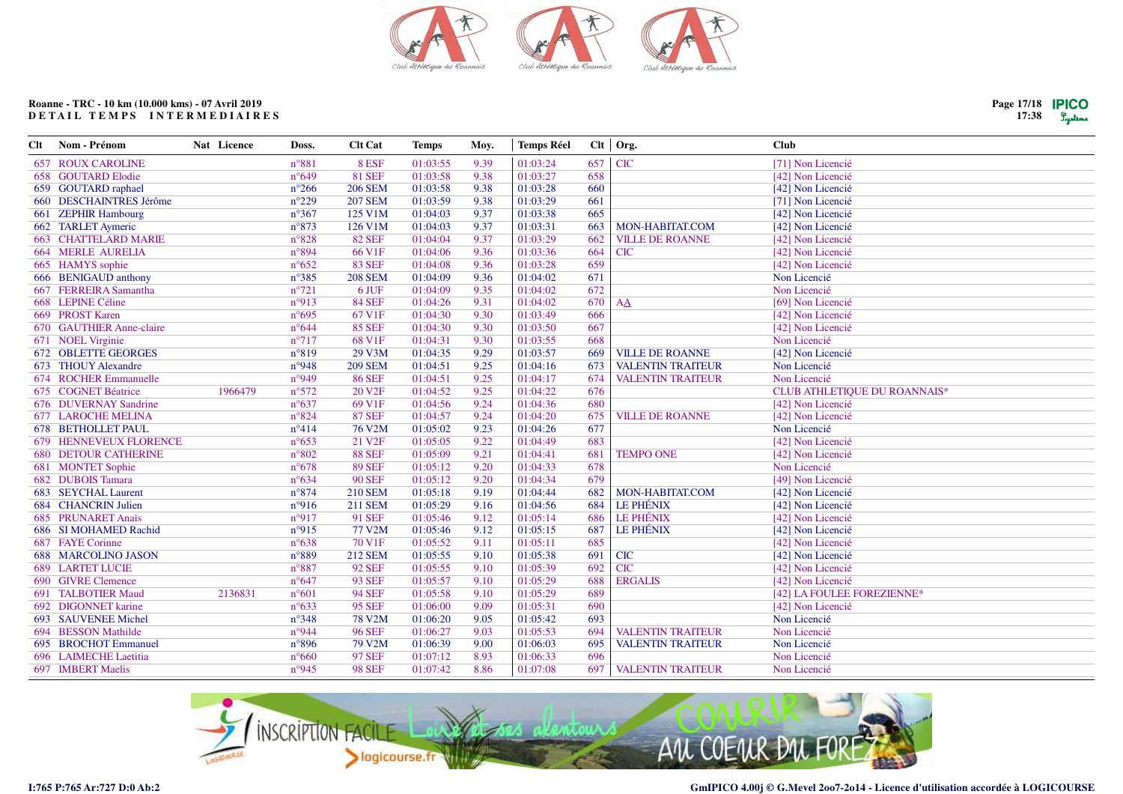

| Clt | Nom - Prénom                | Nat Licence | Doss.          | <b>Clt Cat</b>     | <b>Temps</b> | Moy. | <b>Temps Réel</b> |     | $Clt$   Org.             | <b>Club</b>                  |
|-----|-----------------------------|-------------|----------------|--------------------|--------------|------|-------------------|-----|--------------------------|------------------------------|
|     | <b>657 ROUX CAROLINE</b>    |             | n°881          | 8 ESF              | 01:03:55     | 9.39 | 01:03:24          | 657 | <b>CIC</b>               | [71] Non Licencié            |
|     | 658 GOUTARD Elodie          |             | $n^{\circ}649$ | <b>81 SEF</b>      | 01:03:58     | 9.38 | 01:03:27          | 658 |                          | [42] Non Licencié            |
|     | 659 GOUTARD raphael         |             | $n^{\circ}266$ | <b>206 SEM</b>     | 01:03:58     | 9.38 | 01:03:28          | 660 |                          | [42] Non Licencié            |
|     | 660 DESCHAINTRES Jérôme     |             | $n^{\circ}229$ | <b>207 SEM</b>     | 01:03:59     | 9.38 | 01:03:29          | 661 |                          | [71] Non Licencié            |
|     | 661 ZEPHIR Hambourg         |             | $n^{\circ}367$ | 125 V1M            | 01:04:03     | 9.37 | 01:03:38          | 665 |                          | [42] Non Licencié            |
|     | 662 TARLET Aymeric          |             | $n^{\circ}873$ | 126 V1M            | 01:04:03     | 9.37 | 01:03:31          | 663 | MON-HABITAT.COM          | [42] Non Licencié            |
|     | <b>663 CHATTELARD MARIE</b> |             | $n^{\circ}828$ | <b>82 SEF</b>      | 01:04:04     | 9.37 | 01:03:29          | 662 | <b>VILLE DE ROANNE</b>   | [42] Non Licencié            |
|     | <b>664 MERLE AURELIA</b>    |             | n°894          | 66 V1F             | 01:04:06     | 9.36 | 01:03:36          | 664 | <b>CIC</b>               | [42] Non Licencié            |
|     | 665 HAMYS sophie            |             | $n^{\circ}652$ | <b>83 SEF</b>      | 01:04:08     | 9.36 | 01:03:28          | 659 |                          | [42] Non Licencié            |
|     | 666 BENIGAUD anthony        |             | $n^{\circ}385$ | <b>208 SEM</b>     | 01:04:09     | 9.36 | 01:04:02          | 671 |                          | Non Licencié                 |
|     | 667 FERREIRA Samantha       |             | $n^{\circ}721$ | 6 JUF              | 01:04:09     | 9.35 | 01:04:02          | 672 |                          | Non Licencié                 |
|     | 668 LEPINE Céline           |             | n°913          | <b>84 SEF</b>      | 01:04:26     | 9.31 | 01:04:02          | 670 | AA                       | [69] Non Licencié            |
|     | 669 PROST Karen             |             | n°695          | 67 V1F             | 01:04:30     | 9.30 | 01:03:49          | 666 |                          | [42] Non Licencié            |
|     | 670 GAUTHIER Anne-claire    |             | $n^{\circ}644$ | <b>85 SEF</b>      | 01:04:30     | 9.30 | 01:03:50          | 667 |                          | [42] Non Licencié            |
|     | 671 NOEL Virginie           |             | $n^{\circ}717$ | 68 V1F             | 01:04:31     | 9.30 | 01:03:55          | 668 |                          | Non Licencié                 |
|     | 672 OBLETTE GEORGES         |             | n°819          | 29 V3M             | 01:04:35     | 9.29 | 01:03:57          | 669 | <b>VILLE DE ROANNE</b>   | [42] Non Licencié            |
|     | 673 THOUY Alexandre         |             | n°948          | <b>209 SEM</b>     | 01:04:51     | 9.25 | 01:04:16          | 673 | <b>VALENTIN TRAITEUR</b> | Non Licencié                 |
|     | 674 ROCHER Emmanuelle       |             | n°949          | <b>86 SEF</b>      | 01:04:51     | 9.25 | 01:04:17          | 674 | <b>VALENTIN TRAITEUR</b> | Non Licencié                 |
|     | 675 COGNET Béatrice         | 1966479     | $n^{\circ}572$ | 20 V <sub>2F</sub> | 01:04:52     | 9.25 | 01:04:22          | 676 |                          | CLUB ATHLETIQUE DU ROANNAIS* |
|     | 676 DUVERNAY Sandrine       |             | $n^{\circ}637$ | 69 V1F             | 01:04:56     | 9.24 | 01:04:36          | 680 |                          | [42] Non Licencié            |
|     | <b>677 LAROCHE MELINA</b>   |             | $n^{\circ}824$ | <b>87 SEF</b>      | 01:04:57     | 9.24 | 01:04:20          | 675 | <b>VILLE DE ROANNE</b>   | [42] Non Licencié            |
|     | <b>678 BETHOLLET PAUL</b>   |             | $n^{\circ}414$ | 76 V2M             | 01:05:02     | 9.23 | 01:04:26          | 677 |                          | Non Licencié                 |
|     | 679 HENNEVEUX FLORENCE      |             | $n^{\circ}653$ | 21 V <sub>2F</sub> | 01:05:05     | 9.22 | 01:04:49          | 683 |                          | [42] Non Licencié            |
|     | <b>680 DETOUR CATHERINE</b> |             | $n^{\circ}802$ | <b>88 SEF</b>      | 01:05:09     | 9.21 | 01:04:41          | 681 | <b>TEMPO ONE</b>         | [42] Non Licencié            |
|     | 681 MONTET Sophie           |             | $n^{\circ}678$ | <b>89 SEF</b>      | 01:05:12     | 9.20 | 01:04:33          | 678 |                          | Non Licencié                 |
|     | 682 DUBOIS Tamara           |             | $n^{\circ}634$ | <b>90 SEF</b>      | 01:05:12     | 9.20 | 01:04:34          | 679 |                          | [49] Non Licencié            |
|     | 683 SEYCHAL Laurent         |             | $n^{\circ}874$ | <b>210 SEM</b>     | 01:05:18     | 9.19 | 01:04:44          | 682 | MON-HABITAT.COM          | [42] Non Licencié            |
|     | <b>684 CHANCRIN Julien</b>  |             | n°916          | <b>211 SEM</b>     | 01:05:29     | 9.16 | 01:04:56          | 684 | <b>LE PHÉNIX</b>         | [42] Non Licencié            |
|     | 685 PRUNARET Anaïs          |             | n°917          | <b>91 SEF</b>      | 01:05:46     | 9.12 | 01:05:14          | 686 | <b>LE PHÉNIX</b>         | [42] Non Licencié            |
|     | 686 SI MOHAMED Rachid       |             | n°915          | 77 V2M             | 01:05:46     | 9.12 | 01:05:15          | 687 | LE PHÉNIX                | [42] Non Licencié            |
|     | 687 FAYE Corinne            |             | $n^{\circ}638$ | 70 V1F             | 01:05:52     | 9.11 | 01:05:11          | 685 |                          | [42] Non Licencié            |
|     | <b>688 MARCOLINO JASON</b>  |             | $n^{\circ}889$ | <b>212 SEM</b>     | 01:05:55     | 9.10 | 01:05:38          | 691 | <b>CIC</b>               | [42] Non Licencié            |
|     | <b>689 LARTET LUCIE</b>     |             | $n^{\circ}887$ | <b>92 SEF</b>      | 01:05:55     | 9.10 | 01:05:39          | 692 | <b>CIC</b>               | [42] Non Licencié            |
|     | 690 GIVRE Clemence          |             | $n^{\circ}647$ | <b>93 SEF</b>      | 01:05:57     | 9.10 | 01:05:29          | 688 | <b>ERGALIS</b>           | [42] Non Licencié            |
|     | 691 TALBOTIER Maud          | 2136831     | $n^{\circ}601$ | <b>94 SEF</b>      | 01:05:58     | 9.10 | 01:05:29          | 689 |                          | [42] LA FOULEE FOREZIENNE*   |
|     | 692 DIGONNET karine         |             | $n^{\circ}633$ | <b>95 SEF</b>      | 01:06:00     | 9.09 | 01:05:31          | 690 |                          | [42] Non Licencié            |
|     | 693 SAUVENEE Michel         |             | $n^{\circ}348$ | <b>78 V2M</b>      | 01:06:20     | 9.05 | 01:05:42          | 693 |                          | Non Licencié                 |
|     | 694 BESSON Mathilde         |             | n°944          | <b>96 SEF</b>      | 01:06:27     | 9.03 | 01:05:53          | 694 | <b>VALENTIN TRAITEUR</b> | Non Licencié                 |
|     | 695 BROCHOT Emmanuel        |             | n°896          | 79 V2M             | 01:06:39     | 9.00 | 01:06:03          | 695 | <b>VALENTIN TRAITEUR</b> | Non Licencié                 |
|     | 696 LAIMECHE Laetitia       |             | $n^{\circ}660$ | <b>97 SEF</b>      | 01:07:12     | 8.93 | 01:06:33          | 696 |                          | Non Licencié                 |
|     | 697 IMBERT Maelis           |             | n°945          | <b>98 SEF</b>      | 01:07:42     | 8.86 | 01:07:08          | 697 | <b>VALENTIN TRAITEUR</b> | Non Licencié                 |
|     |                             |             |                |                    |              |      |                   |     |                          |                              |